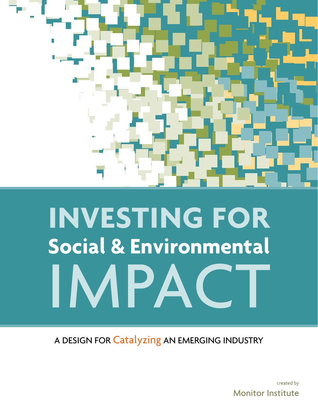

# **INVESTING FOR Social & Environmental** IMPACT

A DESIGN FOR Catalyzing AN EMERGING INDUSTRY

created by Monitor Institute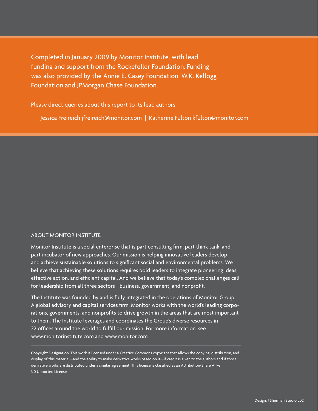Completed in January 2009 by Monitor Institute, with lead funding and support from the Rockefeller Foundation. Funding was also provided by the Annie E. Casey Foundation, W.K. Kellogg Foundation and JPMorgan Chase Foundation.

Please direct queries about this report to its lead authors:

Jessica Freireich jfreireich@monitor.com | Katherine Fulton kfulton@monitor.com

## ABOUT MONITOR INSTITUTE

Monitor Institute is a social enterprise that is part consulting firm, part think tank, and part incubator of new approaches. Our mission is helping innovative leaders develop and achieve sustainable solutions to significant social and environmental problems. We believe that achieving these solutions requires bold leaders to integrate pioneering ideas, effective action, and efficient capital. And we believe that today's complex challenges call for leadership from all three sectors—business, government, and nonprofit.

The Institute was founded by and is fully integrated in the operations of Monitor Group. A global advisory and capital services firm, Monitor works with the world's leading corporations, governments, and nonprofits to drive growth in the areas that are most important to them. The Institute leverages and coordinates the Group's diverse resources in 22 offices around the world to fulfill our mission. For more information, see www.monitorinstitute.com and www.monitor.com.

Copyright Designation: This work is licensed under a Creative Commons copyright that allows the copying, distribution, and display of this material—and the ability to make derivative works based on it—if credit is given to the authors and if those derivative works are distributed under a similar agreement. This license is classified as an Attribution-Share Alike 3.0 Unported License.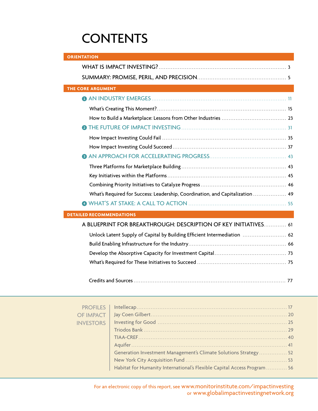# **CONTENTS**

| <b>ORIENTATION</b>                                                            |  |  |  |  |  |
|-------------------------------------------------------------------------------|--|--|--|--|--|
|                                                                               |  |  |  |  |  |
|                                                                               |  |  |  |  |  |
| THE CORE ARGUMENT                                                             |  |  |  |  |  |
|                                                                               |  |  |  |  |  |
|                                                                               |  |  |  |  |  |
|                                                                               |  |  |  |  |  |
|                                                                               |  |  |  |  |  |
|                                                                               |  |  |  |  |  |
|                                                                               |  |  |  |  |  |
|                                                                               |  |  |  |  |  |
|                                                                               |  |  |  |  |  |
|                                                                               |  |  |  |  |  |
|                                                                               |  |  |  |  |  |
| What's Required for Success: Leadership, Coordination, and Capitalization  49 |  |  |  |  |  |
|                                                                               |  |  |  |  |  |
| <b>DETAILED RECOMMENDATIONS</b>                                               |  |  |  |  |  |
| A BLUEPRINT FOR BREAKTHROUGH: DESCRIPTION OF KEY INITIATIVES 61               |  |  |  |  |  |
| Unlock Latent Supply of Capital by Building Efficient Intermediation  62      |  |  |  |  |  |
|                                                                               |  |  |  |  |  |
|                                                                               |  |  |  |  |  |
|                                                                               |  |  |  |  |  |
|                                                                               |  |  |  |  |  |
| <b>PROFILES</b>                                                               |  |  |  |  |  |
| <b>OF IMPACT</b>                                                              |  |  |  |  |  |

**INVESTOR** 

| $\top$ |                                                                          |
|--------|--------------------------------------------------------------------------|
| S.     |                                                                          |
|        |                                                                          |
|        |                                                                          |
|        |                                                                          |
|        | Generation Investment Management's Climate Solutions Strategy 52         |
|        |                                                                          |
|        | Habitat for Humanity International's Flexible Capital Access Program  56 |
|        |                                                                          |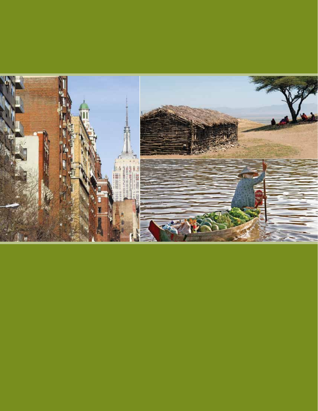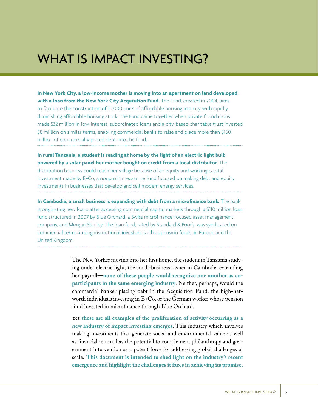## WHAT IS IMPACT INVESTING?

**In New York City, a low-income mother is moving into an apartment on land developed with a loan from the New York City Acquisition Fund.** The Fund, created in 2004, aims to facilitate the construction of 10,000 units of affordable housing in a city with rapidly diminishing affordable housing stock. The Fund came together when private foundations made \$32 million in low-interest, subordinated loans and a city-based charitable trust invested \$8 million on similar terms, enabling commercial banks to raise and place more than \$160 million of commercially priced debt into the fund.

**In rural Tanzania, a student is reading at home by the light of an electric light bulb powered by a solar panel her mother bought on credit from a local distributor.** The distribution business could reach her village because of an equity and working capital investment made by E+Co, a nonprofit mezzanine fund focused on making debt and equity investments in businesses that develop and sell modern energy services.

**In Cambodia, a small business is expanding with debt from a microfinance bank.** The bank is originating new loans after accessing commercial capital markets through a \$110 million loan fund structured in 2007 by Blue Orchard, a Swiss microfinance-focused asset management company, and Morgan Stanley. The loan fund, rated by Standard & Poor's, was syndicated on commercial terms among institutional investors, such as pension funds, in Europe and the United Kingdom.

> The New Yorker moving into her first home, the student in Tanzania studying under electric light, the small-business owner in Cambodia expanding her payroll—**none of these people would recognize one another as coparticipants in the same emerging industry**. Neither, perhaps, would the commercial banker placing debt in the Acquisition Fund, the high-networth individuals investing in E+Co, or the German worker whose pension fund invested in microfinance through Blue Orchard.

> <span id="page-4-0"></span>Yet **these are all examples of the proliferation of activity occurring as a new industry of impact investing emerges**. This industry which involves making investments that generate social and environmental value as well as financial return, has the potential to complement philanthropy and government intervention as a potent force for addressing global challenges at scale. **This document is intended to shed light on the industry's recent emergence and highlight the challenges it faces in achieving its promise.**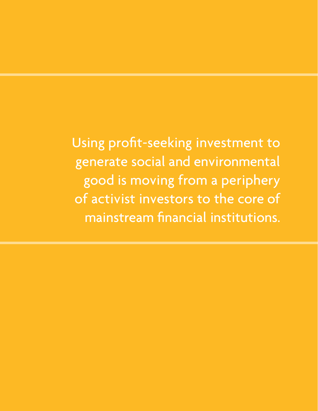Using profit-seeking investment to generate social and environmental good is moving from a periphery of activist investors to the core of mainstream financial institutions.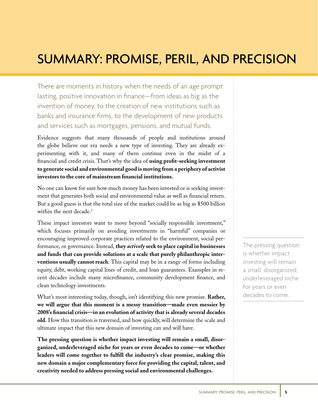# SUMMARY: PROMISE, PERIL, AND PRECISION

There are moments in history when the needs of an age prompt lasting, positive innovation in finance—from ideas as big as the invention of money, to the creation of new institutions such as banks and insurance firms, to the development of new products and services such as mortgages, pensions, and mutual funds.

Evidence suggests that many thousands of people and institutions around the globe believe our era needs a new type of investing. They are already experimenting with it, and many of them continue even in the midst of a financial and credit crisis. That's why the idea of **using profit-seeking investment to generate social and environmental good is moving from a periphery of activist investors to the core of mainstream financial institutions.** 

No one can know for sure how much money has been invested or is seeking investment that generates both social and environmental value as well as financial return. But a good guess is that the total size of the market could be as big as \$500 billion within the next decade.<sup>1</sup>

These impact investors want to move beyond "socially responsible investment," which focuses primarily on avoiding investments in "harmful" companies or encouraging improved corporate practices related to the environment, social performance, or governance. Instead, **they** *actively* **seek to place capital in businesses and funds that can provide solutions at a scale that purely philanthropic interventions usually cannot reach**. This capital may be in a range of forms including equity, debt, working capital lines of credit, and loan guarantees. Examples in recent decades include many microfinance, community development finance, and clean technology investments.

What's most interesting today, though, isn't identifying this new promise. **Rather, we will argue that this moment is a messy transition—made even messier by 2008's financial crisis—in an evolution of activity that is already several decades old.** How this transition is traversed, and how quickly, will determine the scale and ultimate impact that this new domain of investing can and will have.

<span id="page-6-0"></span>**The pressing question is whether impact investing will remain a small, disorganized, underleveraged niche for years or even decades to come—or whether leaders will come together to fulfill the industry's clear promise, making this new domain a major complementary force for providing the capital, talent, and creativity needed to address pressing social and environmental challenges.** 

The pressing question is whether impact investing will remain a small, disorganized, underleveraged niche for years or even decades to come.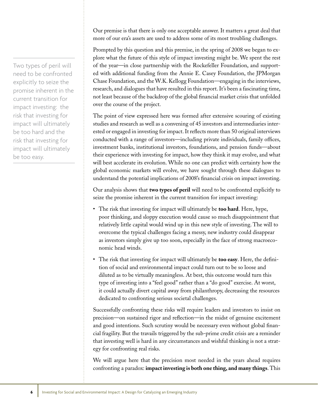Two types of peril will need to be confronted explicitly to seize the promise inherent in the current transition for impact investing: the risk that investing for impact will ultimately be too hard and the risk that investing for impact will ultimately be too easy.

Our premise is that there is only one acceptable answer. It matters a great deal that more of our era's assets are used to address some of its most troubling challenges.

Prompted by this question and this premise, in the spring of 2008 we began to explore what the future of this style of impact investing might be. We spent the rest of the year—in close partnership with the Rockefeller Foundation, and supported with additional funding from the Annie E. Casey Foundation, the JPMorgan Chase Foundation, and the W.K. Kellogg Foundation—engaging in the interviews, research, and dialogues that have resulted in this report. It's been a fascinating time, not least because of the backdrop of the global financial market crisis that unfolded over the course of the project.

The point of view expressed here was formed after extensive scouring of existing studies and research as well as a convening of 45 investors and intermediaries interested or engaged in investing for impact. It reflects more than 50 original interviews conducted with a range of investors—including private individuals, family offices, investment banks, institutional investors, foundations, and pension funds—about their experience with investing for impact, how they think it may evolve, and what will best accelerate its evolution. While no one can predict with certainty how the global economic markets will evolve, we have sought through these dialogues to understand the potential implications of 2008's financial crisis on impact investing.

Our analysis shows that **two types of peril** will need to be confronted explicitly to seize the promise inherent in the current transition for impact investing:

- s The risk that investing for impact will ultimately be **too hard**. Here, hype, poor thinking, and sloppy execution would cause so much disappointment that relatively little capital would wind up in this new style of investing. The will to overcome the typical challenges facing a messy, new industry could disappear as investors simply give up too soon, especially in the face of strong macroeconomic head winds.
- s The risk that investing for impact will ultimately be **too easy**. Here, the definition of social and environmental impact could turn out to be so loose and diluted as to be virtually meaningless. At best, this outcome would turn this type of investing into a "feel good" rather than a "do good" exercise. At worst, it could actually divert capital away from philanthropy, decreasing the resources dedicated to confronting serious societal challenges.

Successfully confronting these risks will require leaders and investors to insist on precision—on sustained rigor and reflection—in the midst of genuine excitement and good intentions. Such scrutiny would be necessary even without global financial fragility. But the travails triggered by the sub-prime credit crisis are a reminder that investing well is hard in any circumstances and wishful thinking is not a strategy for confronting real risks.

We will argue here that the precision most needed in the years ahead requires confronting a paradox: **impact investing is both one thing, and many things**. This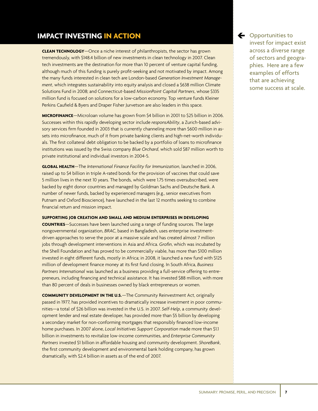## **IMPACT INVESTING IN ACTION**

**CLEAN TECHNOLOGY**—Once a niche interest of philanthropists, the sector has grown tremendously, with \$148.4 billion of new investments in clean technology in 2007. Clean tech investments are the destination for more than 10 percent of venture capital funding, although much of this funding is purely profit-seeking and not motivated by impact. Among the many funds interested in clean tech are London-based *Generation Investment Management*, which integrates sustainability into equity analysis and closed a \$638 million Climate Solutions Fund in 2008; and Connecticut-based *MissionPoint Capital Partners*, whose \$335 million fund is focused on solutions for a low-carbon economy. Top venture funds Kleiner Perkins Caufield & Byers and Draper Fisher Jurvetson are also leaders in this space.

**MICROFINANCE**—Microloan volume has grown from \$4 billion in 2001 to \$25 billion in 2006. Successes within this rapidly developing sector include *responsAbility*, a Zurich-based advisory services firm founded in 2003 that is currently channeling more than \$600 million in assets into microfinance, much of it from private banking clients and high-net-worth individuals. The first collateral debt obligation to be backed by a portfolio of loans to microfinance institutions was issued by the Swiss company *Blue Orchard*, which sold \$87 million worth to private institutional and individual investors in 2004-5.

**GLOBAL HEALTH**—The *International Finance Facility for Immunization*, launched in 2006, raised up to \$4 billion in triple A-rated bonds for the provision of vaccines that could save 5 million lives in the next 10 years. The bonds, which were 1.75 times oversubscribed, were backed by eight donor countries and managed by Goldman Sachs and Deutsche Bank. A number of newer funds, backed by experienced managers (e.g., senior executives from Putnam and Oxford Bioscience), have launched in the last 12 months seeking to combine financial return and mission impact.

#### **SUPPORTING JOB CREATION AND SMALL AND MEDIUM ENTERPRISES IN DEVELOPING**

**COUNTRIES**—Successes have been launched using a range of funding sources. The large nongovernmental organization, *BRAC*, based in Bangladesh, uses enterprise investmentdriven approaches to serve the poor at a massive scale and has created almost 7 million jobs through development interventions in Asia and Africa. *Grofin*, which was incubated by the Shell Foundation and has proved to be commercially viable, has more than \$100 million invested in eight different funds, mostly in Africa; in 2008, it launched a new fund with \$125 million of development finance money at its first fund closing. In South Africa, *Business Partners International* was launched as a business providing a full-service offering to entrepreneurs, including financing and technical assistance. It has invested \$88 million, with more than 80 percent of deals in businesses owned by black entrepreneurs or women.

**COMMUNITY DEVELOPMENT IN THE U.S.**—The Community Reinvestment Act, originally passed in 1977, has provided incentives to dramatically increase investment in poor communities—a total of \$26 billion was invested in the U.S. in 2007. *Self-Help*, a community development lender and real estate developer, has provided more than \$5 billion by developing a secondary market for non-conforming mortgages that responsibly financed low-income home purchases. In 2007 alone, *Local Initiatives Support Corporation* made more than \$1.1 billion in investments to revitalize low-income communities, and *Enterprise Community Partners* invested \$1 billion in affordable housing and community development. *ShoreBank*, the first community development and environmental bank holding company, has grown dramatically, with \$2.4 billion in assets as of the end of 2007.

← Opportunities to invest for impact exist across a diverse range of sectors and geographies. Here are a few examples of efforts that are achieving some success at scale.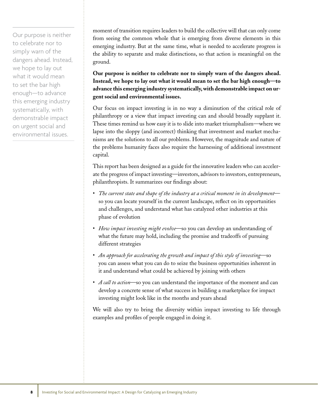Our purpose is neither to celebrate nor to simply warn of the dangers ahead. Instead, we hope to lay out what it would mean to set the bar high enough—to advance this emerging industry systematically, with demonstrable impact on urgent social and environmental issues.

moment of transition requires leaders to build the collective will that can only come from seeing the common whole that is emerging from diverse elements in this emerging industry. But at the same time, what is needed to accelerate progress is the ability to separate and make distinctions, so that action is meaningful on the ground.

## **Our purpose is neither to celebrate nor to simply warn of the dangers ahead. Instead, we hope to lay out what it would mean to set the bar high enough—to advance this emerging industry systematically, with demonstrable impact on urgent social and environmental issues.**

Our focus on impact investing is in no way a diminution of the critical role of philanthropy or a view that impact investing can and should broadly supplant it. These times remind us how easy it is to slide into market triumphalism—where we lapse into the sloppy (and incorrect) thinking that investment and market mechanisms are the solutions to all our problems. However, the magnitude and nature of the problems humanity faces also require the harnessing of additional investment capital.

This report has been designed as a guide for the innovative leaders who can accelerate the progress of impact investing—investors, advisors to investors, entrepreneurs, philanthropists. It summarizes our findings about:

- *The current state and shape of the industry at a critical moment in its development* so you can locate yourself in the current landscape, reflect on its opportunities and challenges, and understand what has catalyzed other industries at this phase of evolution
- *How impact investing might evolve*—so you can develop an understanding of what the future may hold, including the promise and tradeoffs of pursuing different strategies
- An approach for accelerating the growth and impact of this style of investing—so you can assess what you can do to seize the business opportunities inherent in it and understand what could be achieved by joining with others
- *A call to action*—so you can understand the importance of the moment and can develop a concrete sense of what success in building a marketplace for impact investing might look like in the months and years ahead

We will also try to bring the diversity within impact investing to life through examples and profiles of people engaged in doing it.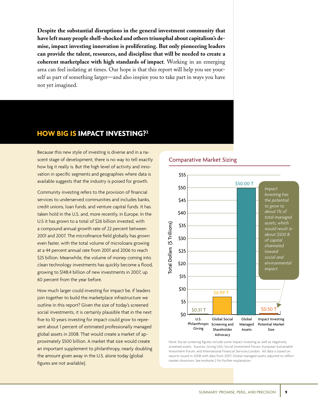**Despite the substantial disruptions in the general investment community that have left many people shell-shocked and others triumphal about capitalism's demise, impact investing innovation is proliferating. But only pioneering leaders can provide the talent, resources, and discipline that will be needed to create a coherent marketplace with high standards of impact**. Working in an emerging area can feel isolating at times. Our hope is that this report will help you see yourself as part of something larger—and also inspire you to take part in ways you have not yet imagined.

## **HOW BIG IS IMPACT INVESTING?2**

Because this new style of investing is diverse and in a nascent stage of development, there is no way to tell exactly how big it really is. But the high level of activity and innovation in specific segments and geographies where data is available suggests that the industry is poised for growth.

Community investing refers to the provision of financial services to underserved communities and includes banks, credit unions, loan funds, and venture capital funds. It has taken hold in the U.S. and, more recently, in Europe. In the U.S it has grown to a total of \$26 billion invested, with a compound annual growth rate of 22 percent between 2001 and 2007. The microfinance field globally has grown even faster, with the total volume of microloans growing at a 44 percent annual rate from 2001 and 2006 to reach \$25 billion. Meanwhile, the volume of money coming into clean technology investments has quickly become a flood, growing to \$148.4 billion of new investments in 2007, up 60 percent from the year before.

How much larger could investing for impact be, if leaders join together to build the marketplace infrastructure we outline in this report? Given the size of today's screened social investments, it is certainly plausible that in the next five to 10 years investing for impact could grow to represent about 1 percent of estimated professionally managed global assets in 2008. That would create a market of approximately \$500 billion. A market that size would create an important supplement to philanthropy, nearly doubling the amount given away in the U.S. alone today (global figures are not available).

## Comparative Market Sizing



Note: Social screening figures include some impact investing as well as negatively screened assets. Sources: Giving USA, Social Investment Forum, European Sustainable Investment Forum, and International Financial Services London. All data is based on reports issued in 2008 with data from 2007. Global managed assets adjusted to reflect market downturn. See endnote 2 for further explanation.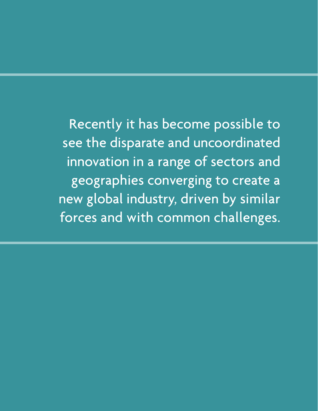Recently it has become possible to see the disparate and uncoordinated innovation in a range of sectors and geographies converging to create a new global industry, driven by similar forces and with common challenges.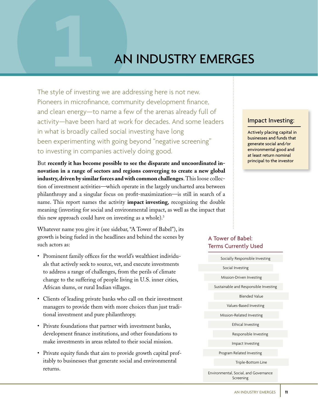# AN INDUSTRY EMERGES

The style of investing we are addressing here is not new. Pioneers in microfinance, community development finance, and clean energy—to name a few of the arenas already full of activity—have been hard at work for decades. And some leaders in what is broadly called social investing have long been experimenting with going beyond "negative screening" to investing in companies actively doing good.

But **recently it has become possible to see the disparate and uncoordinated innovation in a range of sectors and regions converging to create a new global industry, driven by similar forces and with common challenges**. This loose collection of investment activities—which operate in the largely uncharted area between philanthropy and a singular focus on profit-maximization—is still in search of a name. This report names the activity **impact investing**, recognizing the double meaning (investing for social and environmental impact, as well as the impact that this new approach could have on investing as a whole).<sup>3</sup>

Whatever name you give it (see sidebar, "A Tower of Babel"), its growth is being fueled in the headlines and behind the scenes by such actors as:

- Prominent family offices for the world's wealthiest individuals that actively seek to source, vet, and execute investments to address a range of challenges, from the perils of climate change to the suffering of people living in U.S. inner cities, African slums, or rural Indian villages.
- Clients of leading private banks who call on their investment managers to provide them with more choices than just traditional investment and pure philanthropy.
- Private foundations that partner with investment banks, development finance institutions, and other foundations to make investments in areas related to their social mission.
- <span id="page-12-0"></span>• Private equity funds that aim to provide growth capital profitably to businesses that generate social and environmental returns.

## Impact Investing:

Actively placing capital in businesses and funds that generate social and/or environmental good and at least return nominal principal to the investor

## A Tower of Babel: Terms Currently Used

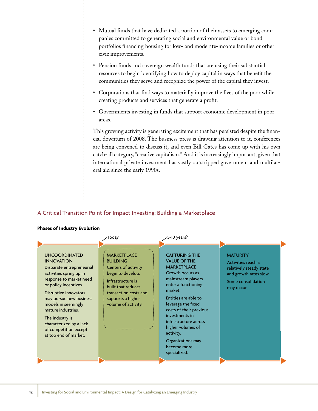- Mutual funds that have dedicated a portion of their assets to emerging companies committed to generating social and environmental value or bond portfolios financing housing for low- and moderate-income families or other civic improvements.
- Pension funds and sovereign wealth funds that are using their substantial resources to begin identifying how to deploy capital in ways that benefit the communities they serve and recognize the power of the capital they invest.
- Corporations that find ways to materially improve the lives of the poor while creating products and services that generate a profit.
- s Governments investing in funds that support economic development in poor areas.

This growing activity is generating excitement that has persisted despite the financial downturn of 2008. The business press is drawing attention to it, conferences are being convened to discuss it, and even Bill Gates has come up with his own catch-all category, "creative capitalism." And it is increasingly important, given that international private investment has vastly outstripped government and multilateral aid since the early 1990s.

## A Critical Transition Point for Impact Investing: Building a Marketplace



## **Phases of Industry Evolution**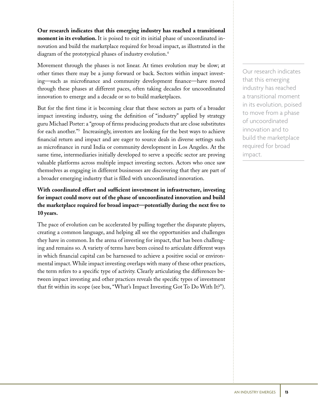**Our research indicates that this emerging industry has reached a transitional moment in its evolution.** It is poised to exit its initial phase of uncoordinated innovation and build the marketplace required for broad impact, as illustrated in the diagram of the prototypical phases of industry evolution.4

Movement through the phases is not linear. At times evolution may be slow; at other times there may be a jump forward or back. Sectors within impact investing—such as microfinance and community development finance—have moved through these phases at different paces, often taking decades for uncoordinated innovation to emerge and a decade or so to build marketplaces.

But for the first time it is becoming clear that these sectors as parts of a broader impact investing industry, using the definition of "industry" applied by strategy guru Michael Porter: a "group of firms producing products that are close substitutes for each another."5 Increasingly, investors are looking for the best ways to achieve financial return and impact and are eager to source deals in diverse settings such as microfinance in rural India or community development in Los Angeles. At the same time, intermediaries initially developed to serve a specific sector are proving valuable platforms across multiple impact investing sectors. Actors who once saw themselves as engaging in different businesses are discovering that they are part of a broader emerging industry that is filled with uncoordinated innovation.

## **With coordinated effort and sufficient investment in infrastructure, investing for impact could move out of the phase of uncoordinated innovation and build the marketplace required for broad impact—potentially during the next five to 10 years.**

The pace of evolution can be accelerated by pulling together the disparate players, creating a common language, and helping all see the opportunities and challenges they have in common. In the arena of investing for impact, that has been challenging and remains so. A variety of terms have been coined to articulate different ways in which financial capital can be harnessed to achieve a positive social or environmental impact. While impact investing overlaps with many of these other practices, the term refers to a specific type of activity. Clearly articulating the differences between impact investing and other practices reveals the specific types of investment that fit within its scope (see box, "What's Impact Investing Got To Do With It?").

Our research indicates that this emerging industry has reached a transitional moment in its evolution, poised to move from a phase of uncoordinated innovation and to build the marketplace required for broad impact.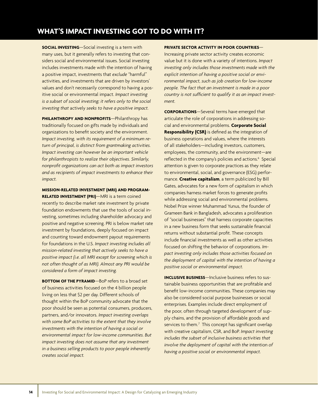## **WHAT'S IMPACT INVESTING GOT TO DO WITH IT?**

**SOCIAL INVESTING**—Social investing is a term with many uses, but it generally refers to investing that considers social and environmental issues. Social investing includes investments made with the intention of having a positive impact, investments that *exclude* "harmful" activities, and investments that are driven by investors' values and don't necessarily correspond to having a positive social or environmental impact. *Impact investing is a subset of social investing; it refers only to the social investing that* actively *seeks to have a positive impact.*

**PHILANTHROPY AND NONPROFITS**—Philanthropy has traditionally focused on gifts made by individuals and organizations to benefit society and the environment. *Impact investing, with its requirement of a minimum return of principal, is distinct from grantmaking activities. Impact investing can however be an important vehicle for philanthropists to realize their objectives. Similarly, nonprofit organizations can act both as impact investors and as recipients of impact investments to enhance their impact.*

**MISSION-RELATED INVESTMENT (MRI) AND PROGRAM-RELATED INVESTMENT (PRI)**—MRI is a term coined

recently to describe market rate investment by private foundation endowments that use the tools of social investing, sometimes including shareholder advocacy and positive and negative screening. PRI is below market rate investment by foundations, deeply focused on impact and counting toward endowment payout requirements for foundations in the U.S. *Impact investing includes all mission-related investing that actively seeks to have a positive impact (i.e. all MRI except for screening which is not often thought of as MRI). Almost any PRI would be considered a form of impact investing.* 

**BOTTOM OF THE PYRAMID**—BoP refers to a broad set of business activities focused on the 4 billion people living on less that \$2 per day. Different schools of thought within the BoP community advocate that the poor should be seen as potential consumers, producers, partners, and/or innovators. *Impact investing overlaps with some BoP activities to the extent that they involve investments with the intention of having a social or environmental impact for low-income communities. But impact investing does not assume that any investment in a business selling products to poor people inherently creates social impact.*

#### **PRIVATE SECTOR ACTIVITY IN POOR COUNTRIES**—

Increasing private sector activity creates economic value but it is done with a variety of intentions. *Impact investing only includes those investments made with the explicit intention of having a positive social or environmental impact, such as job creation for low-income people. The fact that an investment is made in a poor country is not sufficient to qualify it as an impact investment.*

**CORPORATIONS**—Several terms have emerged that articulate the role of corporations in addressing social and environmental problems. **Corporate Social Responsibility (CSR)** is defined as the integration of business operations and values, where the interests of all stakeholders—including investors, customers, employees, the community, and the environment—are reflected in the company's policies and actions.<sup>6</sup> Special attention is given to corporate practices as they relate to environmental, social, and governance (ESG) performance. **Creative capitalism**, a term publicized by Bill Gates, advocates for a new form of capitalism in which companies harness market forces to generate profits while addressing social and environmental problems. Nobel Prize winner Muhammad Yunus, the founder of Grameen Bank in Bangladesh, advocates a proliferation of "social businesses" that harness corporate capacities in a new business form that seeks sustainable financial returns without substantial profit. These concepts include financial investments as well as other activities focused on shifting the behavior of corporations. *Impact investing only includes those activities focused on the deployment of capital with the intention of having a positive social or environmental impact.*

**INCLUSIVE BUSINESS**—Inclusive business refers to sustainable business opportunities that are profitable and benefit low-income communities. These companies may also be considered social purpose businesses or social enterprises. Examples include direct employment of the poor, often through targeted development of supply chains, and the provision of affordable goods and services to them.<sup>7</sup> This concept has significant overlap with creative capitalism, CSR, and BoP. *Impact investing includes the subset of inclusive business activities that involve the deployment of capital with the* intention *of having a positive social or environmental impact.*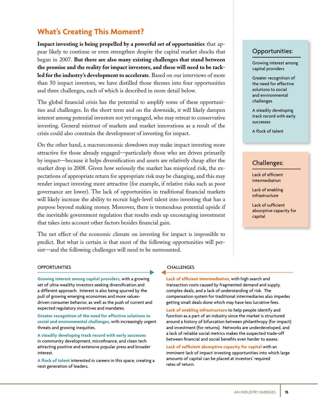## **What's Creating This Moment?**

**Impact investing is being propelled by a powerful set of opportunities** that appear likely to continue or even strengthen despite the capital market shocks that began in 2007. **But there are also many existing challenges that stand between the promise and the reality for impact investors, and these will need to be tackled for the industry's development to accelerate**. Based on our interviews of more than 50 impact investors, we have distilled those themes into four opportunities and three challenges, each of which is described in more detail below.

The global financial crisis has the potential to amplify some of these opportunities and challenges. In the short term and on the downside, it will likely dampen interest among potential investors not yet engaged, who may retreat to conservative investing. General mistrust of markets and market innovations as a result of the crisis could also constrain the development of investing for impact.

On the other hand, a macroeconomic slowdown may make impact investing more attractive for those already engaged—particularly those who are driven primarily by impact—because it helps diversification and assets are relatively cheap after the market drop in 2008. Given how seriously the market has mispriced risk, the expectations of appropriate return for appropriate risk may be changing, and this may render impact investing more attractive (for example, if relative risks such as poor governance are lower). The lack of opportunities in traditional financial markets will likely increase the ability to recruit high-level talent into investing that has a purpose beyond making money. Moreover, there is tremendous potential upside if the inevitable government regulation that results ends up encouraging investment that takes into account other factors besides financial gain.

The net effect of the economic climate on investing for impact is impossible to predict. But what is certain is that most of the following opportunities will persist—and the following challenges will need to be surmounted.

#### OPPORTUNITIES CHALLENGES

**Growing interest among capital providers**, with a growing set of ultra-wealthy investors seeking diversification and a different approach. Interest is also being spurred by the pull of growing emerging economies and more valuesdriven consumer behavior, as well as the push of current and expected regulatory incentives and mandates.

**Greater recognition of the need for effective solutions to social and environmental challenges**, with increasingly urgent threats and growing inequities.

**A steadily developing track record with early successes** in community development, microfinance, and clean tech attracting positive and extensive popular press and broader interest.

<span id="page-16-0"></span>**A flock of talent** interested in careers in this space, creating a next generation of leaders.

**Lack of efficient intermediation**, with high search and transaction costs caused by fragmented demand and supply, complex deals, and a lack of understanding of risk. The compensation system for traditional intermediaries also impedes getting small deals done which may have less lucrative fees.

**Lack of enabling infrastructure** to help people identify and function as a part of an industry since the market is structured around a history of bifurcation between philanthropy (for impact) and investment (for returns). Networks are underdeveloped, and a lack of reliable social metrics makes the suspected trade-off between financial and social benefits even harder to assess.

**Lack of sufficient absorptive capacity for capital** with an imminent lack of impact investing opportunities into which large amounts of capital can be placed at investors' required rates of return.

## Opportunities:

Growing interest among capital providers

Greater recognition of the need for effective solutions to social and environmental challenges

A steadily developing track record with early successes

A flock of talent

## Challenges:

Lack of efficient intermediation

Lack of enabling infrastructure

Lack of sufficient absorptive capacity for capital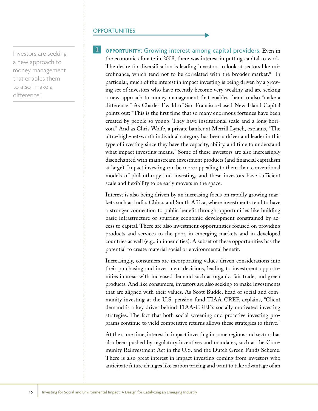### **OPPORTUNITIES**

 $\mathbf{1}$ 

Investors are seeking a new approach to money management that enables them to also "make a difference."

**OPPORTUNITY**: Growing interest among capital providers. Even in the economic climate in 2008, there was interest in putting capital to work. The desire for diversification is leading investors to look at sectors like microfinance, which tend not to be correlated with the broader market.<sup>8</sup> In particular, much of the interest in impact investing is being driven by a growing set of investors who have recently become very wealthy and are seeking a new approach to money management that enables them to also "make a difference." As Charles Ewald of San Francisco-based New Island Capital points out: "This is the first time that so many enormous fortunes have been created by people so young. They have institutional scale and a long horizon." And as Chris Wolfe, a private banker at Merrill Lynch, explains, "The ultra-high-net-worth individual category has been a driver and leader in this type of investing since they have the capacity, ability, and time to understand what impact investing means." Some of these investors are also increasingly disenchanted with mainstream investment products (and financial capitalism at large). Impact investing can be more appealing to them than conventional models of philanthropy and investing, and these investors have sufficient scale and flexibility to be early movers in the space.

Interest is also being driven by an increasing focus on rapidly growing markets such as India, China, and South Africa, where investments tend to have a stronger connection to public benefit through opportunities like building basic infrastructure or spurring economic development constrained by access to capital. There are also investment opportunities focused on providing products and services to the poor, in emerging markets and in developed countries as well (e.g., in inner cities). A subset of these opportunities has the potential to create material social or environmental benefit.

Increasingly, consumers are incorporating values-driven considerations into their purchasing and investment decisions, leading to investment opportunities in areas with increased demand such as organic, fair trade, and green products. And like consumers, investors are also seeking to make investments that are aligned with their values. As Scott Budde, head of social and community investing at the U.S. pension fund TIAA-CREF, explains, "Client demand is a key driver behind TIAA-CREF's socially motivated investing strategies. The fact that both social screening and proactive investing programs continue to yield competitive returns allows these strategies to thrive."

At the same time, interest in impact investing in some regions and sectors has also been pushed by regulatory incentives and mandates, such as the Community Reinvestment Act in the U.S. and the Dutch Green Funds Scheme. There is also great interest in impact investing coming from investors who anticipate future changes like carbon pricing and want to take advantage of an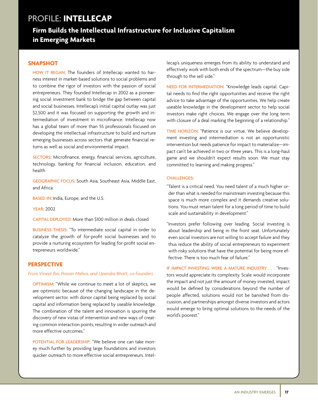## PROFILE: **INTELLECAP**

**Firm Builds the Intellectual Infrastructure for Inclusive Capitalism in Emerging Markets**

## **SNAPSHOT**

HOW IT BEGAN: The founders of Intellecap wanted to harness interest in market-based solutions to social problems and to combine the rigor of investors with the passion of social entrepreneurs. They founded Intellecap in 2002 as a pioneering social investment bank to bridge the gap between capital and social businesses. Intellecap's initial capital outlay was just \$2,500 and it was focused on supporting the growth and intermediation of investment in microfinance. Intellecap now has a global team of more than 55 professionals focused on developing the intellectual infrastructure to build and nurture emerging businesses across sectors that generate financial returns as well as social and environmental impact.

SECTORS: Microfinance, energy, financial services, agriculture, technology, banking for financial inclusion, education, and health

GEOGRAPHIC FOCUS: South Asia, Southeast Asia, Middle East, and Africa

BASED IN: India, Europe, and the U.S.

YEAR: 2002

CAPITAL DEPLOYED: More than \$100 million in deals closed

BUSINESS THESIS: "To intermediate social capital in order to catalyze the growth of for-profit social businesses and to provide a nurturing ecosystem for leading for-profit social entrepreneurs worldwide."

## **PERSPECTIVE**

#### *From Vineet Rai, Pawan Mehra, and Upendra Bhatt, co-founders*

OPTIMISM: "While we continue to meet a lot of skeptics, we are optimistic because of the changing landscape in the development sector, with donor capital being replaced by social capital and information being replaced by useable knowledge. The combination of the talent and innovation is spurring the discovery of new vistas of intervention and new ways of creating common interaction points, resulting in wider outreach and more effective outcomes."

<span id="page-18-0"></span>POTENTIAL FOR LEADERSHIP: "We believe one can take money much further by providing large foundations and investors quicker outreach to more effective social entrepreneurs. Intellecap's uniqueness emerges from its ability to understand and effectively work with both ends of the spectrum—the buy side through to the sell side."

NEED FOR INTERMEDIATION: "Knowledge leads capital. Capital needs to find the right opportunities and receive the right advice to take advantage of the opportunities. We help create useable knowledge in the development sector to help social investors make right choices. We engage over the long term with closure of a deal marking the beginning of a relationship."

TIME HORIZON: "Patience is our virtue. We believe development investing and intermediation is not an opportunistic intervention but needs patience for impact to materialize—impact can't be achieved in two or three years. This is a long-haul game and we shouldn't expect results soon. We must stay committed to learning and making progress."

#### CHALLENGES:**:**

"Talent is a critical need. You need talent of a much higher order than what is needed for mainstream investing because this space is much more complex and it demands creative solutions. You must retain talent for a long period of time to build scale and sustainability in development."

"Investors prefer following over leading. Social investing is about leadership and being in the front seat. Unfortunately even social investors are not willing to accept failure and they thus reduce the ability of social entrepreneurs to experiment with risky solutions that have the potential for being more effective. There is too much fear of failure."

IF IMPACT INVESTING WERE A MATURE INDUSTRY . . . "Investors would appreciate its complexity. Scale would incorporate the impact and not just the amount of money invested, impact would be defined by considerations beyond the number of people affected, solutions would not be banished from discussion, and partnerships amongst diverse investors and actors would emerge to bring optimal solutions to the needs of the world's poorest."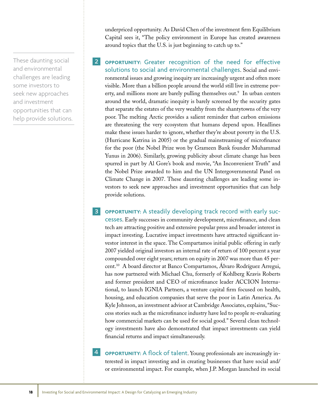These daunting social and environmental challenges are leading some investors to seek new approaches and investment opportunities that can help provide solutions. underpriced opportunity. As David Chen of the investment firm Equilibrium Capital sees it, "The policy environment in Europe has created awareness around topics that the U.S. is just beginning to catch up to."

 $|2|$ **OPPORTUNITY:** Greater recognition of the need for effective solutions to social and environmental challenges. Social and environmental issues and growing inequity are increasingly urgent and often more visible. More than a billion people around the world still live in extreme poverty, and millions more are barely pulling themselves out.<sup>9</sup> In urban centers around the world, dramatic inequity is barely screened by the security gates that separate the estates of the very wealthy from the shantytowns of the very poor. The melting Arctic provides a salient reminder that carbon emissions are threatening the very ecosystem that humans depend upon. Headlines make these issues harder to ignore, whether they're about poverty in the U.S. (Hurricane Katrina in 2005) or the gradual mainstreaming of microfinance for the poor (the Nobel Prize won by Grameen Bank founder Muhammad Yunus in 2006). Similarly, growing publicity about climate change has been spurred in part by Al Gore's book and movie, "An Inconvenient Truth" and the Nobel Prize awarded to him and the UN Intergovernmental Panel on Climate Change in 2007. These daunting challenges are leading some investors to seek new approaches and investment opportunities that can help provide solutions.

**OPPORTUNITY:** A steadily developing track record with early successes. Early successes in community development, microfinance, and clean tech are attracting positive and extensive popular press and broader interest in impact investing. Lucrative impact investments have attracted significant investor interest in the space. The Compartamos initial public offering in early 2007 yielded original investors an internal rate of return of 100 percent a year compounded over eight years; return on equity in 2007 was more than 45 percent.10 A board director at Banco Compartamos, Álvaro Rodríguez Arregui, has now partnered with Michael Chu, formerly of Kohlberg Kravis Roberts and former president and CEO of microfinance leader ACCION International, to launch IGNIA Partners, a venture capital firm focused on health, housing, and education companies that serve the poor in Latin America. As Kyle Johnson, an investment advisor at Cambridge Associates, explains, "Success stories such as the microfinance industry have led to people re-evaluating how commercial markets can be used for social good." Several clean technology investments have also demonstrated that impact investments can yield financial returns and impact simultaneously.

 $\vert 4 \vert$ **OPPORTUNITY:** A flock of talent. Young professionals are increasingly interested in impact investing and in creating businesses that have social and/ or environmental impact. For example, when J.P. Morgan launched its social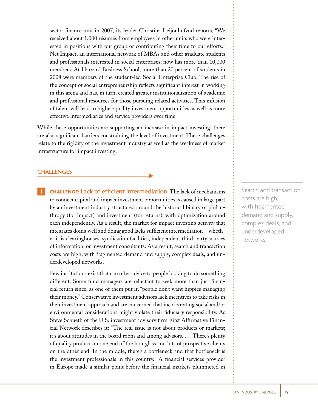sector finance unit in 2007, its leader Christina Leijonhufvud reports, "We received about 1,000 résumés from employees in other units who were interested in positions with our group or contributing their time to our efforts." Net Impact, an international network of MBAs and other graduate students and professionals interested in social enterprises, now has more than 10,000 members. At Harvard Business School, more than 20 percent of students in 2008 were members of the student-led Social Enterprise Club. The rise of the concept of social entrepreneurship reflects significant interest in working in this arena and has, in turn, created greater institutionalization of academic and professional resources for those pursuing related activities. This infusion of talent will lead to higher-quality investment opportunities as well as more effective intermediaries and service providers over time.

While these opportunities are supporting an increase in impact investing, there are also significant barriers constraining the level of investment. These challenges relate to the rigidity of the investment industry as well as the weakness of market infrastructure for impact investing.

## **CHALLENGES**

**CHALLENGE:** Lack of efficient intermediation. The lack of mechanisms  $\mathbf{1}$ to connect capital and impact investment opportunities is caused in large part by an investment industry structured around the historical binary of philanthropy (for impact) and investment (for returns), with optimization around each independently. As a result, the market for impact investing activity that integrates doing well and doing good lacks sufficient intermediation—whether it is clearinghouses, syndication facilities, independent third-party sources of information, or investment consultants. As a result, search and transaction costs are high, with fragmented demand and supply, complex deals, and underdeveloped networks.

Few institutions exist that can offer advice to people looking to do something different. Some fund managers are reluctant to seek more than just financial return since, as one of them put it, "people don't want hippies managing their money." Conservative investment advisors lack incentives to take risks in their investment approach and are concerned that incorporating social and/or environmental considerations might violate their fiduciary responsibility. As Steve Schueth of the U.S. investment advisory firm First Affirmative Financial Network describes it: "The real issue is not about products or markets; it's about attitudes in the board room and among advisors. . . . There's plenty of quality product on one end of the hourglass and lots of prospective clients on the other end. In the middle, there's a bottleneck and that bottleneck is the investment professionals in this country." A financial services provider in Europe made a similar point before the financial markets plummeted in Search and transaction costs are high, with fragmented demand and supply, complex deals, and underdeveloped networks.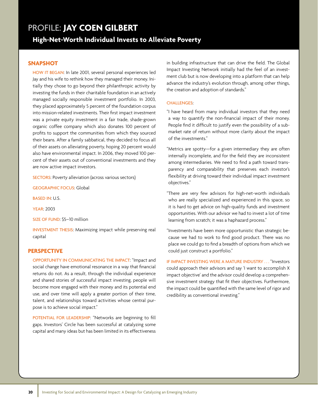## PROFILE: **JAY COEN GILBERT**

**High-Net-Worth Individual Invests to Alleviate Poverty**

## **SNAPSHOT**

HOW IT BEGAN: In late 2001, several personal experiences led Jay and his wife to rethink how they managed their money. Initially they chose to go beyond their philanthropic activity by investing the funds in their charitable foundation in an actively managed socially responsible investment portfolio. In 2003, they placed approximately 5 percent of the foundation corpus into mission-related investments. Their first impact investment was a private equity investment in a fair trade, shade-grown organic coffee company which also donates 100 percent of profits to support the communities from which they sourced their beans. After a family sabbatical, they decided to focus all of their assets on alleviating poverty, hoping 20 percent would also have environmental impact. In 2006, they moved 100 percent of their assets out of conventional investments and they are now active impact investors.

SECTORS: Poverty alleviation (across various sectors)

GEOGRAPHIC FOCUS: Global

BASED IN: U.S.

YEAR: 2003

SIZE OF FUND: \$5–10 million

INVESTMENT THESIS: Maximizing impact while preserving real capital

## **PERSPECTIVE**

OPPORTUNITY IN COMMUNICATING THE IMPACT: "Impact and social change have emotional resonance in a way that financial returns do not. As a result, through the individual experience and shared stories of successful impact investing, people will become more engaged with their money and its potential end use, and over time will apply a greater portion of their time, talent, and relationships toward activities whose central purpose is to achieve social impact."

<span id="page-21-0"></span>POTENTIAL FOR LEADERSHIP: "Networks are beginning to fill gaps. Investors' Circle has been successful at catalyzing some capital and many ideas but has been limited in its effectiveness

in building infrastructure that can drive the field. The Global Impact Investing Network initially had the feel of an investment club but is now developing into a platform that can help advance the industry's evolution through, among other things, the creation and adoption of standards."

#### CHALLENGES:**:**

"I have heard from many individual investors that they need a way to quantify the non-financial impact of their money. People find it difficult to justify even the possibility of a submarket rate of return without more clarity about the impact of the investments."

"Metrics are spotty—for a given intermediary they are often internally incomplete, and for the field they are inconsistent among intermediaries. We need to find a path toward transparency and comparability that preserves each investor's flexibility at driving toward their individual impact investment objectives."

"There are very few advisors for high-net-worth individuals who are really specialized and experienced in this space, so it is hard to get advice on high-quality funds and investment opportunities. With our advisor we had to invest a lot of time learning from scratch; it was a haphazard process."

"Investments have been more opportunistic than strategic because we had to work to find good product. There was no place we could go to find a breadth of options from which we could just construct a portfolio."

IF IMPACT INVESTING WERE A MATURE INDUSTRY . . . "Investors could approach their advisors and say 'I want to accomplish X impact objective' and the advisor could develop a comprehensive investment strategy that fit their objectives. Furthermore, the impact could be quantified with the same level of rigor and credibility as conventional investing."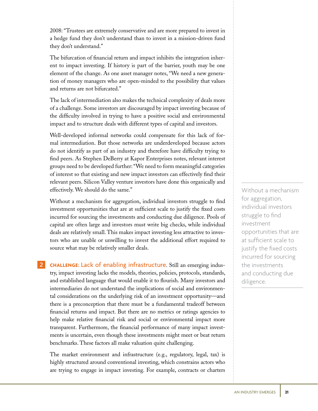2008: "Trustees are extremely conservative and are more prepared to invest in a hedge fund they don't understand than to invest in a mission-driven fund they don't understand."

The bifurcation of financial return and impact inhibits the integration inherent to impact investing. If history is part of the barrier, youth may be one element of the change. As one asset manager notes, "We need a new generation of money managers who are open-minded to the possibility that values and returns are not bifurcated."

The lack of intermediation also makes the technical complexity of deals more of a challenge. Some investors are discouraged by impact investing because of the difficulty involved in trying to have a positive social and environmental impact and to structure deals with different types of capital and investors.

Well-developed informal networks could compensate for this lack of formal intermediation. But those networks are underdeveloped because actors do not identify as part of an industry and therefore have difficulty trying to find peers. As Stephen DeBerry at Kapor Enterprises notes, relevant interest groups need to be developed further: "We need to form meaningful categories of interest so that existing and new impact investors can effectively find their relevant peers. Silicon Valley venture investors have done this organically and effectively. We should do the same."

Without a mechanism for aggregation, individual investors struggle to find investment opportunities that are at sufficient scale to justify the fixed costs incurred for sourcing the investments and conducting due diligence. Pools of capital are often large and investors must write big checks, while individual deals are relatively small. This makes impact investing less attractive to investors who are unable or unwilling to invest the additional effort required to source what may be relatively smaller deals.

**2 CHALLENGE:** Lack of enabling infrastructure. Still an emerging industry, impact investing lacks the models, theories, policies, protocols, standards, and established language that would enable it to flourish. Many investors and intermediaries do not understand the implications of social and environmental considerations on the underlying risk of an investment opportunity—and there is a preconception that there must be a fundamental tradeoff between financial returns and impact. But there are no metrics or ratings agencies to help make relative financial risk and social or environmental impact more transparent. Furthermore, the financial performance of many impact investments is uncertain, even though these investments might meet or beat return benchmarks. These factors all make valuation quite challenging.

The market environment and infrastructure (e.g., regulatory, legal, tax) is highly structured around conventional investing, which constrains actors who are trying to engage in impact investing. For example, contracts or charters Without a mechanism for aggregation, individual investors struggle to find investment opportunities that are at sufficient scale to justify the fixed costs incurred for sourcing the investments and conducting due diligence.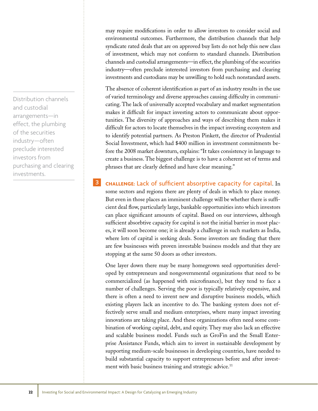Distribution channels and custodial arrangements—in effect, the plumbing of the securities industry—often preclude interested investors from purchasing and clearing investments.

may require modifications in order to allow investors to consider social and environmental outcomes. Furthermore, the distribution channels that help syndicate rated deals that are on approved buy lists do not help this new class of investment, which may not conform to standard channels. Distribution channels and custodial arrangements—in effect, the plumbing of the securities industry—often preclude interested investors from purchasing and clearing investments and custodians may be unwilling to hold such nonstandard assets.

The absence of coherent identification as part of an industry results in the use of varied terminology and diverse approaches causing difficulty in communicating. The lack of universally accepted vocabulary and market segmentation makes it difficult for impact investing actors to communicate about opportunities. The diversity of approaches and ways of describing them makes it difficult for actors to locate themselves in the impact investing ecosystem and to identify potential partners. As Preston Pinkett, the director of Prudential Social Investment, which had \$400 million in investment commitments before the 2008 market downturn, explains: "It takes consistency in language to create a business. The biggest challenge is to have a coherent set of terms and phrases that are clearly defined and have clear meaning."

 $|3|$ **CHALLENGE:** Lack of sufficient absorptive capacity for capital. In some sectors and regions there are plenty of deals in which to place money. But even in those places an imminent challenge will be whether there is sufficient deal flow, particularly large, bankable opportunities into which investors can place significant amounts of capital. Based on our interviews, although sufficient absorbtive capacity for capital is not the initial barrier in most places, it will soon become one; it is already a challenge in such markets as India, where lots of capital is seeking deals. Some investors are finding that there are few businesses with proven investable business models and that they are stopping at the same 50 doors as other investors.

One layer down there may be many homegrown seed opportunities developed by entrepreneurs and nongovernmental organizations that need to be commercialized (as happened with microfinance), but they tend to face a number of challenges. Serving the poor is typically relatively expensive, and there is often a need to invent new and disruptive business models, which existing players lack an incentive to do. The banking system does not effectively serve small and medium enterprises, where many impact investing innovations are taking place. And these organizations often need some combination of working capital, debt, and equity. They may also lack an effective and scalable business model. Funds such as GroFin and the Small Enterprise Assistance Funds, which aim to invest in sustainable development by supporting medium-scale businesses in developing countries, have needed to build substantial capacity to support entrepreneurs before and after investment with basic business training and strategic advice.<sup>11</sup>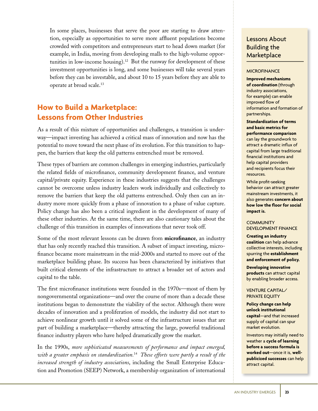In some places, businesses that serve the poor are starting to draw attention, especially as opportunities to serve more affluent populations become crowded with competitors and entrepreneurs start to head down market (for example, in India, moving from developing malls to the high-volume opportunities in low-income housing).<sup>12</sup> But the runway for development of these investment opportunities is long, and some businesses will take several years before they can be investable, and about 10 to 15 years before they are able to operate at broad scale.13

## **How to Build a Marketplace: Lessons from Other Industries**

As a result of this mixture of opportunities and challenges, a transition is underway—impact investing has achieved a critical mass of innovation and now has the potential to move toward the next phase of its evolution. For this transition to happen, the barriers that keep the old patterns entrenched must be removed.

These types of barriers are common challenges in emerging industries, particularly the related fields of microfinance, community development finance, and venture capital/private equity. Experience in these industries suggests that the challenges cannot be overcome unless industry leaders work individually and collectively to remove the barriers that keep the old patterns entrenched. Only then can an industry move more quickly from a phase of innovation to a phase of value capture. Policy change has also been a critical ingredient in the development of many of these other industries. At the same time, there are also cautionary tales about the challenge of this transition in examples of innovations that never took off.

Some of the most relevant lessons can be drawn from **microfinance**, an industry that has only recently reached this transition. A subset of impact investing, microfinance became more mainstream in the mid-2000s and started to move out of the marketplace building phase. Its success has been characterized by initiatives that built critical elements of the infrastructure to attract a broader set of actors and capital to the table.

The first microfinance institutions were founded in the 1970s—most of them by nongovernmental organizations—and over the course of more than a decade these institutions began to demonstrate the viability of the sector. Although there were decades of innovation and a proliferation of models, the industry did not start to achieve nonlinear growth until it solved some of the infrastructure issues that are part of building a marketplace—thereby attracting the large, powerful traditional finance industry players who have helped dramatically grow the market.

<span id="page-24-0"></span>In the 1990s, *more sophisticated measurements of performance and impact emerged, with a greater emphasis on standardization.*<sup>14</sup> *These efforts were partly a result of the increased strength of industry associations*, including the Small Enterprise Education and Promotion (SEEP) Network, a membership organization of international

## Lessons About Building the **Marketplace**

## **MICROFINANCE**

**Improved mechanisms of coordination** (through industry associations, for example) can enable improved flow of information and formation of partnerships.

**Standardization of terms and basic metrics for performance comparison** can lay the groundwork to attract a dramatic influx of capital from large traditional financial institutions and help capital providers and recipients focus their resources.

While profit-seeking behavior can attract greater mainstream investments, it also generates **concern about how low the floor for social impact is.**

## **COMMUNITY** DEVELOPMENT FINANCE

**Creating an industry coalition** can help advance collective interests, including spurring the **establishment and enforcement of policy.**

**Developing innovative products** can attract capital by enabling broader access.

## VENTURE CAPITAL/ PRIVATE EQUITY

**Policy change can help unlock institutional capital**—and that increased supply of capital can spur market evolution.

Investors may initially need to weather a **cycle of learning before a success formula is worked out**—once it is, **wellpublicized successes** can help attract capital.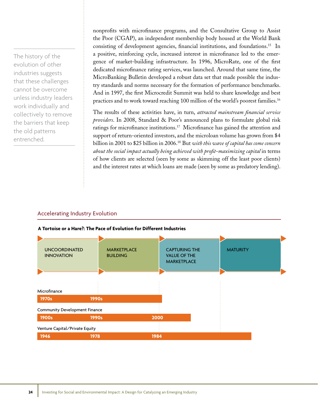The history of the evolution of other industries suggests that these challenges cannot be overcome unless industry leaders work individually and collectively to remove the barriers that keep the old patterns entrenched.

nonprofits with microfinance programs, and the Consultative Group to Assist the Poor (CGAP), an independent membership body housed at the World Bank consisting of development agencies, financial institutions, and foundations.15 In a positive, reinforcing cycle, increased interest in microfinance led to the emergence of market-building infrastructure. In 1996, MicroRate, one of the first dedicated microfinance rating services, was launched. Around that same time, the MicroBanking Bulletin developed a robust data set that made possible the industry standards and norms necessary for the formation of performance benchmarks. And in 1997, the first Microcredit Summit was held to share knowledge and best practices and to work toward reaching 100 million of the world's poorest families.<sup>16</sup>

The results of these activities have, in turn, *attracted mainstream financial service providers*. In 2008, Standard & Poor's announced plans to formulate global risk ratings for microfinance institutions.<sup>17</sup> Microfinance has gained the attention and support of return-oriented investors, and the microloan volume has grown from \$4 billion in 2001 to \$25 billion in 2006.18 But *with this wave of capital has come concern*  about the social impact actually being achieved with profit-maximizing capital in terms of how clients are selected (seen by some as skimming off the least poor clients) and the interest rates at which loans are made (seen by some as predatory lending).

## Accelerating Industry Evolution



### **A Tortoise or a Hare?: The Pace of Evolution for Different Industries**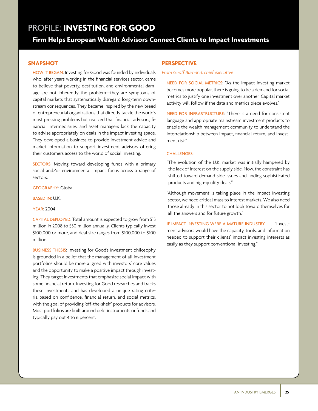## PROFILE: **INVESTING FOR GOOD**

**Firm Helps European Wealth Advisors Connect Clients to Impact Investments**

## **SNAPSHOT**

HOW IT BEGAN: Investing for Good was founded by individuals who, after years working in the financial services sector, came to believe that poverty, destitution, and environmental damage are not inherently the problem—they are symptoms of capital markets that systematically disregard long-term downstream consequences. They became inspired by the new breed of entrepreneurial organizations that directly tackle the world's most pressing problems but realized that financial advisors, financial intermediaries, and asset managers lack the capacity to advise appropriately on deals in the impact investing space. They developed a business to provide investment advice and market information to support investment advisors offering their customers access to the world of social investing.

SECTORS: Moving toward developing funds with a primary social and/or environmental impact focus across a range of sectors.

GEOGRAPHY: Global

BASED IN: U.K.

#### YEAR: 2004

CAPITAL DEPLOYED: Total amount is expected to grow from \$15 million in 2008 to \$50 million annually. Clients typically invest \$100,000 or more, and deal size ranges from \$100,000 to \$100 million.

<span id="page-26-0"></span>BUSINESS THESIS: Investing for Good's investment philosophy is grounded in a belief that the management of all investment portfolios should be more aligned with investors' core values and the opportunity to make a positive impact through investing. They target investments that emphasize social impact with some financial return. Investing for Good researches and tracks these investments and has developed a unique rating criteria based on confidence, financial return, and social metrics, with the goal of providing 'off-the-shelf' products for advisors. Most portfolios are built around debt instruments or funds and typically pay out 4 to 6 percent.

## **PERSPECTIVE**

*From Geoff Burnand, chief executive*

NEED FOR SOCIAL METRICS: "As the impact investing market becomes more popular, there is going to be a demand for social metrics to justify one investment over another. Capital market activity will follow if the data and metrics piece evolves."

NEED FOR INFRASTRUCTURE: "There is a need for consistent language and appropriate mainstream investment products to enable the wealth management community to understand the interrelationship between impact, financial return, and investment risk."

### CHALLENGES:**:**

"The evolution of the U.K. market was initially hampered by the lack of interest on the supply side. Now, the constraint has shifted toward demand-side issues and finding sophisticated products and high-quality deals."

"Although movement is taking place in the impact investing sector, we need critical mass to interest markets. We also need those already in this sector to not look toward themselves for all the answers and for future growth."

IF IMPACT INVESTING WERE A MATURE INDUSTRY . . . "Investment advisors would have the capacity, tools, and information needed to support their clients' impact investing interests as easily as they support conventional investing."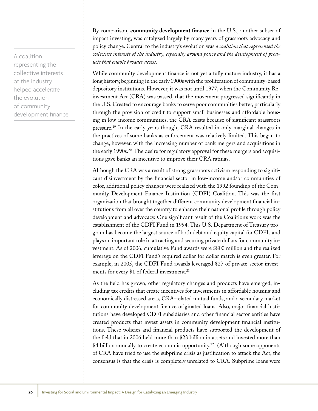A coalition representing the collective interests of the industry helped accelerate the evolution of community development finance. By comparison, **community development finance** in the U.S., another subset of impact investing, was catalyzed largely by many years of grassroots advocacy and policy change. Central to the industry's evolution was *a coalition that represented the collective interests of the industry, especially around policy and the development of products that enable broader access*.

While community development finance is not yet a fully mature industry, it has a long history, beginning in the early 1900s with the proliferation of community-based depository institutions. However, it was not until 1977, when the Community Reinvestment Act (CRA) was passed, that the movement progressed significantly in the U.S. Created to encourage banks to serve poor communities better, particularly through the provision of credit to support small businesses and affordable housing in low-income communities, the CRA exists because of significant grassroots pressure.19 In the early years though, CRA resulted in only marginal changes in the practices of some banks as enforcement was relatively limited. This began to change, however, with the increasing number of bank mergers and acquisitions in the early 1990s.<sup>20</sup> The desire for regulatory approval for these mergers and acquisitions gave banks an incentive to improve their CRA ratings.

Although the CRA was a result of strong grassroots activism responding to significant disinvestment by the financial sector in low-income and/or communities of color, additional policy changes were realized with the 1992 founding of the Community Development Finance Institution (CDFI) Coalition. This was the first organization that brought together different community development financial institutions from all over the country to enhance their national profile through policy development and advocacy. One significant result of the Coalition's work was the establishment of the CDFI Fund in 1994. This U.S. Department of Treasury program has become the largest source of both debt and equity capital for CDFIs and plays an important role in attracting and securing private dollars for community investment. As of 2006, cumulative Fund awards were \$800 million and the realized leverage on the CDFI Fund's required dollar for dollar match is even greater. For example, in 2005, the CDFI Fund awards leveraged \$27 of private-sector investments for every \$1 of federal investment.<sup>21</sup>

As the field has grown, other regulatory changes and products have emerged, including tax credits that create incentives for investments in affordable housing and economically distressed areas, CRA-related mutual funds, and a secondary market for community development finance originated loans. Also, major financial institutions have developed CDFI subsidiaries and other financial sector entities have created products that invest assets in community development financial institutions. These policies and financial products have supported the development of the field that in 2006 held more than \$23 billion in assets and invested more than \$4 billion annually to create economic opportunity.<sup>22</sup> (Although some opponents of CRA have tried to use the subprime crisis as justification to attack the Act, the consensus is that the crisis is completely unrelated to CRA. Subprime loans were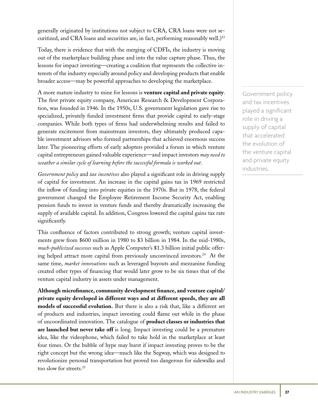generally originated by institutions not subject to CRA, CRA loans were not securitized, and CRA loans and securities are, in fact, performing reasonably well.)<sup>23</sup>

Today, there is evidence that with the merging of CDFIs, the industry is moving out of the marketplace building phase and into the value capture phase. Thus, the lessons for impact investing—creating a coalition that represents the collective interests of the industry especially around policy and developing products that enable broader access—may be powerful approaches to developing the marketplace.

A more mature industry to mine for lessons is **venture capital and private equity**. The first private equity company, American Research & Development Corporation, was founded in 1946. In the 1950s, U.S. government legislation gave rise to specialized, privately funded investment firms that provide capital to early-stage companies. While both types of firms had underwhelming results and failed to generate excitement from mainstream investors, they ultimately produced capable investment advisors who formed partnerships that achieved enormous success later. The pioneering efforts of early adopters provided a forum in which venture capital entrepreneurs gained valuable experience—and impact investors *may need to weather a similar cycle of learning before the successful formula is worked out*.

*Government policy* and *tax incentives* also played a significant role in driving supply of capital for investment. An increase in the capital gains tax in 1969 restricted the inflow of funding into private equities in the 1970s. But in 1978, the federal government changed the Employee Retirement Income Security Act, enabling pension funds to invest in venture funds and thereby dramatically increasing the supply of available capital. In addition, Congress lowered the capital gains tax rate significantly.

This confluence of factors contributed to strong growth; venture capital investments grew from \$600 million in 1980 to \$3 billion in 1984. In the mid-1980s, *much-publicized successes* such as Apple Computer's \$1.3 billion initial public offering helped attract more capital from previously unconvinced investors.<sup>24</sup> At the same time, *market innovations* such as leveraged buyouts and mezzanine funding created other types of financing that would later grow to be six times that of the venture capital industry in assets under management.

**Although microfinance, community development finance, and venture capital/ private equity developed in different ways and at different speeds, they are all models of successful evolution.** But there is also a risk that, like a different set of products and industries, impact investing could flame out while in the phase of uncoordinated innovation. The catalogue of **product classes or industries that are launched but never take off** is long. Impact investing could be a premature idea, like the videophone, which failed to take hold in the marketplace at least four times. Or the bubble of hype may burst if impact investing proves to be the right concept but the wrong idea—much like the Segway, which was designed to revolutionize personal transportation but proved too dangerous for sidewalks and too slow for streets.<sup>25</sup>

Government policy and tax incentives played a significant role in driving a supply of capital that accelerated the evolution of the venture capital and private equity industries.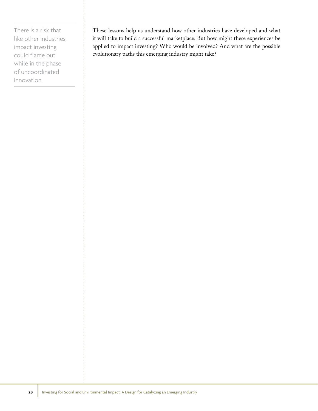There is a risk that like other industries, impact investing could flame out while in the phase of uncoordinated innovation.

These lessons help us understand how other industries have developed and what it will take to build a successful marketplace. But how might these experiences be applied to impact investing? Who would be involved? And what are the possible evolutionary paths this emerging industry might take?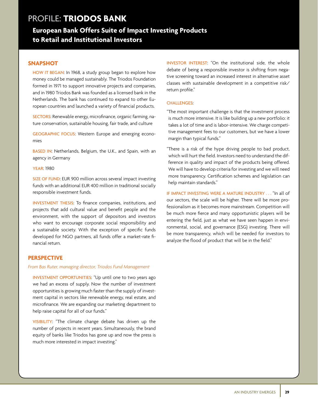## PROFILE: **TRIODOS BANK**

**European Bank Offers Suite of Impact Investing Products to Retail and Institutional Investors**

## **SNAPSHOT**

HOW IT BEGAN: In 1968, a study group began to explore how money could be managed sustainably. The Triodos Foundation formed in 1971 to support innovative projects and companies, and in 1980 Triodos Bank was founded as a licensed bank in the Netherlands. The bank has continued to expand to other European countries and launched a variety of financial products.

SECTORS: Renewable energy, microfinance, organic farming, nature conservation, sustainable housing, fair trade, and culture

GEOGRAPHIC FOCUS: Western Europe and emerging economies

BASED IN: Netherlands, Belgium, the U.K., and Spain, with an agency in Germany

#### YEAR: 1980

SIZE OF FUND: EUR 900 million across several impact investing funds with an additional EUR 400 million in traditional socially responsible investment funds.

INVESTMENT THESIS: To finance companies, institutions, and projects that add cultural value and benefit people and the environment, with the support of depositors and investors who want to encourage corporate social responsibility and a sustainable society. With the exception of specific funds developed for NGO partners, all funds offer a market-rate financial return.

## **PERSPECTIVE**

#### *From Bas Ruter, managing director, Triodos Fund Management*

INVESTMENT OPPORTUNITIES: "Up until one to two years ago we had an excess of supply. Now the number of investment opportunities is growing much faster than the supply of investment capital in sectors like renewable energy, real estate, and microfinance. We are expanding our marketing department to help raise capital for all of our funds."

<span id="page-30-0"></span>VISIBILITY: "The climate change debate has driven up the number of projects in recent years. Simultaneously, the brand equity of banks like Triodos has gone up and now the press is much more interested in impact investing."

INVESTOR INTEREST: "On the institutional side, the whole debate of being a responsible investor is shifting from negative screening toward an increased interest in alternative asset classes with sustainable development in a competitive risk/ return profile."

### CHALLENGES:**:**

"The most important challenge is that the investment process is much more intensive. It is like building up a new portfolio: it takes a lot of time and is labor-intensive. We charge competitive management fees to our customers, but we have a lower margin than typical funds."

"There is a risk of the hype driving people to bad product, which will hurt the field. Investors need to understand the difference in quality and impact of the products being offered. We will have to develop criteria for investing and we will need more transparency. Certification schemes and legislation can help maintain standards."

IF IMPACT INVESTING WERE A MATURE INDUSTRY . . . "In all of our sectors, the scale will be higher. There will be more professionalism as it becomes more mainstream. Competition will be much more fierce and many opportunistic players will be entering the field, just as what we have seen happen in environmental, social, and governance (ESG) investing. There will be more transparency, which will be needed for investors to analyze the flood of product that will be in the field."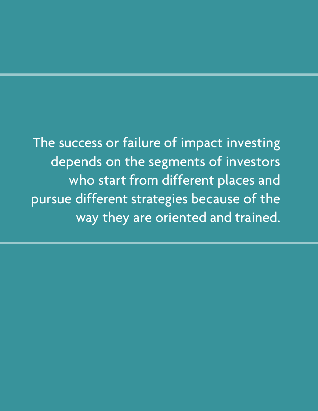The success or failure of impact investing depends on the segments of investors who start from different places and pursue different strategies because of the way they are oriented and trained.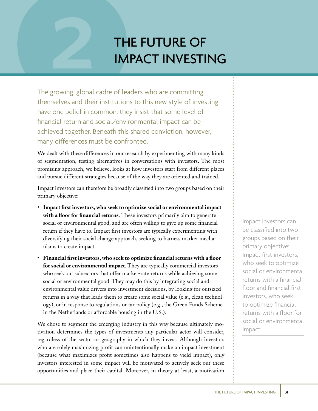# THE FUTURE OF IMPACT INVESTING

The growing, global cadre of leaders who are committing themselves and their institutions to this new style of investing have one belief in common: they insist that some level of financial return and social/environmental impact can be achieved together. Beneath this shared conviction, however, many differences must be confronted.

We dealt with these differences in our research by experimenting with many kinds of segmentation, testing alternatives in conversations with investors. The most promising approach, we believe, looks at how investors start from different places and pursue different strategies because of the way they are oriented and trained.

Impact investors can therefore be broadly classified into two groups based on their primary objective:

- s **Impact first investors, who seek to optimize social or environmental impact with a floor for financial returns**. These investors primarily aim to generate social or environmental good, and are often willing to give up some financial return if they have to. Impact first investors are typically experimenting with diversifying their social change approach, seeking to harness market mechanisms to create impact.
- s **Financial first investors, who seek to optimize financial returns with a floor for social or environmental impact**. They are typically commercial investors who seek out subsectors that offer market-rate returns while achieving some social or environmental good. They may do this by integrating social and environmental value drivers into investment decisions, by looking for outsized returns in a way that leads them to create some social value (e.g., clean technology), or in response to regulations or tax policy (e.g., the Green Funds Scheme in the Netherlands or affordable housing in the U.S.).

<span id="page-32-0"></span>We chose to segment the emerging industry in this way because ultimately motivation determines the types of investments any particular actor will consider, regardless of the sector or geography in which they invest. Although investors who are solely maximizing profit can unintentionally make an impact investment (because what maximizes profit sometimes also happens to yield impact), only investors interested in some impact will be motivated to actively seek out these opportunities and place their capital. Moreover, in theory at least, a motivation

Impact investors can be classified into two groups based on their primary objective: Impact first investors, who seek to optimize social or environmental returns with a financial floor and financial first investors, who seek to optimize financial returns with a floor for social or environmental impact.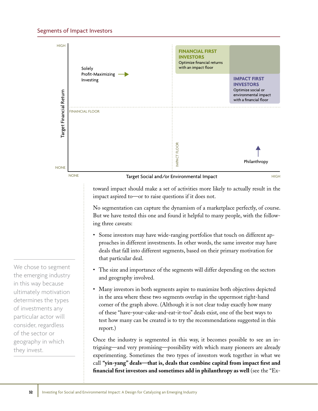## Segments of Impact Investors



toward impact should make a set of activities more likely to actually result in the impact aspired to—or to raise questions if it does not.

No segmentation can capture the dynamism of a marketplace perfectly, of course. But we have tested this one and found it helpful to many people, with the following three caveats:

- s Some investors may have wide-ranging portfolios that touch on different approaches in different investments. In other words, the same investor may have deals that fall into different segments, based on their primary motivation for that particular deal.
- The size and importance of the segments will differ depending on the sectors and geography involved.
- Many investors in both segments aspire to maximize both objectives depicted in the area where these two segments overlap in the uppermost right-hand corner of the graph above. (Although it is not clear today exactly how many of these "have-your-cake-and-eat-it-too" deals exist, one of the best ways to test how many can be created is to try the recommendations suggested in this report.)

Once the industry is segmented in this way, it becomes possible to see an intriguing—and very promising—possibility with which many pioneers are already experimenting. Sometimes the two types of investors work together in what we call **"yin-yang" deals—that is, deals that combine capital from impact first and financial first investors and sometimes add in philanthropy as well** (see the "Ex-

We chose to segment the emerging industry in this way because ultimately motivation determines the types of investments any particular actor will consider, regardless of the sector or geography in which they invest.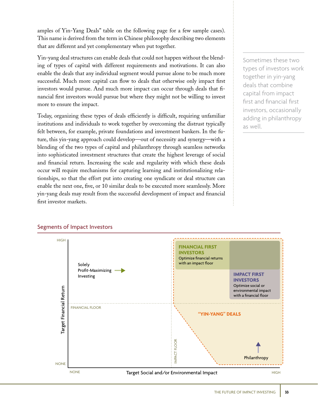amples of Yin-Yang Deals" table on the following page for a few sample cases). This name is derived from the term in Chinese philosophy describing two elements that are different and yet complementary when put together.

Yin-yang deal structures can enable deals that could not happen without the blending of types of capital with different requirements and motivations. It can also enable the deals that any individual segment would pursue alone to be much more successful. Much more capital can flow to deals that otherwise only impact first investors would pursue. And much more impact can occur through deals that financial first investors would pursue but where they might not be willing to invest more to ensure the impact.

Today, organizing these types of deals efficiently is difficult, requiring unfamiliar institutions and individuals to work together by overcoming the distrust typically felt between, for example, private foundations and investment bankers. In the future, this yin-yang approach could develop—out of necessity and synergy—with a blending of the two types of capital and philanthropy through seamless networks into sophisticated investment structures that create the highest leverage of social and financial return. Increasing the scale and regularity with which these deals occur will require mechanisms for capturing learning and institutionalizing relationships, so that the effort put into creating one syndicate or deal structure can enable the next one, five, or 10 similar deals to be executed more seamlessly. More yin-yang deals may result from the successful development of impact and financial first investor markets.

Sometimes these two types of investors work together in yin-yang deals that combine capital from impact first and financial first investors, occasionally adding in philanthropy as well.



## Segments of Impact Investors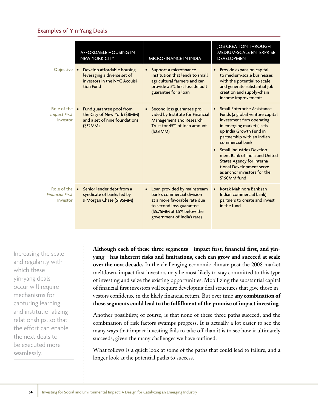## Examples of Yin-Yang Deals

|                                                             | <b>AFFORDABLE HOUSING IN</b><br><b>NEW YORK CITY</b>                                                              | MICROFINANCE IN INDIA                                                                                                                                                               | <b>JOB CREATION THROUGH</b><br><b>MEDIUM-SCALE ENTERPRISE</b><br><b>DEVELOPMENT</b>                                                                                                                                                                                                                                                                                                                           |
|-------------------------------------------------------------|-------------------------------------------------------------------------------------------------------------------|-------------------------------------------------------------------------------------------------------------------------------------------------------------------------------------|---------------------------------------------------------------------------------------------------------------------------------------------------------------------------------------------------------------------------------------------------------------------------------------------------------------------------------------------------------------------------------------------------------------|
| Objective                                                   | Develop affordable housing<br>leveraging a diverse set of<br>investors in the NYC Acquisi-<br>tion Fund           | Support a microfinance<br>institution that lends to small<br>agricultural farmers and can<br>provide a 5% first loss default<br>guarantee for a loan                                | Provide expansion capital<br>to medium-scale businesses<br>with the potential to scale<br>and generate substantial job<br>creation and supply-chain<br>income improvements                                                                                                                                                                                                                                    |
| Role of the<br><b>Impact First</b><br>Investor              | Fund guarantee pool from<br>$\bullet$<br>the City of New York (\$8MM)<br>and a set of nine foundations<br>(532MM) | Second loss guarantee pro-<br>vided by Institute for Financial<br><b>Management and Research</b><br>Trust for 45% of loan amount<br>(52.6MM)                                        | <b>Small Enterprise Assistance</b><br>$\bullet$<br>Funds (a global venture capital<br>investment firm operating<br>in emerging markets) sets<br>up India Growth Fund in<br>partnership with an Indian<br>commercial bank<br><b>Small Industries Develop-</b><br>ment Bank of India and United<br><b>States Agency for Interna-</b><br>tional Development serve<br>as anchor investors for the<br>\$160MM fund |
| Role of the $\bullet$<br><b>Financial First</b><br>Investor | Senior lender debt from a<br>syndicate of banks led by<br>JPMorgan Chase (\$195MM)                                | Loan provided by mainstream<br>bank's commercial division<br>at a more favorable rate due<br>to second loss guarantee<br>(\$5.75MM at 1.5% below the<br>government of India's rate) | Kotak Mahindra Bank (an<br>$\bullet$<br>Indian commercial bank)<br>partners to create and invest<br>in the fund                                                                                                                                                                                                                                                                                               |

Increasing the scale and regularity with which these yin-yang deals occur will require mechanisms for capturing learning and institutionalizing relationships, so that the effort can enable the next deals to be executed more seamlessly.

**Although each of these three segments—impact first, financial first, and yinyang—has inherent risks and limitations, each can grow and succeed at scale over the next decade.** In the challenging economic climate post the 2008 market meltdown, impact first investors may be most likely to stay committed to this type of investing and seize the existing opportunities. Mobilizing the substantial capital of financial first investors will require developing deal structures that give those investors confidence in the likely financial return. But over time **any combination of these segments could lead to the fulfillment of the promise of impact investing**.

Another possibility, of course, is that none of these three paths succeed, and the combination of risk factors swamps progress. It is actually a lot easier to see the many ways that impact investing fails to take off than it is to see how it ultimately succeeds, given the many challenges we have outlined.

What follows is a quick look at some of the paths that could lead to failure, and a longer look at the potential paths to success.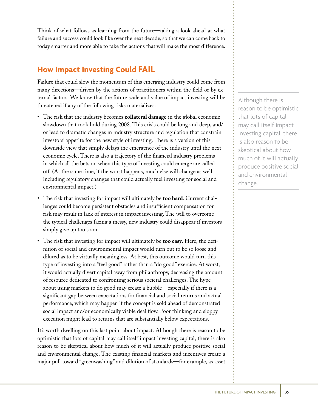Think of what follows as learning from the future—taking a look ahead at what failure and success could look like over the next decade, so that we can come back to today smarter and more able to take the actions that will make the most difference.

# **How Impact Investing Could FAIL**

Failure that could slow the momentum of this emerging industry could come from many directions—driven by the actions of practitioners within the field or by external factors. We know that the future scale and value of impact investing will be threatened if any of the following risks materializes:

- s The risk that the industry becomes **collateral damage** in the global economic slowdown that took hold during 2008. This crisis could be long and deep, and/ or lead to dramatic changes in industry structure and regulation that constrain investors' appetite for the new style of investing. There is a version of this downside view that simply delays the emergence of the industry until the next economic cycle. There is also a trajectory of the financial industry problems in which all the bets on when this type of investing could emerge are called off. (At the same time, if the worst happens, much else will change as well, including regulatory changes that could actually fuel investing for social and environmental impact.)
- s The risk that investing for impact will ultimately be **too hard**. Current challenges could become persistent obstacles and insufficient compensation for risk may result in lack of interest in impact investing. The will to overcome the typical challenges facing a messy, new industry could disappear if investors simply give up too soon.
- s The risk that investing for impact will ultimately be **too easy**. Here, the definition of social and environmental impact would turn out to be so loose and diluted as to be virtually meaningless. At best, this outcome would turn this type of investing into a "feel good" rather than a "do good" exercise. At worst, it would actually divert capital away from philanthropy, decreasing the amount of resource dedicated to confronting serious societal challenges. The hype about using markets to do good may create a bubble—especially if there is a significant gap between expectations for financial and social returns and actual performance, which may happen if the concept is sold ahead of demonstrated social impact and/or economically viable deal flow. Poor thinking and sloppy execution might lead to returns that are substantially below expectations.

It's worth dwelling on this last point about impact. Although there is reason to be optimistic that lots of capital may call itself impact investing capital, there is also reason to be skeptical about how much of it will actually produce positive social and environmental change. The existing financial markets and incentives create a major pull toward "greenwashing" and dilution of standards—for example, as asset Although there is reason to be optimistic that lots of capital may call itself impact investing capital, there is also reason to be skeptical about how much of it will actually produce positive social and environmental change.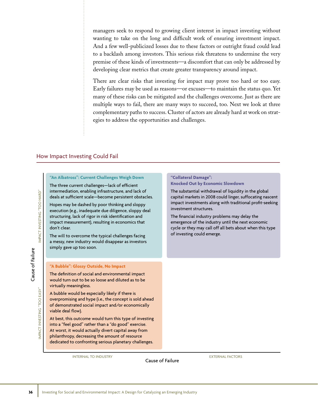managers seek to respond to growing client interest in impact investing without wanting to take on the long and difficult work of ensuring investment impact. And a few well-publicized losses due to these factors or outright fraud could lead to a backlash among investors. This serious risk threatens to undermine the very premise of these kinds of investments—a discomfort that can only be addressed by developing clear metrics that create greater transparency around impact.

There are clear risks that investing for impact may prove too hard or too easy. Early failures may be used as reasons—or excuses—to maintain the status quo. Yet many of these risks can be mitigated and the challenges overcome. Just as there are multiple ways to fail, there are many ways to succeed, too. Next we look at three complementary paths to success. Cluster of actors are already hard at work on strategies to address the opportunities and challenges.

### How Impact Investing Could Fail

| IMPACT INVESTING "TOO HARD"    | "An Albatross": Current Challenges Weigh Down<br>The three current challenges-lack of efficient<br>intermediation, enabling infrastructure, and lack of<br>deals at sufficient scale-become persistent obstacles.<br>Hopes may be dashed by poor thinking and sloppy<br>execution (e.g., inadequate due diligence, sloppy deal<br>structuring, lack of rigor in risk identification and<br>impact measurement), resulting in economics that<br>don't clear.<br>The will to overcome the typical challenges facing<br>a messy, new industry would disappear as investors<br>simply gave up too soon.                                                         | "Collateral Damage":<br><b>Knocked Out by Economic Slowdown</b><br>The substantial withdrawal of liquidity in the global<br>capital markets in 2008 could linger, suffocating nascent<br>impact investments along with traditional profit-seeking<br>investment structures.<br>The financial industry problems may delay the<br>emergence of the industry until the next economic<br>cycle or they may call off all bets about when this type<br>of investing could emerge. |
|--------------------------------|-------------------------------------------------------------------------------------------------------------------------------------------------------------------------------------------------------------------------------------------------------------------------------------------------------------------------------------------------------------------------------------------------------------------------------------------------------------------------------------------------------------------------------------------------------------------------------------------------------------------------------------------------------------|-----------------------------------------------------------------------------------------------------------------------------------------------------------------------------------------------------------------------------------------------------------------------------------------------------------------------------------------------------------------------------------------------------------------------------------------------------------------------------|
| "TOO EASY"<br>IMPACT INVESTING | "A Bubble": Glossy Outside, No Impact<br>The definition of social and environmental impact<br>would turn out to be so loose and diluted as to be<br>virtually meaningless.<br>A bubble would be especially likely if there is<br>overpromising and hype (i.e., the concept is sold ahead<br>of demonstrated social impact and/or economically<br>viable deal flow).<br>At best, this outcome would turn this type of investing<br>into a "feel good" rather than a "do good" exercise.<br>At worst, it would actually divert capital away from<br>philanthropy, decreasing the amount of resource<br>dedicated to confronting serious planetary challenges. |                                                                                                                                                                                                                                                                                                                                                                                                                                                                             |

INTERNAL TO INDUSTRY EXTERNAL FACTORS

Cause of Failure

Cause of Failure

Cause of Failure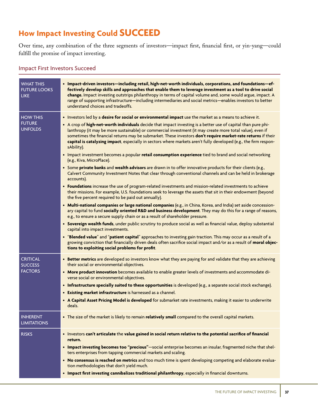# **How Impact Investing Could SUCCEED**

Over time, any combination of the three segments of investors—impact first, financial first, or yin-yang—could fulfill the promise of impact investing.

### Impact First Investors Succeed

| <b>WHAT THIS</b><br><b>FUTURE LOOKS</b><br><b>LIKE</b> | • Impact-driven investors—including retail, high-net-worth individuals, corporations, and foundations—ef-<br>fectively develop skills and approaches that enable them to leverage investment as a tool to drive social<br>change. Impact investing outstrips philanthropy in terms of capital volume and, some would argue, impact. A<br>range of supporting infrastructure—including intermediaries and social metrics—enables investors to better<br>understand choices and tradeoffs.                                                                                                                                                                                                                                                                                                                                                                                                                                                                                                                                                                                                                                                                                                                                                                                                                                                                                                                                                                                                                                                                                                                                                                                                                                                                                                                                                                                                                                                                                        |
|--------------------------------------------------------|---------------------------------------------------------------------------------------------------------------------------------------------------------------------------------------------------------------------------------------------------------------------------------------------------------------------------------------------------------------------------------------------------------------------------------------------------------------------------------------------------------------------------------------------------------------------------------------------------------------------------------------------------------------------------------------------------------------------------------------------------------------------------------------------------------------------------------------------------------------------------------------------------------------------------------------------------------------------------------------------------------------------------------------------------------------------------------------------------------------------------------------------------------------------------------------------------------------------------------------------------------------------------------------------------------------------------------------------------------------------------------------------------------------------------------------------------------------------------------------------------------------------------------------------------------------------------------------------------------------------------------------------------------------------------------------------------------------------------------------------------------------------------------------------------------------------------------------------------------------------------------------------------------------------------------------------------------------------------------|
| <b>HOW THIS</b><br><b>FUTURE</b><br><b>UNFOLDS</b>     | . Investors led by a desire for social or environmental impact use the market as a means to achieve it.<br>• A crop of high-net-worth individuals decide that impact investing is a better use of capital than pure phi-<br>lanthropy (it may be more sustainable) or commercial investment (it may create more total value), even if<br>sometimes the financial returns may be submarket. These investors don't require market-rate returns if their<br>capital is catalyzing impact, especially in sectors where markets aren't fully developed (e.g., the firm respon-<br>sAbility).<br>• Impact investment becomes a popular retail consumption experience tied to brand and social networking<br>(e.g., Kiva, MicroPlace).<br>• Some private banks and wealth advisors are drawn in to offer innovative products for their clients (e.g.,<br>Calvert Community Investment Notes that clear through conventional channels and can be held in brokerage<br>accounts).<br>• Foundations increase the use of program-related investments and mission-related investments to achieve<br>their missions. For example, U.S. foundations seek to leverage the assets that sit in their endowment (beyond<br>the five percent required to be paid out annually).<br>• Multi-national companies or large national companies (e.g., in China, Korea, and India) set aside concession-<br>ary capital to fund socially oriented R&D and business development. They may do this for a range of reasons,<br>e.g., to ensure a secure supply chain or as a result of shareholder pressure.<br>• Sovereign wealth funds, under public scrutiny to produce social as well as financial value, deploy substantial<br>capital into impact investments.<br>• "Blended value" and "patient capital" approaches to investing gain traction. This may occur as a result of a<br>growing conviction that financially driven deals often sacrifice social impact and/or as a result of moral objec- |
| <b>CRITICAL</b><br><b>SUCCESS</b><br><b>FACTORS</b>    | tions to exploiting social problems for profit.<br>• Better metrics are developed so investors know what they are paying for and validate that they are achieving<br>their social or environmental objectives.<br>• More product innovation becomes available to enable greater levels of investments and accommodate di-<br>verse social or environmental objectives.<br>• Infrastructure specially suited to these opportunities is developed (e.g., a separate social stock exchange).<br>• Existing market infrastructure is harnessed as a channel.<br>. A Capital Asset Pricing Model is developed for submarket rate investments, making it easier to underwrite<br>deals.                                                                                                                                                                                                                                                                                                                                                                                                                                                                                                                                                                                                                                                                                                                                                                                                                                                                                                                                                                                                                                                                                                                                                                                                                                                                                               |
| INHERENT<br><b>LIMITATIONS</b>                         | • The size of the market is likely to remain relatively small compared to the overall capital markets.                                                                                                                                                                                                                                                                                                                                                                                                                                                                                                                                                                                                                                                                                                                                                                                                                                                                                                                                                                                                                                                                                                                                                                                                                                                                                                                                                                                                                                                                                                                                                                                                                                                                                                                                                                                                                                                                          |
| <b>RISKS</b>                                           | . Investors can't articulate the value gained in social return relative to the potential sacrifice of financial<br>return.<br>• Impact investing becomes too "precious"-social enterprise becomes an insular, fragmented niche that shel-<br>ters enterprises from tapping commercial markets and scaling.<br>. No consensus is reached on metrics and too much time is spent developing competing and elaborate evalua-<br>tion methodologies that don't yield much.<br>. Impact first investing cannibalizes traditional philanthropy, especially in financial downturns.                                                                                                                                                                                                                                                                                                                                                                                                                                                                                                                                                                                                                                                                                                                                                                                                                                                                                                                                                                                                                                                                                                                                                                                                                                                                                                                                                                                                     |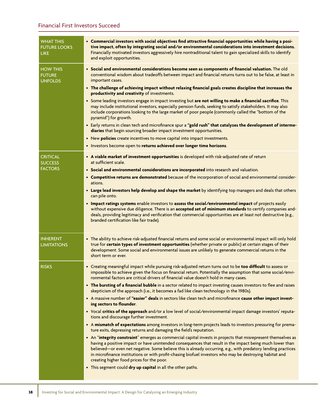### Financial First Investors Succeed

| <b>WHAT THIS</b><br><b>FUTURE LOOKS</b><br><b>LIKE</b> | . Commercial investors with social objectives find attractive financial opportunities while having a posi-<br>tive impact, often by integrating social and/or environmental considerations into investment decisions.<br>Financially motivated investors aggressively hire nontraditional talent to gain specialized skills to identify<br>and exploit opportunities.                                                                                                                                                                                                                             |
|--------------------------------------------------------|---------------------------------------------------------------------------------------------------------------------------------------------------------------------------------------------------------------------------------------------------------------------------------------------------------------------------------------------------------------------------------------------------------------------------------------------------------------------------------------------------------------------------------------------------------------------------------------------------|
| <b>HOW THIS</b><br><b>FUTURE</b><br><b>UNFOLDS</b>     | · Social and environmental considerations become seen as components of financial valuation. The old<br>conventional wisdom about tradeoffs between impact and financial returns turns out to be false, at least in<br>important cases.<br>. The challenge of achieving impact without relaxing financial goals creates discipline that increases the                                                                                                                                                                                                                                              |
|                                                        | productivity and creativity of investments.<br>• Some leading investors engage in impact investing but are not willing to make a financial sacrifice. This<br>may include institutional investors, especially pension funds, seeking to satisfy stakeholders. It may also<br>include corporations looking to the large market of poor people (commonly called the "bottom of the<br>pyramid") for growth.<br>. Early returns in clean tech and microfinance spur a "gold rush" that catalyzes the development of interme-<br>diaries that begin sourcing broader impact investment opportunities. |
|                                                        | • New policies create incentives to move capital into impact investments.                                                                                                                                                                                                                                                                                                                                                                                                                                                                                                                         |
|                                                        | . Investors become open to returns achieved over longer time horizons.                                                                                                                                                                                                                                                                                                                                                                                                                                                                                                                            |
| <b>CRITICAL</b><br><b>SUCCESS</b>                      | . A viable market of investment opportunities is developed with risk-adjusted rate of return<br>at sufficient scale.                                                                                                                                                                                                                                                                                                                                                                                                                                                                              |
| <b>FACTORS</b>                                         | • Social and environmental considerations are incorporated into research and valuation.                                                                                                                                                                                                                                                                                                                                                                                                                                                                                                           |
|                                                        | . Competitive returns are demonstrated because of the incorporation of social and environmental consider-<br>ations.                                                                                                                                                                                                                                                                                                                                                                                                                                                                              |
|                                                        | • Large lead investors help develop and shape the market by identifying top managers and deals that others<br>can pile onto.                                                                                                                                                                                                                                                                                                                                                                                                                                                                      |
|                                                        | . Impact ratings systems enable investors to assess the social/environmental impact of projects easily<br>without expensive due diligence. There is an accepted set of minimum standards to certify companies and-<br>deals, providing legitimacy and verification that commercial opportunities are at least not destructive (e.g.,<br>branded certification like fair trade).                                                                                                                                                                                                                   |
| INHERENT<br><b>LIMITATIONS</b>                         | • The ability to achieve risk-adjusted financial returns and some social or environmental impact will only hold<br>true for certain types of investment opportunities (whether private or public) at certain stages of their<br>development. Some social and environmental issues are unlikely to generate commercial returns in the<br>short term or ever.                                                                                                                                                                                                                                       |
| <b>RISKS</b>                                           | • Creating meaningful impact while pursuing risk-adjusted return turns out to be too difficult to assess or<br>impossible to achieve given the focus on financial return. Potentially the assumption that some social/envi-<br>ronmental factors are critical drivers of financial value doesn't hold in many cases.                                                                                                                                                                                                                                                                              |
|                                                        | • The bursting of a financial bubble in a sector related to impact investing causes investors to flee and raises<br>skepticism of the approach (i.e., it becomes a fad like clean technology in the 1980s).                                                                                                                                                                                                                                                                                                                                                                                       |
|                                                        | • A massive number of "easier" deals in sectors like clean tech and microfinance cause other impact invest-<br>ing sectors to flounder.                                                                                                                                                                                                                                                                                                                                                                                                                                                           |
|                                                        | • Vocal critics of the approach and/or a low level of social/environmental impact damage investors' reputa-<br>tions and discourage further investment.                                                                                                                                                                                                                                                                                                                                                                                                                                           |
|                                                        | • A mismatch of expectations among investors in long-term projects leads to investors pressuring for prema-<br>ture exits, depressing returns and damaging the field's reputation.                                                                                                                                                                                                                                                                                                                                                                                                                |
|                                                        | • An "integrity constraint" emerges as commercial capital invests in projects that misrepresent themselves as<br>having a positive impact or have unintended consequences that result in the impact being much lower than<br>believed-or even net negative. Some believe this is already occurring, e.g., with predatory lending practices<br>in microfinance institutions or with profit-chasing biofuel investors who may be destroying habitat and<br>creating higher food prices for the poor.                                                                                                |
|                                                        | • This segment could dry up capital in all the other paths.                                                                                                                                                                                                                                                                                                                                                                                                                                                                                                                                       |

×.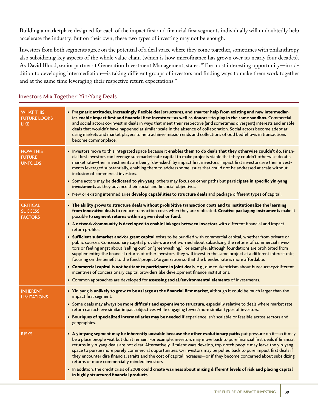Building a marketplace designed for each of the impact first and financial first segments individually will undoubtedly help accelerate the industry. But on their own, these two types of investing may not be enough.

Investors from both segments agree on the potential of a deal space where they come together, sometimes with philanthropy also subsidizing key aspects of the whole value chain (which is how microfinance has grown over its nearly four decades). As David Blood, senior partner at Generation Investment Management, states: "The most interesting opportunity—in addition to developing intermediation—is taking different groups of investors and finding ways to make them work together and at the same time leveraging their respective return expectations."

| <b>WHAT THIS</b><br><b>FUTURE LOOKS</b><br><b>LIKE</b> | • Pragmatic attitudes, increasingly flexible deal structures, and smarter help from existing and new intermediar-<br>ies enable impact first and financial first investors-as well as donors-to play in the same sandbox. Commercial<br>and social actors co-invest in deals in ways that meet their respective (and sometimes divergent) interests and enable<br>deals that wouldn't have happened at similar scale in the absence of collaboration. Social actors become adept at<br>using markets and market players to help achieve mission ends and collections of odd bedfellows in transactions<br>become commonplace.                                                                                                                                                                                                                                                                                                                                                                                                                                                                                                                                                                                                                                                                                                                                      |
|--------------------------------------------------------|--------------------------------------------------------------------------------------------------------------------------------------------------------------------------------------------------------------------------------------------------------------------------------------------------------------------------------------------------------------------------------------------------------------------------------------------------------------------------------------------------------------------------------------------------------------------------------------------------------------------------------------------------------------------------------------------------------------------------------------------------------------------------------------------------------------------------------------------------------------------------------------------------------------------------------------------------------------------------------------------------------------------------------------------------------------------------------------------------------------------------------------------------------------------------------------------------------------------------------------------------------------------------------------------------------------------------------------------------------------------|
| <b>HOW THIS</b><br><b>FUTURE</b><br><b>UNFOLDS</b>     | • Investors move to this integrated space because it enables them to do deals that they otherwise couldn't do. Finan-<br>cial first investors can leverage sub-market-rate capital to make projects viable that they couldn't otherwise do at a<br>market rate-their investments are being "de-risked" by impact first investors. Impact first investors see their invest-<br>ments leveraged substantially, enabling them to address some issues that could not be addressed at scale without<br>inclusion of commercial investors.<br>. Some actors may be dedicated to yin-yang, others may focus on other paths but participate in specific yin-yang<br>investments as they advance their social and financial objectives.<br>• New or existing intermediaries develop capabilities to structure deals and package different types of capital.                                                                                                                                                                                                                                                                                                                                                                                                                                                                                                                 |
| <b>CRITICAL</b><br><b>SUCCESS</b><br><b>FACTORS</b>    | . The ability grows to structure deals without prohibitive transaction costs and to institutionalize the learning<br>from innovative deals to reduce transaction costs when they are replicated. Creative packaging instruments make it<br>possible to segment returns within a given deal or fund.<br>• A network/community is developed to enable linkages between investors with different financial and impact<br>return profiles.<br>• Sufficient submarket and/or grant capital exists to be bundled with commercial capital, whether from private or<br>public sources. Concessionary capital providers are not worried about subsidizing the returns of commercial inves-<br>tors or feeling angst about "selling out" or "greenwashing." For example, although foundations are prohibited from<br>supplementing the financial returns of other investors, they will invest in the same project at a different interest rate,<br>focusing on the benefit to the fund/project/organization so that the blended rate is more affordable.<br>• Commercial capital is not hesitant to participate in joint deals, e.g., due to skepticism about bureaucracy/different<br>incentives of concessionary capital providers like development finance institutions.<br>• Common approaches are developed for assessing social/environmental elements of investments. |
| <b>INHERENT</b><br><b>LIMITATIONS</b>                  | • Yin-yang is unlikely to grow to be as large as the financial first market, although it could be much larger than the<br>impact first segment.<br>. Some deals may always be more difficult and expensive to structure, especially relative to deals where market rate<br>return can achieve similar impact objectives while engaging fewer/more similar types of investors.<br>• Boutiques of specialized intermediaries may be needed if experience isn't scalable or feasible across sectors and<br>geographies.                                                                                                                                                                                                                                                                                                                                                                                                                                                                                                                                                                                                                                                                                                                                                                                                                                               |
| <b>RISKS</b>                                           | . A yin-yang segment may be inherently unstable because the other evolutionary paths put pressure on it-so it may<br>be a place people visit but don't remain. For example, investors may move back to pure financial first deals if financial<br>returns in yin-yang deals are not clear. Alternatively, if talent wars develop, top-notch people may leave the yin-yang<br>space to pursue more purely commercial opportunities. Or investors may be pulled back to pure impact first deals if<br>they encounter dire financial straits and the cost of capital increases-or if they become concerned about subsidizing<br>returns of more commercially minded investors.<br>. In addition, the credit crisis of 2008 could create wariness about mixing different levels of risk and placing capital<br>in highly structured financial products.                                                                                                                                                                                                                                                                                                                                                                                                                                                                                                                |

### Investors Mix Together: Yin-Yang Deals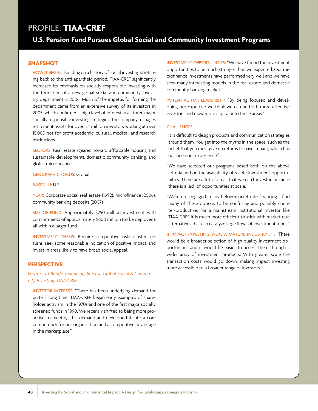### PROFILE: **TIAA-CREF**

### **U.S. Pension Fund Pursues Global Social and Community Investment Programs**

### **SNAPSHOT**

HOW IT BEGAN: Building on a history of social investing stretching back to the anti-apartheid period, TIAA-CREF significantly increased its emphasis on socially responsible investing with the formation of a new global social and community investing department in 2006. Much of the impetus for forming the department came from an extensive survey of its investors in 2005, which confirmed a high level of interest in all three major socially responsible investing strategies. The company manages retirement assets for over 3.4 million investors working at over 15,000 not-for-profit academic, cultural, medical, and research institutions.

SECTORS: Real estate (geared toward affordable housing and sustainable development), domestic community banking, and global microfinance

#### GEOGRAPHIC FOCUS: Global

#### BASED IN: U.S.

YEAR: Corporate social real estate (1992), microfinance (2006), community banking deposits (2007)

SIZE OF FUND: Approximately \$250 million investment with commitments of approximately \$600 million (to be deployed), all within a larger fund

INVESTMENT THESIS: Require competitive risk-adjusted returns, seek some reasonable indication of positive impact, and invest in areas likely to have broad social appeal.

#### **PERSPECTIVE**

*From Scott Budde, managing director, Global Social & Community Investing, TIAA-CREF*

INVESTOR INTEREST: "There has been underlying demand for quite a long time. TIAA-CREF began early examples of shareholder activism in the 1970s and one of the first major socially screened funds in 1990. We recently shifted to being more proactive to meeting this demand and developed it into a core competency for our organization and a competitive advantage in the marketplace."

INVESTMENT OPPORTUNITIES: "We have found the investment opportunities to be much stronger than we expected. Our microfinance investments have performed very well and we have seen many interesting models in the real estate and domestic community banking market."

POTENTIAL FOR LEADERSHIP: "By being focused and developing our expertise we think we can be both more effective investors and draw more capital into these areas."

#### CHALLENGES:**:**

"It is difficult to design products and communication strategies around them. You get into the myths in the space, such as the belief that you must give up returns to have impact, which has not been our experience."

"We have selected our programs based both on the above criteria and on the availability of viable investment opportunities. There are a lot of areas that we can't invest in because there is a lack of opportunities at scale."

"We're not engaged in any below-market rate financing. I find many of these options to be confusing and possibly counter-productive. For a mainstream institutional investor like TIAA-CREF it is much more efficient to stick with market-rate alternatives that can catalyze large flows of investment funds."

IF IMPACT INVESTING WERE A MATURE INDUSTRY . . . "There would be a broader selection of high-quality investment opportunities and it would be easier to access them through a wider array of investment products. With greater scale the transaction costs would go down, making impact investing more accessible to a broader range of investors."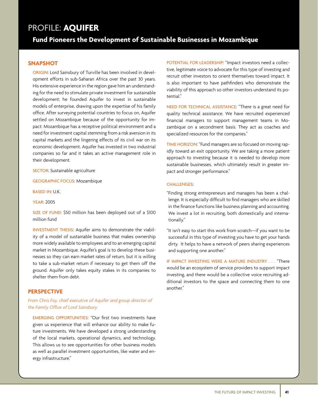## PROFILE: **AQUIFER**

**Fund Pioneers the Development of Sustainable Businesses in Mozambique**

### **SNAPSHOT**

ORIGIN: Lord Sainsbury of Turville has been involved in development efforts in sub-Saharan Africa over the past 30 years. His extensive experience in the region gave him an understanding for the need to stimulate private investment for sustainable development; he founded Aquifer to invest in sustainable models of enterprise, drawing upon the expertise of his family office. After surveying potential countries to focus on, Aquifer settled on Mozambique because of the opportunity for impact: Mozambique has a receptive political environment and a need for investment capital stemming from a risk aversion in its capital markets and the lingering effects of its civil war on its economic development. Aquifer has invested in two industrial companies so far and it takes an active management role in their development.

SECTOR: Sustainable agriculture

GEOGRAPHIC FOCUS: Mozambique

BASED IN: U.K.

#### YEAR: 2005

SIZE OF FUND: \$50 million has been deployed out of a \$100 million fund

INVESTMENT THESIS: Aquifer aims to demonstrate the viability of a model of sustainable business that makes ownership more widely available to employees and to an emerging capital market in Mozambique. Aquifer's goal is to develop these businesses so they can earn market rates of return, but it is willing to take a sub-market return if necessary to get them off the ground. Aquifer only takes equity stakes in its companies to shelter them from debt.

### **PERSPECTIVE**

#### *From Chris Foy, chief executive of Aquifer and group director of the Family Office of Lord Sainsbury*

EMERGING OPPORTUNITIES: "Our first two investments have given us experience that will enhance our ability to make future investments. We have developed a strong understanding of the local markets, operational dynamics, and technology. This allows us to see opportunities for other business models as well as parallel investment opportunities, like water and energy infrastructure."

POTENTIAL FOR LEADERSHIP: "Impact investors need a collective, legitimate voice to advocate for this type of investing and recruit other investors to orient themselves toward impact. It is also important to have pathfinders who demonstrate the viability of this approach so other investors understand its potential."

NEED FOR TECHNICAL ASSISTANCE: "There is a great need for quality technical assistance. We have recruited experienced financial managers to support management teams in Mozambique on a secondment basis. They act as coaches and specialized resources for the companies."

TIME HORIZON: "Fund managers are so focused on moving rapidly toward an exit opportunity. We are taking a more patient approach to investing because it is needed to develop more sustainable businesses, which ultimately result in greater impact and stronger performance."

#### CHALLENGES:**:**

"Finding strong entrepreneurs and managers has been a challenge. It is especially difficult to find managers who are skilled in the finance functions like business planning and accounting. We invest a lot in recruiting, both domestically and internationally."

"It isn't easy to start this work from scratch—if you want to be successful in this type of investing you have to get your hands dirty. It helps to have a network of peers sharing experiences and supporting one another."

IF IMPACT INVESTING WERE A MATURE INDUSTRY . . . "There would be an ecosystem of service providers to support impact investing, and there would be a collective voice recruiting additional investors to the space and connecting them to one another."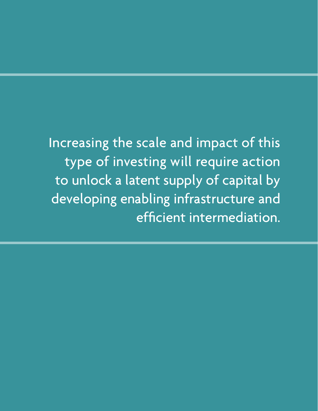Increasing the scale and impact of this type of investing will require action to unlock a latent supply of capital by developing enabling infrastructure and efficient intermediation.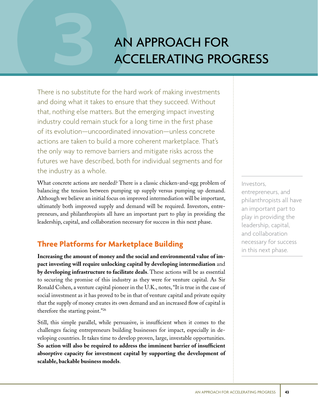# AN APPROACH FOR ACCELERATING PROGRESS

There is no substitute for the hard work of making investments and doing what it takes to ensure that they succeed. Without that, nothing else matters. But the emerging impact investing industry could remain stuck for a long time in the first phase of its evolution—uncoordinated innovation—unless concrete actions are taken to build a more coherent marketplace. That's the only way to remove barriers and mitigate risks across the futures we have described, both for individual segments and for the industry as a whole.

What concrete actions are needed? There is a classic chicken-and-egg problem of balancing the tension between pumping up supply versus pumping up demand. Although we believe an initial focus on improved intermediation will be important, ultimately both improved supply and demand will be required. Investors, entrepreneurs, and philanthropists all have an important part to play in providing the leadership, capital, and collaboration necessary for success in this next phase.

# **Three Platforms for Marketplace Building**

**Increasing the amount of money and the social and environmental value of impact investing will require unlocking capital by developing intermediation** and **by developing infrastructure to facilitate deals**. These actions will be as essential to securing the promise of this industry as they were for venture capital. As Sir Ronald Cohen, a venture capital pioneer in the U.K., notes, "It is true in the case of social investment as it has proved to be in that of venture capital and private equity that the supply of money creates its own demand and an increased flow of capital is therefore the starting point."26

Still, this simple parallel, while persuasive, is insufficient when it comes to the challenges facing entrepreneurs building businesses for impact, especially in developing countries. It takes time to develop proven, large, investable opportunities. **So action will also be required to address the imminent barrier of insufficient absorptive capacity for investment capital by supporting the development of scalable, backable business models**.

Investors,

entrepreneurs, and philanthropists all have an important part to play in providing the leadership, capital, and collaboration necessary for success in this next phase.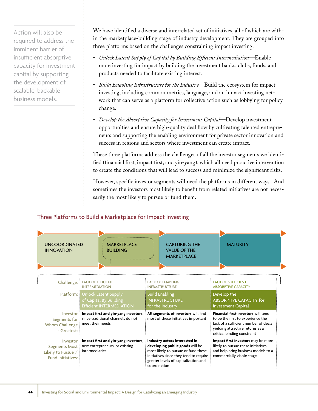Action will also be required to address the imminent barrier of insufficient absorptive capacity for investment capital by supporting the development of scalable, backable business models.

We have identified a diverse and interrelated set of initiatives, all of which are within the marketplace-building stage of industry development. They are grouped into three platforms based on the challenges constraining impact investing:

- s *Unlock Latent Supply of Capital by Building Efficient Intermediation*—Enable more investing for impact by building the investment banks, clubs, funds, and products needed to facilitate existing interest.
- s *Build Enabling Infrastructure for the Industry*—Build the ecosystem for impact investing, including common metrics, language, and an impact investing network that can serve as a platform for collective action such as lobbying for policy change.
- *Develop the Absorptive Capacity for Investment Capital*—Develop investment opportunities and ensure high-quality deal flow by cultivating talented entrepreneurs and supporting the enabling environment for private sector innovation and success in regions and sectors where investment can create impact.

These three platforms address the challenges of all the investor segments we identified (financial first, impact first, and yin-yang), which all need proactive intervention to create the conditions that will lead to success and minimize the significant risks.

However, specific investor segments will need the platforms in different ways. And sometimes the investors most likely to benefit from related initiatives are not necessarily the most likely to pursue or fund them.

### Three Platforms to Build a Marketplace for Impact Investing

| <b>UNCOORDINATED</b><br><b>INNOVATION</b>                                    | <b>MARKETPLACE</b><br><b>BUILDING</b>                                                         | <b>CAPTURING THE</b><br><b>VALUE OF THE</b><br><b>MARKETPLACE</b>                                                                                                                                         | <b>MATURITY</b>                                                                                                                                                                            |
|------------------------------------------------------------------------------|-----------------------------------------------------------------------------------------------|-----------------------------------------------------------------------------------------------------------------------------------------------------------------------------------------------------------|--------------------------------------------------------------------------------------------------------------------------------------------------------------------------------------------|
|                                                                              | Challenge: : LACK OF EFFICIENT<br><b>INTERMEDIATION</b>                                       | <b>LACK OF ENABLING</b><br><b>INFRASTRUCTURE</b>                                                                                                                                                          | <b>LACK OF SUFFICIENT</b><br><b>ABSORPTIVE CAPACITY</b>                                                                                                                                    |
|                                                                              | Platform: Unlock Latent Supply<br>of Capital By Building<br><b>Efficient INTERMEDIATION</b>   | <b>Build Enabling</b><br><b>INFRASTRUCTURE</b><br>for the Industry                                                                                                                                        | Develop the<br><b>ABSORPTIVE CAPACITY for</b><br><b>Investment Capital</b>                                                                                                                 |
| Investor:<br>Segments for<br><b>Whom Challenge</b><br>Is Greatest:           | Impact first and yin-yang investors,<br>since traditional channels do not<br>meet their needs | All segments of investors will find<br>most of these initiatives important                                                                                                                                | <b>Financial first investors will tend</b><br>to be the first to experience the<br>lack of a sufficient number of deals<br>yielding attractive returns as a<br>critical binding constraint |
| Investor<br>Segments Most:<br>Likely to Pursue /<br><b>Fund Initiatives:</b> | : Impact first and yin-yang investors, :<br>new entrepreneurs, or existing<br>intermediaries  | Industry actors interested in<br>developing public goods will be<br>most likely to pursue or fund these<br>initiatives since they tend to require<br>greater levels of capitalization and<br>coordination | Impact first investors may be more<br>likely to pursue these initiatives<br>and help bring business models to a<br>commercially viable stage                                               |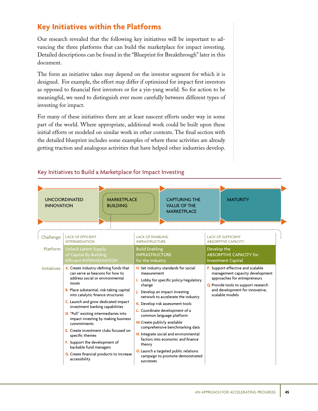### **Key Initiatives within the Platforms**

Our research revealed that the following key initiatives will be important to advancing the three platforms that can build the marketplace for impact investing. Detailed descriptions can be found in the "Blueprint for Breakthrough" later in this document.

The form an initiative takes may depend on the investor segment for which it is designed. For example, the effort may differ if optimized for impact first investors as opposed to financial first investors or for a yin-yang world. So for action to be meaningful, we need to distinguish ever more carefully between different types of investing for impact.

For many of these initiatives there are at least nascent efforts under way in some part of the world. Where appropriate, additional work could be built upon these initial efforts or modeled on similar work in other contexts. The final section with the detailed blueprint includes some examples of where these activities are already getting traction and analogous activities that have helped other industries develop.

| <b>INNOVATION</b>                                                                                                                                                                                                                                                                                                                                                                                                                                                                                                                                                                                                 | <b>UNCOORDINATED</b>                                                                        | <b>MARKETPLACE</b><br><b>BUILDING</b>                                        |                                                                                                                                                                                                                                                                                                                                                                                                                                                                | <b>CAPTURING THE</b><br><b>VALUE OF THE</b><br><b>MARKETPLACE</b>                                                                                                                                         | <b>MATURITY</b>                                                            |
|-------------------------------------------------------------------------------------------------------------------------------------------------------------------------------------------------------------------------------------------------------------------------------------------------------------------------------------------------------------------------------------------------------------------------------------------------------------------------------------------------------------------------------------------------------------------------------------------------------------------|---------------------------------------------------------------------------------------------|------------------------------------------------------------------------------|----------------------------------------------------------------------------------------------------------------------------------------------------------------------------------------------------------------------------------------------------------------------------------------------------------------------------------------------------------------------------------------------------------------------------------------------------------------|-----------------------------------------------------------------------------------------------------------------------------------------------------------------------------------------------------------|----------------------------------------------------------------------------|
| Challenge:                                                                                                                                                                                                                                                                                                                                                                                                                                                                                                                                                                                                        | <b>LACK OF EFFICIENT</b><br><b>INTERMEDIATION</b>                                           |                                                                              | <b>LACK OF ENABLING</b><br><b>INFRASTRUCTURE</b>                                                                                                                                                                                                                                                                                                                                                                                                               |                                                                                                                                                                                                           | <b>LACK OF SUFFICIENT</b><br><b>ABSORPTIVE CAPACITY</b>                    |
|                                                                                                                                                                                                                                                                                                                                                                                                                                                                                                                                                                                                                   | Platform: Unlock Latent Supply<br>of Capital By Building<br><b>Efficient INTERMEDIATION</b> |                                                                              | <b>Build Enabling</b><br><b>INFRASTRUCTURE</b><br>for the Industry                                                                                                                                                                                                                                                                                                                                                                                             |                                                                                                                                                                                                           | Develop the<br><b>ABSORPTIVE CAPACITY for</b><br><b>Investment Capital</b> |
| Initiatives: : A. Create industry-defining funds that<br>can serve as beacons for how to<br>address social or environmental<br>issues<br><b>B.</b> Place substantial, risk-taking capital<br>into catalytic finance structures<br>C. Launch and grow dedicated impact<br>investment banking capabilities<br>D. "Pull" existing intermediaries into<br>impact investing by making business<br>commitments<br><b>E.</b> Create investment clubs focused on<br>specific themes<br><b>F.</b> Support the development of<br>backable fund managers<br><b>G.</b> Create financial products to increase<br>accessibility |                                                                                             | measurement<br>change<br>M. Create publicly available<br>theory<br>successes | H. Set industry standards for social<br>I. Lobby for specific policy/regulatory<br>J. Develop an impact investing<br>network to accelerate the industry<br>K. Develop risk assessment tools<br>L. Coordinate development of a<br>common language platform<br>comprehensive benchmarking data<br>N. Integrate social and environmental<br>factors into economic and finance<br><b>O.</b> Launch a targeted public relations<br>campaign to promote demonstrated | <b>P.</b> Support effective and scalable<br>management capacity development<br>approaches for entrepreneurs<br>Q. Provide tools to support research<br>and development for innovative,<br>scalable models |                                                                            |

### Key Initiatives to Build a Marketplace for Impact Investing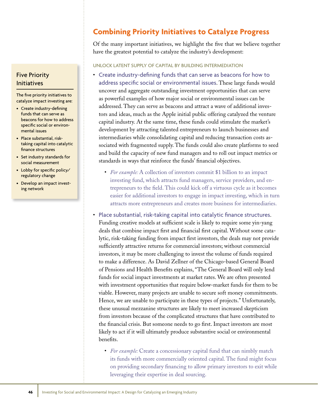### Five Priority **Initiatives**

The five priority initiatives to catalyze impact investing are:

- Create industry-defining funds that can serve as beacons for how to address specific social or environmental issues
- Place substantial, risktaking capital into catalytic finance structures
- Set industry standards for social measurement
- Lobby for specific policy/ regulatory change
- Develop an impact investing network

# **Combining Priority Initiatives to Catalyze Progress**

Of the many important initiatives, we highlight the five that we believe together have the greatest potential to catalyze the industry's development:

### UNLOCK LATENT SUPPLY OF CAPITAL BY BUILDING INTERMEDIATION

- Create industry-defining funds that can serve as beacons for how to address specific social or environmental issues. These large funds would uncover and aggregate outstanding investment opportunities that can serve as powerful examples of how major social or environmental issues can be addressed. They can serve as beacons and attract a wave of additional investors and ideas, much as the Apple initial public offering catalyzed the venture capital industry. At the same time, these funds could stimulate the market's development by attracting talented entrepreneurs to launch businesses and intermediaries while consolidating capital and reducing transaction costs associated with fragmented supply. The funds could also create platforms to seed and build the capacity of new fund managers and to roll out impact metrics or standards in ways that reinforce the funds' financial objectives.
	- *For example:* A collection of investors commit \$1 billion to an impact investing fund, which attracts fund managers, service providers, and entrepreneurs to the field. This could kick off a virtuous cycle as it becomes easier for additional investors to engage in impact investing, which in turn attracts more entrepreneurs and creates more business for intermediaries.

• Place substantial, risk-taking capital into catalytic finance structures. Funding creative models at sufficient scale is likely to require some yin-yang deals that combine impact first and financial first capital. Without some catalytic, risk-taking funding from impact first investors, the deals may not provide sufficiently attractive returns for commercial investors; without commercial investors, it may be more challenging to invest the volume of funds required to make a difference. As David Zellner of the Chicago-based General Board of Pensions and Health Benefits explains, "The General Board will only lend funds for social impact investments at market rates. We are often presented with investment opportunities that require below-market funds for them to be viable. However, many projects are unable to secure soft money commitments. Hence, we are unable to participate in these types of projects." Unfortunately, these unusual mezzanine structures are likely to meet increased skepticism from investors because of the complicated structures that have contributed to the financial crisis. But someone needs to go first. Impact investors are most likely to act if it will ultimately produce substantive social or environmental benefits.

• *For example:* Create a concessionary capital fund that can nimbly match its funds with more commercially oriented capital. The fund might focus on providing secondary financing to allow primary investors to exit while leveraging their expertise in deal sourcing.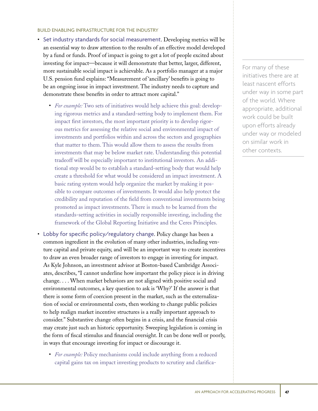#### BUILD ENABLING INFRASTRUCTURE FOR THE INDUSTRY

- Set industry standards for social measurement. Developing metrics will be an essential way to draw attention to the results of an effective model developed by a fund or funds. Proof of impact is going to get a lot of people excited about investing for impact—because it will demonstrate that better, larger, different, more sustainable social impact is achievable. As a portfolio manager at a major U.S. pension fund explains: "Measurement of 'ancillary' benefits is going to be an ongoing issue in impact investment. The industry needs to capture and demonstrate these benefits in order to attract more capital."
	- *For example:* Two sets of initiatives would help achieve this goal: developing rigorous metrics and a standard-setting body to implement them. For impact first investors, the most important priority is to develop rigorous metrics for assessing the relative social and environmental impact of investments and portfolios within and across the sectors and geographies that matter to them. This would allow them to assess the results from investments that may be below market rate. Understanding this potential tradeoff will be especially important to institutional investors. An additional step would be to establish a standard-setting body that would help create a threshold for what would be considered an impact investment. A basic rating system would help organize the market by making it possible to compare outcomes of investments. It would also help protect the credibility and reputation of the field from conventional investments being promoted as impact investments. There is much to be learned from the standards-setting activities in socially responsible investing, including the framework of the Global Reporting Initiative and the Ceres Principles.
- Lobby for specific policy/regulatory change. Policy change has been a common ingredient in the evolution of many other industries, including venture capital and private equity, and will be an important way to create incentives to draw an even broader range of investors to engage in investing for impact. As Kyle Johnson, an investment advisor at Boston-based Cambridge Associates, describes, "I cannot underline how important the policy piece is in driving change. . . . When market behaviors are not aligned with positive social and environmental outcomes, a key question to ask is 'Why?' If the answer is that there is some form of coercion present in the market, such as the externalization of social or environmental costs, then working to change public policies to help realign market incentive structures is a really important approach to consider." Substantive change often begins in a crisis, and the financial crisis may create just such an historic opportunity. Sweeping legislation is coming in the form of fiscal stimulus and financial oversight. It can be done well or poorly, in ways that encourage investing for impact or discourage it.
	- *For example:* Policy mechanisms could include anything from a reduced capital gains tax on impact investing products to scrutiny and clarifica-

For many of these initiatives there are at least nascent efforts under way in some part of the world. Where appropriate, additional work could be built upon efforts already under way or modeled on similar work in other contexts.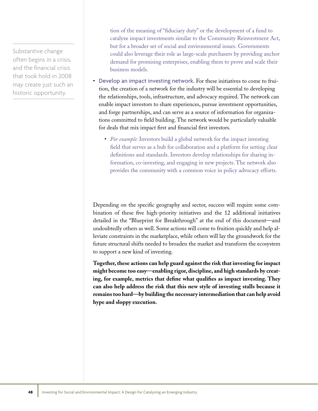Substantive change often begins in a crisis, and the financial crisis that took hold in 2008 may create just such an historic opportunity.

tion of the meaning of "fiduciary duty" or the development of a fund to catalyze impact investments similar to the Community Reinvestment Act, but for a broader set of social and environmental issues. Governments could also leverage their role as large-scale purchasers by providing anchor demand for promising enterprises, enabling them to prove and scale their business models.

- Develop an impact investing network. For these initiatives to come to fruition, the creation of a network for the industry will be essential to developing the relationships, tools, infrastructure, and advocacy required. The network can enable impact investors to share experiences, pursue investment opportunities, and forge partnerships, and can serve as a source of information for organizations committed to field building. The network would be particularly valuable for deals that mix impact first and financial first investors.
	- For example: Investors build a global network for the impact investing field that serves as a hub for collaboration and a platform for setting clear definitions and standards. Investors develop relationships for sharing information, co-investing, and engaging in new projects. The network also provides the community with a common voice in policy advocacy efforts.

Depending on the specific geography and sector, success will require some combination of these five high-priority initiatives and the 12 additional initiatives detailed in the "Blueprint for Breakthrough" at the end of this document—and undoubtedly others as well. Some actions will come to fruition quickly and help alleviate constraints in the marketplace, while others will lay the groundwork for the future structural shifts needed to broaden the market and transform the ecosystem to support a new kind of investing.

**Together, these actions can help guard against the risk that investing for impact might become too easy—enabling rigor, discipline, and high standards by creating, for example, metrics that define what qualifies as impact investing. They can also help address the risk that this new style of investing stalls because it remains too hard—by building the necessary intermediation that can help avoid hype and sloppy execution.**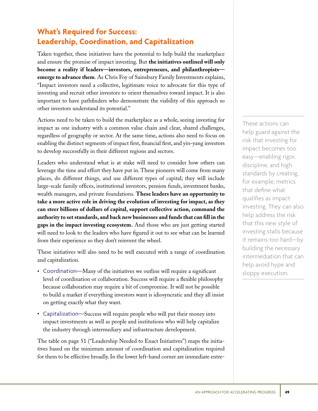# **What's Required for Success: Leadership, Coordination, and Capitalization**

Taken together, these initiatives have the potential to help build the marketplace and ensure the promise of impact investing. But **the initiatives outlined will only become a reality if leaders—investors, entrepreneurs, and philanthropists emerge to advance them**. As Chris Foy of Sainsbury Family Investments explains, "Impact investors need a collective, legitimate voice to advocate for this type of investing and recruit other investors to orient themselves toward impact. It is also important to have pathfinders who demonstrate the viability of this approach so other investors understand its potential."

Actions need to be taken to build the marketplace as a whole, seeing investing for impact as one industry with a common value chain and clear, shared challenges, regardless of geography or sector. At the same time, actions also need to focus on enabling the distinct segments of impact first, financial first, and yin-yang investors to develop successfully in their different regions and sectors.

Leaders who understand what is at stake will need to consider how others can leverage the time and effort they have put in. These pioneers will come from many places, do different things, and use different types of capital; they will include large-scale family offices, institutional investors, pension funds, investment banks, wealth managers, and private foundations. **These leaders have an opportunity to take a more active role in driving the evolution of investing for impact, as they can steer billions of dollars of capital, support collective action, command the authority to set standards, and back new businesses and funds that can fill in the gaps in the impact investing ecosystem.** And those who are just getting started will need to look to the leaders who have figured it out to see what can be learned from their experience so they don't reinvent the wheel.

These initiatives will also need to be well executed with a range of coordination and capitalization.

- Coordination—Many of the initiatives we outline will require a significant level of coordination or collaboration. Success will require a flexible philosophy because collaboration may require a bit of compromise. It will not be possible to build a market if everything investors want is idiosyncratic and they all insist on getting exactly what they want.
- Capitalization—Success will require people who will put their money into impact investments as well as people and institutions who will help capitalize the industry through intermediary and infrastructure development.

The table on page 51 ("Leadership Needed to Enact Initiatives") maps the initiatives based on the minimum amount of coordination and capitalization required for them to be effective broadly. In the lower left-hand corner are immediate entreThese actions can help guard against the risk that investing for impact becomes too easy—enabling rigor, discipline, and high standards by creating, for example, metrics that define what qualifies as impact investing. They can also help address the risk that this new style of investing stalls because it remains too hard—by building the necessary intermediation that can help avoid hype and sloppy execution.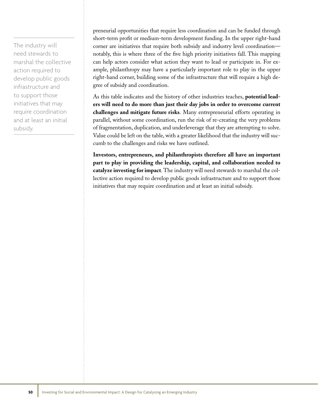The industry will need stewards to marshal the collective action required to develop public goods infrastructure and to support those initiatives that may require coordination and at least an initial subsidy.

preneurial opportunities that require less coordination and can be funded through short-term profit or medium-term development funding. In the upper right-hand corner are initiatives that require both subsidy and industry level coordination notably, this is where three of the five high priority initiatives fall. This mapping can help actors consider what action they want to lead or participate in. For example, philanthropy may have a particularly important role to play in the upper right-hand corner, building some of the infrastructure that will require a high degree of subsidy and coordination.

As this table indicates and the history of other industries teaches, **potential leaders will need to do more than just their day jobs in order to overcome current challenges and mitigate future risks**. Many entrepreneurial efforts operating in parallel, without some coordination, run the risk of re-creating the very problems of fragmentation, duplication, and underleverage that they are attempting to solve. Value could be left on the table, with a greater likelihood that the industry will succumb to the challenges and risks we have outlined.

**Investors, entrepreneurs, and philanthropists therefore all have an important part to play in providing the leadership, capital, and collaboration needed to catalyze investing for impact**. The industry will need stewards to marshal the collective action required to develop public goods infrastructure and to support those initiatives that may require coordination and at least an initial subsidy.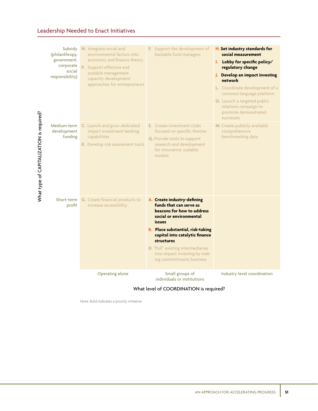### Leadership Needed to Enact Initiatives

|                                          | Subsidy<br>(philanthropy,<br>government,<br>corporate<br>social<br>responsibility) | N. Integrate social and<br>environmental factors into<br>economic and finance theory<br>P. Support effective and<br>scalable management<br>capacity development<br>approaches for entrepreneurs | F. Support the development of<br>backable fund managers                                                                                                                                                                                                                                                                                | H. Set industry standards for<br>social measurement<br>Lobby for specific policy/<br>L.<br>regulatory change<br>J. Develop an impact investing<br>network<br>L. Coordinate development of a<br>common language platform<br>O. Launch a targeted public<br>relations campaign to<br>promote demonstrated<br>successes |
|------------------------------------------|------------------------------------------------------------------------------------|-------------------------------------------------------------------------------------------------------------------------------------------------------------------------------------------------|----------------------------------------------------------------------------------------------------------------------------------------------------------------------------------------------------------------------------------------------------------------------------------------------------------------------------------------|----------------------------------------------------------------------------------------------------------------------------------------------------------------------------------------------------------------------------------------------------------------------------------------------------------------------|
| What type of CAPITALIZATION is required? | Medium-term<br>development<br>funding                                              | C. Launch and grow dedicated<br>impact investment banking<br>capabilities<br>K. Develop risk assessment tools                                                                                   | <b>E.</b> Create investment clubs<br>focused on specific themes<br>Q. Provide tools to support<br>research and development<br>for innovative, scalable<br>models                                                                                                                                                                       | M. Create publicly available<br>comprehensive<br>benchmarking data                                                                                                                                                                                                                                                   |
|                                          | Short-term<br>profit                                                               | G. Create financial products to<br>increase accessibility                                                                                                                                       | A. Create industry-defining<br>funds that can serve as<br>beacons for how to address<br>social or environmental<br>issues<br><b>B.</b> Place substantial, risk-taking<br>capital into catalytic finance<br><b>structures</b><br><b>D.</b> "Pull" existing intermediaries<br>into impact investing by mak-<br>ing committments business |                                                                                                                                                                                                                                                                                                                      |
|                                          |                                                                                    | Operating alone                                                                                                                                                                                 | Small groups of<br>individuals or institutions                                                                                                                                                                                                                                                                                         | Industry level coordination                                                                                                                                                                                                                                                                                          |

What level of COORDINATION is required?

Note: Bold indicates a priority initiative.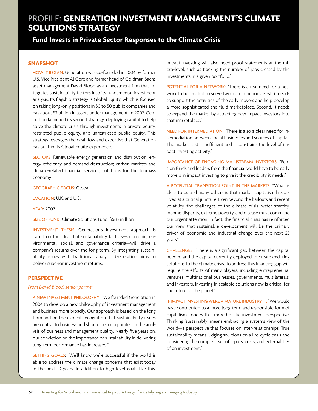## PROFILE: **GENERATION INVESTMENT MANAGEMENT'S CLIMATE SOLUTIONS STRATEGY**

**Fund Invests in Private Sector Responses to the Climate Crisis**

### **SNAPSHOT**

HOW IT BEGAN: Generation was co-founded in 2004 by former U.S. Vice President Al Gore and former head of Goldman Sachs asset management David Blood as an investment firm that integrates sustainability factors into its fundamental investment analysis. Its flagship strategy is Global Equity, which is focused on taking long-only positions in 30 to 50 public companies and has about \$3 billion in assets under management. In 2007, Generation launched its second strategy: deploying capital to help solve the climate crisis through investments in private equity, restricted public equity, and unrestricted public equity. This strategy leverages the deal flow and expertise that Generation has built in its Global Equity experience.

SECTORS: Renewable energy generation and distribution; energy efficiency and demand destruction; carbon markets and climate-related financial services; solutions for the biomass economy

GEOGRAPHIC FOCUS: Global

LOCATION: U.K. and U.S.

YEAR: 2007

SIZE OF FUND: Climate Solutions Fund: \$683 million

INVESTMENT THESIS: Generation's investment approach is based on the idea that sustainability factors—economic, environmental, social, and governance criteria—will drive a company's returns over the long term. By integrating sustainability issues with traditional analysis, Generation aims to deliver superior investment returns.

#### **PERSPECTIVE**

#### *From David Blood, senior partner*

A NEW INVESTMENT PHILOSOPHY: "We founded Generation in 2004 to develop a new philosophy of investment management and business more broadly. Our approach is based on the long term and on the explicit recognition that sustainability issues are central to business and should be incorporated in the analysis of business and management quality. Nearly five years on, our conviction on the importance of sustainability in delivering long-term performance has increased."

SETTING GOALS: "We'll know we're successful if the world is able to address the climate change concerns that exist today in the next 10 years. In addition to high-level goals like this,

impact investing will also need proof statements at the micro-level, such as tracking the number of jobs created by the investments in a given portfolio."

POTENTIAL FOR A NETWORK: "There is a real need for a network to be created to serve two main functions. First, it needs to support the activities of the early movers and help develop a more sophisticated and fluid marketplace. Second, it needs to expand the market by attracting new impact investors into that marketplace."

NEED FOR INTERMEDIATION: "There is also a clear need for intermediation between social businesses and sources of capital. The market is still inefficient and it constrains the level of impact investing activity."

IMPORTANCE OF ENGAGING MAINSTREAM INVESTORS: "Pension funds and leaders from the financial world have to be early movers in impact investing to give it the credibility it needs."

A POTENTIAL TRANSITION POINT IN THE MARKETS: "What is clear to us and many others is that market capitalism has arrived at a critical juncture. Even beyond the bailouts and recent volatility, the challenges of the climate crisis, water scarcity, income disparity, extreme poverty, and disease must command our urgent attention. In fact, the financial crisis has reinforced our view that sustainable development will be the primary driver of economic and industrial change over the next 25 years."

CHALLENGES: "There is a significant gap between the capital needed and the capital currently deployed to create enduring solutions to the climate crisis. To address this financing gap will require the efforts of many players, including entrepreneurial ventures, multinational businesses, governments, multilaterals, and investors. Investing in scalable solutions now is critical for the future of the planet."

IF IMPACT INVESTING WERE A MATURE INDUSTRY ... "We would have contributed to a more long-term and responsible form of capitalism—one with a more holistic investment perspective. Thinking 'sustainably' means embracing a systems view of the world—a perspective that focuses on inter-relationships. True sustainability means judging solutions on a life-cycle basis and considering the complete set of inputs, costs, and externalities of an investment."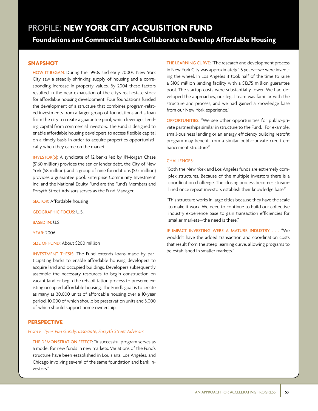## PROFILE: **NEW YORK CITY ACQUISITION FUND**

**Foundations and Commercial Banks Collaborate to Develop Affordable Housing**

### **SNAPSHOT**

HOW IT BEGAN: During the 1990s and early 2000s, New York City saw a steadily shrinking supply of housing and a corresponding increase in property values. By 2004 these factors resulted in the near exhaustion of the city's real estate stock for affordable housing development. Four foundations funded the development of a structure that combines program-related investments from a larger group of foundations and a loan from the city to create a guarantee pool, which leverages lending capital from commercial investors. The Fund is designed to enable affordable housing developers to access flexible capital on a timely basis in order to acquire properties opportunistically when they came on the market.

INVESTOR(S): A syndicate of 12 banks led by JPMorgan Chase (\$160 million) provides the senior lender debt, the City of New York (\$8 million), and a group of nine foundations (\$32 million) provides a guarantee pool. Enterprise Community Investment Inc. and the National Equity Fund are the Fund's Members and Forsyth Street Advisors serves as the Fund Manager.

SECTOR: Affordable housing

GEOGRAPHIC FOCUS: U.S.

BASED IN: U.S.

YEAR: 2006

SIZE OF FUND: About \$200 million

INVESTMENT THESIS: The Fund extends loans made by participating banks to enable affordable housing developers to acquire land and occupied buildings. Developers subsequently assemble the necessary resources to begin construction on vacant land or begin the rehabilitation process to preserve existing occupied affordable housing. The Fund's goal is to create as many as 30,000 units of affordable housing over a 10-year period, 10,000 of which should be preservation units and 3,000 of which should support home ownership.

### **PERSPECTIVE**

#### *From E. Tyler Van Gundy, associate, Forsyth Street Advisors*

THE DEMONSTRATION EFFECT: "A successful program serves as a model for new funds in new markets. Variations of the Fund's structure have been established in Louisiana, Los Angeles, and Chicago involving several of the same foundation and bank investors."

THE LEARNING CURVE: "The research and development process in New York City was approximately 1.5 years—we were inventing the wheel. In Los Angeles it took half of the time to raise a \$100 million lending facility with a \$13.75 million guarantee pool. The startup costs were substantially lower. We had developed the approaches, our legal team was familiar with the structure and process, and we had gained a knowledge base from our New York experience."

OPPORTUNITIES: "We see other opportunities for public-private partnerships similar in structure to the Fund. For example, small-business lending or an energy efficiency building retrofit program may benefit from a similar public-private credit enhancement structure."

#### CHALLENGES:**:**

"Both the New York and Los Angeles funds are extremely complex structures. Because of the multiple investors there is a coordination challenge. The closing process becomes streamlined once repeat investors establish their knowledge base."

"This structure works in large cities because they have the scale to make it work. We need to continue to build our collective industry experience base to gain transaction efficiencies for smaller markets—the need is there."

IF IMPACT INVESTING WERE A MATURE INDUSTRY . . . "We wouldn't have the added transaction and coordination costs that result from the steep learning curve, allowing programs to be established in smaller markets."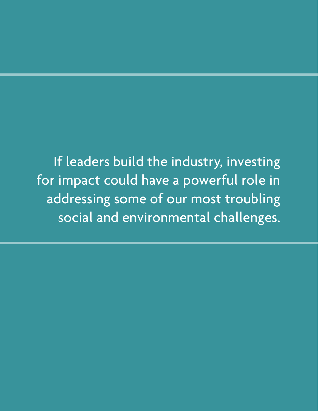If leaders build the industry, investing for impact could have a powerful role in addressing some of our most troubling social and environmental challenges.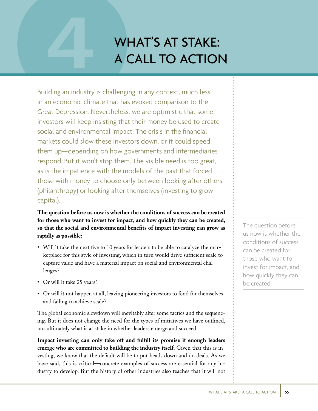# WHAT'S AT STAKE: A CALL TO ACTION

Building an industry is challenging in any context, much less in an economic climate that has evoked comparison to the Great Depression. Nevertheless, we are optimistic that some investors will keep insisting that their money be used to create social and environmental impact. The crisis in the financial markets could slow these investors down, or it could speed them up—depending on how governments and intermediaries respond. But it won't stop them. The visible need is too great, as is the impatience with the models of the past that forced those with money to choose only between looking after others (philanthropy) or looking after themselves (investing to grow capital).

**The question before us now is whether the conditions of success can be created for those who want to invest for impact, and how quickly they can be created, so that the social and environmental benefits of impact investing can grow as rapidly as possible:**

- Will it take the next five to 10 years for leaders to be able to catalyze the marketplace for this style of investing, which in turn would drive sufficient scale to capture value and have a material impact on social and environmental challenges?
- Or will it take 25 years?
- Or will it not happen at all, leaving pioneering investors to fend for themselves and failing to achieve scale?

The global economic slowdown will inevitably alter some tactics and the sequencing. But it does not change the need for the types of initiatives we have outlined, nor ultimately what is at stake in whether leaders emerge and succeed.

**Impact investing can only take off and fulfill its promise if enough leaders emerge who are committed to building the industry itself**. Given that this is investing, we know that the default will be to put heads down and do deals. As we have said, this is critical—concrete examples of success are essential for any industry to develop. But the history of other industries also teaches that it will not The question before us now is whether the conditions of success can be created for those who want to invest for impact, and how quickly they can be created.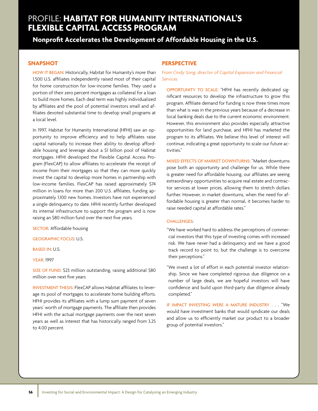# PROFILE: **HABITAT FOR HUMANITY INTERNATIONAL'S FLEXIBLE CAPITAL ACCESS PROGRAM**

**Nonprofit Accelerates the Development of Affordable Housing in the U.S.**

### **SNAPSHOT**

HOW IT BEGAN: Historically, Habitat for Humanity's more than 1,500 U.S. affiliates independently raised most of their capital for home construction for low-income families. They used a portion of their zero percent mortgages as collateral for a loan to build more homes. Each deal term was highly individualized by affiliates and the pool of potential investors small and affiliates devoted substantial time to develop small programs at a local level.

In 1997, Habitat for Humanity International (HFHI) saw an opportunity to improve efficiency and to help affiliates raise capital nationally to increase their ability to develop affordable housing and leverage about a \$1 billion pool of Habitat mortgages. HFHI developed the Flexible Capital Access Program (FlexCAP) to allow affiliates to accelerate the receipt of income from their mortgages so that they can more quickly invest the capital to develop more homes in partnership with low-income families. FlexCAP has raised approximately \$74 million in loans for more than 200 U.S. affiliates, funding approximately 1,100 new homes. Investors have not experienced a single delinquency to date. HFHI recently further developed its internal infrastructure to support the program and is now raising an \$80 million fund over the next five years.

SECTOR: Affordable housing

GEOGRAPHIC FOCUS: U.S.

#### BASED IN: U.S.

YEAR: 1997

SIZE OF FUND: \$23 million outstanding, raising additional \$80 million over next five years

INVESTMENT THESIS: FlexCAP allows Habitat affiliates to leverage its pool of mortgages to accelerate home building efforts. HFHI provides its affiliates with a lump sum payment of seven years' worth of mortgage payments. The affiliate then provides HFHI with the actual mortgage payments over the next seven years as well as interest that has historically ranged from 3.25 to 4.00 percent.

### **PERSPECTIVE**

*From Cindy Song, director of Capital Expansion and Financial Services*

OPPORTUNITY TO SCALE: "HFHI has recently dedicated significant resources to develop the infrastructure to grow this program. Affiliate demand for funding is now three times more than what is was in the previous years because of a decrease in local banking deals due to the current economic environment. However, this environment also provides especially attractive opportunities for land purchase, and HFHI has marketed the program to its affiliates. We believe this level of interest will continue, indicating a great opportunity to scale our future activities."

MIXED EFFECTS OF MARKET DOWNTURNS: "Market downturns pose both an opportunity and challenge for us. While there is greater need for affordable housing, our affiliates are seeing extraordinary opportunities to acquire real estate and contractor services at lower prices, allowing them to stretch dollars further. However, in market downturns, when the need for affordable housing is greater than normal, it becomes harder to raise needed capital at affordable rates."

#### CHALLENGES:**:**

"We have worked hard to address the perceptions of commercial investors that this type of investing comes with increased risk. We have never had a delinquency and we have a good track record to point to, but the challenge is to overcome their perceptions."

"We invest a lot of effort in each potential investor relationship. Since we have completed rigorous due diligence on a number of large deals, we are hopeful investors will have confidence and build upon third-party due diligence already completed."

IF IMPACT INVESTING WERE A MATURE INDUSTRY . . . "We would have investment banks that would syndicate our deals and allow us to efficiently market our product to a broader group of potential investors."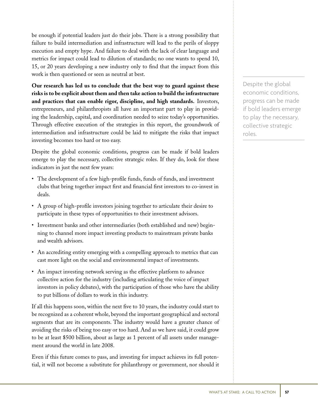be enough if potential leaders just do their jobs. There is a strong possibility that failure to build intermediation and infrastructure will lead to the perils of sloppy execution and empty hype. And failure to deal with the lack of clear language and metrics for impact could lead to dilution of standards; no one wants to spend 10, 15, or 20 years developing a new industry only to find that the impact from this work is then questioned or seen as neutral at best.

**Our research has led us to conclude that the best way to guard against these risks is to be explicit about them and then take action to build the infrastructure and practices that can enable rigor, discipline, and high standards.** Investors, entrepreneurs, and philanthropists all have an important part to play in providing the leadership, capital, and coordination needed to seize today's opportunities. Through effective execution of the strategies in this report, the groundwork of intermediation and infrastructure could be laid to mitigate the risks that impact investing becomes too hard or too easy.

Despite the global economic conditions, progress can be made if bold leaders emerge to play the necessary, collective strategic roles. If they do, look for these indicators in just the next few years:

- The development of a few high-profile funds, funds of funds, and investment clubs that bring together impact first and financial first investors to co-invest in deals.
- A group of high-profile investors joining together to articulate their desire to participate in these types of opportunities to their investment advisors.
- s Investment banks and other intermediaries (both established and new) beginning to channel more impact investing products to mainstream private banks and wealth advisors.
- An accrediting entity emerging with a compelling approach to metrics that can cast more light on the social and environmental impact of investments.
- An impact investing network serving as the effective platform to advance collective action for the industry (including articulating the voice of impact investors in policy debates), with the participation of those who have the ability to put billions of dollars to work in this industry.

If all this happens soon, within the next five to 10 years, the industry could start to be recognized as a coherent whole, beyond the important geographical and sectoral segments that are its components. The industry would have a greater chance of avoiding the risks of being too easy or too hard. And as we have said, it could grow to be at least \$500 billion, about as large as 1 percent of all assets under management around the world in late 2008.

Even if this future comes to pass, and investing for impact achieves its full potential, it will not become a substitute for philanthropy or government, nor should it Despite the global economic conditions, progress can be made if bold leaders emerge to play the necessary, collective strategic roles.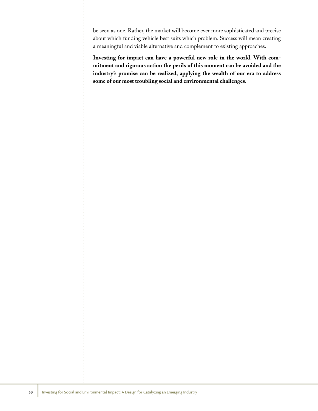be seen as one. Rather, the market will become ever more sophisticated and precise about which funding vehicle best suits which problem. Success will mean creating a meaningful and viable alternative and complement to existing approaches.

**Investing for impact can have a powerful new role in the world. With commitment and rigorous action the perils of this moment can be avoided and the industry's promise can be realized, applying the wealth of our era to address some of our most troubling social and environmental challenges.**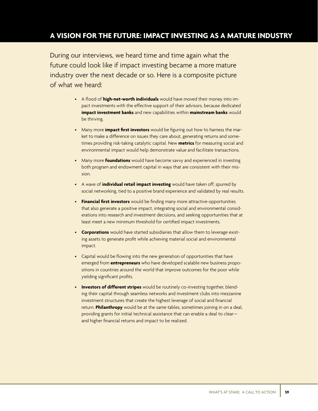### **A VISION FOR THE FUTURE: IMPACT INVESTING AS A MATURE INDUSTRY**

During our interviews, we heard time and time again what the future could look like if impact investing became a more mature industry over the next decade or so. Here is a composite picture of what we heard:

- A flood of **high-net-worth individuals** would have moved their money into impact investments with the effective support of their advisors, because dedicated **impact investment banks** and new capabilities within **mainstream banks** would be thriving.
- Many more **impact first investors** would be figuring out how to harness the market to make a difference on issues they care about, generating returns and sometimes providing risk-taking catalytic capital. New **metrics** for measuring social and environmental impact would help demonstrate value and facilitate transactions.
- Many more **foundations** would have become savvy and experienced in investing both program and endowment capital in ways that are consistent with their mission.
- A wave of **individual retail impact investing** would have taken off, spurred by social networking, tied to a positive brand experience and validated by real results.
- **Financial first investors** would be finding many more attractive opportunities that also generate a positive impact, integrating social and environmental considerations into research and investment decisions, and seeking opportunities that at least meet a new minimum threshold for certified impact investments.
- **Corporations** would have started subsidiaries that allow them to leverage existing assets to generate profit while achieving material social and environmental impact.
- Capital would be flowing into the new generation of opportunities that have emerged from **entrepreneurs** who have developed scalable new business propositions in countries around the world that improve outcomes for the poor while yielding significant profits.
- **Investors of different stripes** would be routinely co-investing together, blending their capital through seamless networks and investment clubs into mezzanine investment structures that create the highest leverage of social and financial return. **Philanthropy** would be at the same tables, sometimes joining in on a deal, providing grants for initial technical assistance that can enable a deal to clear and higher financial returns and impact to be realized.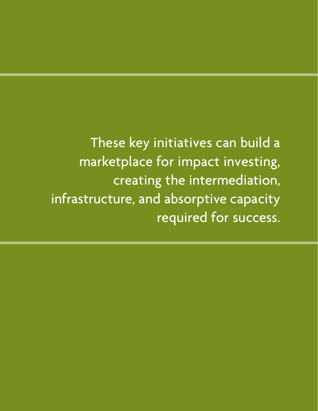These key initiatives can build a marketplace for impact investing, creating the intermediation, infrastructure, and absorptive capacity required for success.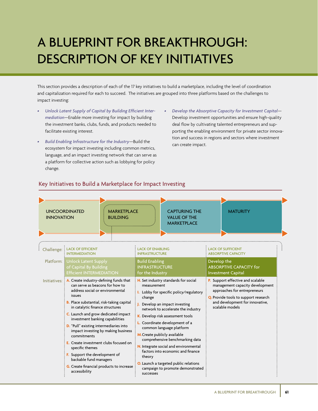# A BLUEPRINT FOR BREAKTHROUGH: DESCRIPTION OF KEY INITIATIVES

This section provides a description of each of the 17 key initiatives to build a marketplace, including the level of coordination and capitalization required for each to succeed. The initiatives are grouped into three platforms based on the challenges to impact investing:

- *Unlock Latent Supply of Capital by Building Efficient Inter*mediation-Enable more investing for impact by building the investment banks, clubs, funds, and products needed to facilitate existing interest.
- *Build Enabling Infrastructure for the Industry-Build the* ecosystem for impact investing including common metrics, language, and an impact investing network that can serve as a platform for collective action such as lobbying for policy change.
- *Develop the Absorptive Capacity for Investment Capital-*Develop investment opportunities and ensure high-quality deal flow by cultivating talented entrepreneurs and supporting the enabling environment for private sector innovation and success in regions and sectors where investment can create impact.

### Key Initiatives to Build a Marketplace for Impact Investing

| <b>INNOVATION</b> | <b>MARKETPLACE</b><br><b>UNCOORDINATED</b><br><b>BUILDING</b>                                                                                                                                                                                                                                                                                                                                                                                                                                                                                                                                          | <b>CAPTURING THE</b><br><b>VALUE OF THE</b><br><b>MARKETPLACE</b>                                                                                                                                                                                                                                                                                                                                                                                                                                                                    | <b>MATURITY</b>                                                                                                                                                                                    |
|-------------------|--------------------------------------------------------------------------------------------------------------------------------------------------------------------------------------------------------------------------------------------------------------------------------------------------------------------------------------------------------------------------------------------------------------------------------------------------------------------------------------------------------------------------------------------------------------------------------------------------------|--------------------------------------------------------------------------------------------------------------------------------------------------------------------------------------------------------------------------------------------------------------------------------------------------------------------------------------------------------------------------------------------------------------------------------------------------------------------------------------------------------------------------------------|----------------------------------------------------------------------------------------------------------------------------------------------------------------------------------------------------|
| Challenge:        | <b>LACK OF EFFICIENT</b>                                                                                                                                                                                                                                                                                                                                                                                                                                                                                                                                                                               | <b>LACK OF ENABLING</b>                                                                                                                                                                                                                                                                                                                                                                                                                                                                                                              | <b>LACK OF SUFFICIENT</b>                                                                                                                                                                          |
|                   | <b>INTERMEDIATION</b>                                                                                                                                                                                                                                                                                                                                                                                                                                                                                                                                                                                  | <b>INFRASTRUCTURE</b>                                                                                                                                                                                                                                                                                                                                                                                                                                                                                                                | <b>ABSORPTIVE CAPACITY</b>                                                                                                                                                                         |
|                   | Platform:   Unlock Latent Supply                                                                                                                                                                                                                                                                                                                                                                                                                                                                                                                                                                       | <b>Build Enabling</b>                                                                                                                                                                                                                                                                                                                                                                                                                                                                                                                | Develop the                                                                                                                                                                                        |
|                   | of Capital By Building                                                                                                                                                                                                                                                                                                                                                                                                                                                                                                                                                                                 | <b>INFRASTRUCTURE</b>                                                                                                                                                                                                                                                                                                                                                                                                                                                                                                                | <b>ABSORPTIVE CAPACITY for</b>                                                                                                                                                                     |
|                   | Efficient INTERMEDIATION                                                                                                                                                                                                                                                                                                                                                                                                                                                                                                                                                                               | for the Industry                                                                                                                                                                                                                                                                                                                                                                                                                                                                                                                     | <b>Investment Capital</b>                                                                                                                                                                          |
|                   | Initiatives: A. Create industry-defining funds that<br>can serve as beacons for how to<br>address social or environmental<br>issues<br><b>B.</b> Place substantial, risk-taking capital<br>in catalytic finance structures<br>C. Launch and grow dedicated impact<br>investment banking capabilities<br>D. "Pull" existing intermediaries into<br>impact investing by making business<br>commitments<br><b>E.</b> Create investment clubs focused on<br>specific themes<br><b>F.</b> Support the development of<br>backable fund managers<br>G. Create financial products to increase<br>accessibility | H. Set industry standards for social<br>measurement<br>I. Lobby for specific policy/regulatory<br>change<br>Develop an impact investing<br>network to accelerate the industry<br>K. Develop risk assessment tools<br>L. Coordinate development of a<br>common language platform<br>M. Create publicly available<br>comprehensive benchmarking data<br>N. Integrate social and environmental<br>factors into economic and finance<br>theory<br>O. Launch a targeted public relations<br>campaign to promote demonstrated<br>successes | P. Support effective and scalable<br>management capacity development<br>approaches for entrepreneurs<br>Q. Provide tools to support research<br>and development for innovative,<br>scalable models |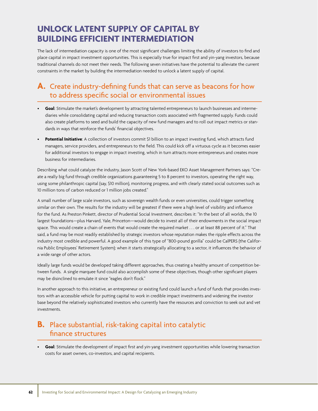# **UNLOCK LATENT SUPPLY OF CAPITAL BY BUILDING EFFICIENT INTERMEDIATION**

The lack of intermediation capacity is one of the most significant challenges limiting the ability of investors to find and place capital in impact investment opportunities. This is especially true for impact first and yin-yang investors, because traditional channels do not meet their needs. The following seven initiatives have the potential to alleviate the current constraints in the market by building the intermediation needed to unlock a latent supply of capital.

### **A.** Create industry-defining funds that can serve as beacons for how to address specific social or environmental issues

- **Goal**: Stimulate the market's development by attracting talented entrepreneurs to launch businesses and intermediaries while consolidating capital and reducing transaction costs associated with fragmented supply. Funds could also create platforms to seed and build the capacity of new fund managers and to roll out impact metrics or standards in ways that reinforce the funds' financial objectives.
- **Potential Initiative**: A collection of investors commit \$1 billion to an impact investing fund, which attracts fund managers, service providers, and entrepreneurs to the field. This could kick off a virtuous cycle as it becomes easier for additional investors to engage in impact investing, which in turn attracts more entrepreneurs and creates more business for intermediaries.

Describing what could catalyze the industry, Jason Scott of New York-based EKO Asset Management Partners says: "Create a really big fund through credible organizations guaranteeing 5 to 8 percent to investors, operating the right way, using some philanthropic capital (say, \$10 million), monitoring progress, and with clearly stated social outcomes such as 10 million tons of carbon reduced or 1 million jobs created."

A small number of large scale investors, such as sovereign wealth funds or even universities, could trigger something similar on their own. The results for the industry will be greatest if there were a high level of visibility and influence for the fund. As Preston Pinkett, director of Prudential Social Investment, describes it: "In the best of all worlds, the 10 largest foundations—plus Harvard, Yale, Princeton—would decide to invest all of their endowments in the social impact space. This would create a chain of events that would create the required market . . . or at least 88 percent of it." That said, a fund may be most readily established by strategic investors whose reputation makes the ripple effects across the industry most credible and powerful. A good example of this type of "800-pound gorilla" could be CalPERS (the California Public Employees' Retirement System); when it starts strategically allocating to a sector, it influences the behavior of a wide range of other actors.

Ideally large funds would be developed taking different approaches, thus creating a healthy amount of competition between funds. A single marquee fund could also accomplish some of these objectives, though other significant players may be disinclined to emulate it since "eagles don't flock."

In another approach to this initiative, an entrepreneur or existing fund could launch a fund of funds that provides investors with an accessible vehicle for putting capital to work in credible impact investments and widening the investor base beyond the relatively sophisticated investors who currently have the resources and conviction to seek out and vet investments.

### **B.** Place substantial, risk-taking capital into catalytic finance structures

 **Goal**: Stimulate the development of impact first and yin-yang investment opportunities while lowering transaction costs for asset owners, co-investors, and capital recipients.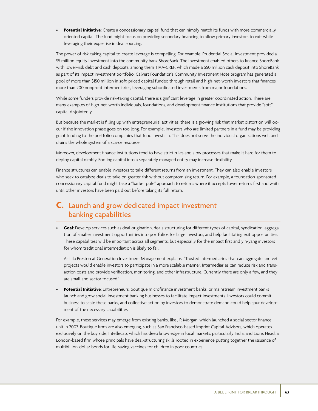**Potential Initiative**: Create a concessionary capital fund that can nimbly match its funds with more commercially oriented capital. The fund might focus on providing secondary financing to allow primary investors to exit while leveraging their expertise in deal sourcing.

The power of risk-taking capital to create leverage is compelling. For example, Prudential Social Investment provided a \$5 million equity investment into the community bank ShoreBank. The investment enabled others to finance ShoreBank with lower-risk debt and cash deposits, among them TIAA-CREF, which made a \$50 million cash deposit into ShoreBank as part of its impact investment portfolio. Calvert Foundation's Community Investment Note program has generated a pool of more than \$150 million in soft-priced capital funded through retail and high-net-worth investors that finances more than 200 nonprofit intermediaries, leveraging subordinated investments from major foundations.

While some funders provide risk-taking capital, there is significant leverage in greater coordinated action. There are many examples of high-net-worth individuals, foundations, and development finance institutions that provide "soft" capital disjointedly.

But because the market is filling up with entrepreneurial activities, there is a growing risk that market distortion will occur if the innovation phase goes on too long. For example, investors who are limited partners in a fund may be providing grant funding to the portfolio companies that fund invests in. This does not serve the individual organizations well and drains the whole system of a scarce resource.

Moreover, development finance institutions tend to have strict rules and slow processes that make it hard for them to deploy capital nimbly. Pooling capital into a separately managed entity may increase flexibility.

Finance structures can enable investors to take different returns from an investment. They can also enable investors who seek to catalyze deals to take on greater risk without compromising return. For example, a foundation-sponsored concessionary capital fund might take a "barber pole" approach to returns where it accepts lower returns first and waits until other investors have been paid out before taking its full return.

## **C.** Launch and grow dedicated impact investment banking capabilities

 **Goal**: Develop services such as deal origination, deals structuring for different types of capital, syndication, aggregation of smaller investment opportunities into portfolios for large investors, and help facilitating exit opportunities. These capabilities will be important across all segments, but especially for the impact first and yin-yang investors for whom traditional intermediation is likely to fail.

As Lila Preston at Generation Investment Management explains, "Trusted intermediaries that can aggregate and vet projects would enable investors to participate in a more scalable manner. Intermediaries can reduce risk and transaction costs and provide verification, monitoring, and other infrastructure. Currently there are only a few, and they are small and sector focused."

 **Potential Initiative**: Entrepreneurs, boutique microfinance investment banks, or mainstream investment banks launch and grow social investment banking businesses to facilitate impact investments. Investors could commit business to scale these banks, and collective action by investors to demonstrate demand could help spur development of the necessary capabilities.

For example, these services may emerge from existing banks, like J.P. Morgan, which launched a social sector finance unit in 2007. Boutique firms are also emerging, such as San Francisco-based Imprint Capital Advisors, which operates exclusively on the buy side; Intellecap, which has deep knowledge in local markets, particularly India; and Lion's Head, a London-based firm whose principals have deal-structuring skills rooted in experience putting together the issuance of multibillion-dollar bonds for life-saving vaccines for children in poor countries.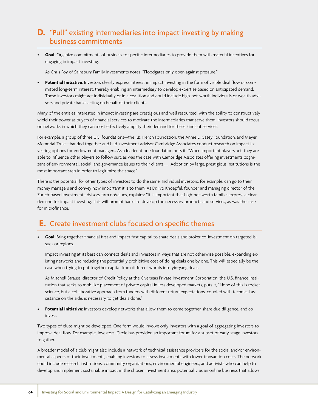### **D.** "Pull" existing intermediaries into impact investing by making business commitments

 **Goal**: Organize commitments of business to specific intermediaries to provide them with material incentives for engaging in impact investing.

As Chris Foy of Sainsbury Family Investments notes, "Floodgates only open against pressure."

 **Potential Initiative**: Investors clearly express interest in impact investing in the form of visible deal flow or committed long-term interest, thereby enabling an intermediary to develop expertise based on anticipated demand. These investors might act individually or in a coalition and could include high-net-worth individuals or wealth advisors and private banks acting on behalf of their clients.

Many of the entities interested in impact investing are prestigious and well resourced, with the ability to constructively wield their power as buyers of financial services to motivate the intermediaries that serve them. Investors should focus on networks in which they can most effectively amplify their demand for these kinds of services.

For example, a group of three U.S. foundations—the F.B. Heron Foundation, the Annie E. Casey Foundation, and Meyer Memorial Trust—banded together and had investment advisor Cambridge Associates conduct research on impact investing options for endowment managers. As a leader at one foundation puts it: "When important players act, they are able to influence other players to follow suit, as was the case with Cambridge Associates offering investments cognizant of environmental, social, and governance issues to their clients . . . Adoption by large, prestigious institutions is the most important step in order to legitimize the space."

There is the potential for other types of investors to do the same. Individual investors, for example, can go to their money managers and convey how important it is to them. As Dr. Ivo Knoepfel, founder and managing director of the Zurich-based investment advisory firm onValues, explains: "It is important that high-net-worth families express a clear demand for impact investing. This will prompt banks to develop the necessary products and services, as was the case for microfinance."

### **E.** Create investment clubs focused on specific themes

Goal: Bring together financial first and impact first capital to share deals and broker co-investment on targeted issues or regions.

Impact investing at its best can connect deals and investors in ways that are not otherwise possible, expanding existing networks and reducing the potentially prohibitive cost of doing deals one by one. This will especially be the case when trying to put together capital from different worlds into yin-yang deals.

As Mitchell Strauss, director of Credit Policy at the Overseas Private Investment Corporation, the U.S. finance institution that seeks to mobilize placement of private capital in less developed markets, puts it, "None of this is rocket science, but a collaborative approach from funders with different return expectations, coupled with technical assistance on the side, is necessary to get deals done."

 **Potential Initiative**: Investors develop networks that allow them to come together, share due diligence, and coinvest.

Two types of clubs might be developed. One form would involve only investors with a goal of aggregating investors to improve deal flow. For example, Investors' Circle has provided an important forum for a subset of early-stage investors to gather.

A broader model of a club might also include a network of technical assistance providers for the social and/or environmental aspects of their investments, enabling investors to assess investments with lower transaction costs. The network could include research institutions, community organizations, environmental engineers, and activists who can help to develop and implement sustainable impact in the chosen investment area, potentially as an online business that allows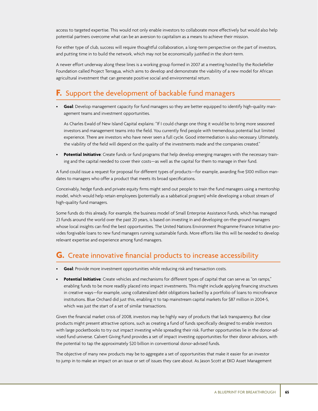access to targeted expertise. This would not only enable investors to collaborate more effectively but would also help potential partners overcome what can be an aversion to capitalism as a means to achieve their mission.

For either type of club, success will require thoughtful collaboration, a long-term perspective on the part of investors, and putting time in to build the network, which may not be economically justified in the short-term.

A newer effort underway along these lines is a working group formed in 2007 at a meeting hosted by the Rockefeller Foundation called Project Terragua, which aims to develop and demonstrate the viability of a new model for African agricultural investment that can generate positive social and environmental return.

## **F.** Support the development of backable fund managers

 **Goal**: Develop management capacity for fund managers so they are better equipped to identify high-quality management teams and investment opportunities.

As Charles Ewald of New Island Capital explains: "If I could change one thing it would be to bring more seasoned investors and management teams into the field. You currently find people with tremendous potential but limited experience. There are investors who have never seen a full cycle. Good intermediation is also necessary. Ultimately, the viability of the field will depend on the quality of the investments made and the companies created."

 **Potential Initiative**: Create funds or fund programs that help develop emerging managers with the necessary training and the capital needed to cover their costs—as well as the capital for them to manage in their fund.

A fund could issue a request for proposal for different types of products—for example, awarding five \$100 million mandates to managers who offer a product that meets its broad specifications.

Conceivably, hedge funds and private equity firms might send out people to train the fund managers using a mentorship model, which would help retain employees (potentially as a sabbatical program) while developing a robust stream of high-quality fund managers.

Some funds do this already. For example, the business model of Small Enterprise Assistance Funds, which has managed 23 funds around the world over the past 20 years, is based on investing in and developing on-the-ground managers whose local insights can find the best opportunities. The United Nations Environment Programme Finance Initiative provides forgivable loans to new fund managers running sustainable funds. More efforts like this will be needed to develop relevant expertise and experience among fund managers.

# **G.** Create innovative financial products to increase accessibility

- **Goal:** Provide more investment opportunities while reducing risk and transaction costs.
- **Potential Initiative**: Create vehicles and mechanisms for different types of capital that can serve as "on ramps," enabling funds to be more readily placed into impact investments. This might include applying financing structures in creative ways—for example, using collateralized debt obligations backed by a portfolio of loans to microfinance institutions. Blue Orchard did just this, enabling it to tap mainstream capital markets for \$87 million in 2004-5, which was just the start of a set of similar transactions.

Given the financial market crisis of 2008, investors may be highly wary of products that lack transparency. But clear products might present attractive options, such as creating a fund of funds specifically designed to enable investors with large pocketbooks to try out impact investing while spreading their risk. Further opportunities lie in the donor-advised fund universe. Calvert Giving Fund provides a set of impact investing opportunities for their donor advisors, with the potential to tap the approximately \$20 billion in conventional donor-advised funds.

The objective of many new products may be to aggregate a set of opportunities that make it easier for an investor to jump in to make an impact on an issue or set of issues they care about. As Jason Scott at EKO Asset Management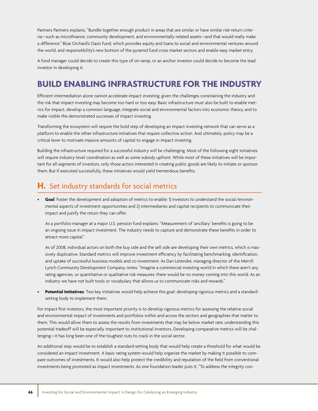Partners Partners explains, "Bundle together enough product in areas that are similar or have similar risk-return criteria—such as microfinance, community development, and environmentally related assets—and that would really make a difference." Blue Orchard's Oasis Fund, which provides equity and loans to social and environmental ventures around the world, and responsAbility's new bottom of the pyramid fund cross market sectors and enable easy market entry.

A fund manager could decide to create this type of on-ramp, or an anchor investor could decide to become the lead investor in developing it.

# **BUILD ENABLING INFRASTRUCTURE FOR THE INDUSTRY**

Efficient intermediation alone cannot accelerate impact investing, given the challenges constraining the industry and the risk that impact investing may become too hard or too easy. Basic infrastructure must also be built to enable metrics for impact, develop a common language, integrate social and environmental factors into economic theory, and to make visible the demonstrated successes of impact investing.

Transforming the ecosystem will require the bold step of developing an impact investing network that can serve as a platform to enable the other infrastructure initiatives that require collective action. And ultimately, policy may be a critical lever to motivate massive amounts of capital to engage in impact investing.

Building the infrastructure required for a successful industry will be challenging. Most of the following eight initiatives will require industry-level coordination as well as some subsidy upfront. While most of these initiatives will be important for all segments of investors, only those actors interested in creating public goods are likely to initiate or sponsor them. But if executed successfully, these initiatives would yield tremendous benefits.

### **H.** Set industry standards for social metrics

Goal: Foster the development and adoption of metrics to enable: 1) investors to understand the social/environmental aspects of investment opportunities and 2) intermediaries and capital recipients to communicate their impact and justify the return they can offer.

As a portfolio manager at a major U.S. pension fund explains: "Measurement of 'ancillary' benefits is going to be an ongoing issue in impact investment. The industry needs to capture and demonstrate these benefits in order to attract more capital."

As of 2008, individual actors on both the buy side and the sell side are developing their own metrics, which is massively duplicative. Standard metrics will improve investment efficiency by facilitating benchmarking, identification, and uptake of successful business models and co-investment. As Dan Letendre, managing director of the Merrill Lynch Community Development Company, notes: "Imagine a commercial investing world in which there aren't any rating agencies, or quantitative or qualitative risk measures: there would be no money coming into this world. As an industry we have not built tools or vocabulary that allows us to communicate risks and rewards."

 **Potential Initiatives**: Two key initiatives would help achieve this goal: developing rigorous metrics and a standardsetting body to implement them.

For impact first investors, the most important priority is to develop rigorous metrics for assessing the relative social and environmental impact of investments and portfolios within and across the sectors and geographies that matter to them. This would allow them to assess the results from investments that may be below market rate; understanding this potential tradeoff will be especially important to institutional investors. Developing comparative metrics will be challenging—it has long been one of the toughest nuts to crack in the social sector.

An additional step would be to establish a standard-setting body that would help create a threshold for what would be considered an impact investment. A basic rating system would help organize the market by making it possible to compare outcomes of investments. It would also help protect the credibility and reputation of the field from conventional investments being promoted as impact investments. As one foundation leader puts it, "To address the integrity con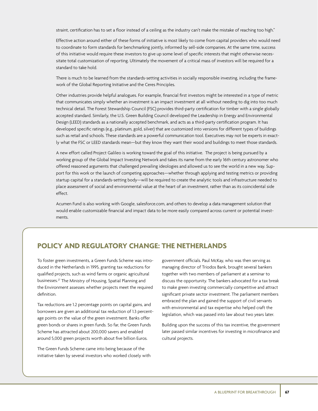straint, certification has to set a floor instead of a ceiling as the industry can't make the mistake of reaching too high."

Effective action around either of these forms of initiative is most likely to come from capital providers who would need to coordinate to form standards for benchmarking jointly, informed by sell-side companies. At the same time, success of this initiative would require these investors to give up some level of specific interests that might otherwise necessitate total customization of reporting. Ultimately the movement of a critical mass of investors will be required for a standard to take hold.

There is much to be learned from the standards-setting activities in socially responsible investing, including the framework of the Global Reporting Initiative and the Ceres Principles.

Other industries provide helpful analogues. For example, financial first investors might be interested in a type of metric that communicates simply whether an investment is an impact investment at all without needing to dig into too much technical detail. The Forest Stewardship Council (FSC) provides third-party certification for timber with a single globally accepted standard. Similarly, the U.S. Green Building Council developed the Leadership in Energy and Environmental Design (LEED) standards as a nationally accepted benchmark, and acts as a third-party certification program. It has developed specific ratings (e.g., platinum, gold, silver) that are customized into versions for different types of buildings such as retail and schools. These standards are a powerful communication tool. Executives may not be experts in exactly what the FSC or LEED standards mean—but they know they want their wood and buildings to meet those standards.

A new effort called Project Galileo is working toward the goal of this initiative. The project is being pursued by a working group of the Global Impact Investing Network and takes its name from the early 16th century astronomer who offered reasoned arguments that challenged prevailing ideologies and allowed us to see the world in a new way. Support for this work or the launch of competing approaches—whether through applying and testing metrics or providing startup capital for a standards-setting body—will be required to create the analytic tools and infrastructure needed to place assessment of social and environmental value at the heart of an investment, rather than as its coincidental side effect.

Acumen Fund is also working with Google, salesforce.com, and others to develop a data management solution that would enable customizable financial and impact data to be more easily compared across current or potential investments.

### **POLICY AND REGULATORY CHANGE: THE NETHERLANDS**

To foster green investments, a Green Funds Scheme was introduced in the Netherlands in 1995, granting tax reductions for qualified projects, such as wind farms or organic agricultural businesses.27 The Ministry of Housing, Spatial Planning and the Environment assesses whether projects meet the required definition.

Tax reductions are 1.2 percentage points on capital gains, and borrowers are given an additional tax reduction of 1.3 percentage points on the value of the green investment. Banks offer green bonds or shares in green funds. So far, the Green Funds Scheme has attracted about 200,000 savers and enabled around 5,000 green projects worth about five billion Euros.

The Green Funds Scheme came into being because of the initiative taken by several investors who worked closely with government officials. Paul McKay, who was then serving as managing director of Triodos Bank, brought several bankers together with two members of parliament at a seminar to discuss the opportunity. The bankers advocated for a tax break to make green investing commercially competitive and attract significant private sector investment. The parliament members embraced the plan and gained the support of civil servants with environmental and tax expertise who helped craft the legislation, which was passed into law about two years later.

Building upon the success of this tax incentive, the government later passed similar incentives for investing in microfinance and cultural projects.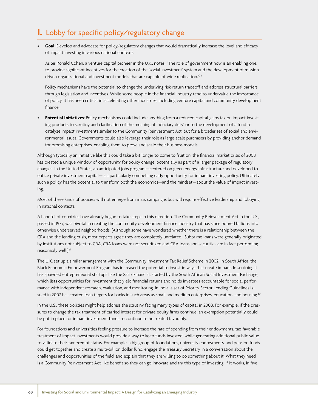# **I.** Lobby for specific policy/regulatory change

Goal: Develop and advocate for policy/regulatory changes that would dramatically increase the level and efficacy of impact investing in various national contexts.

As Sir Ronald Cohen, a venture capital pioneer in the U.K., notes, "The role of government now is an enabling one, to provide significant incentives for the creation of the 'social investment' system and the development of missiondriven organizational and investment models that are capable of wide replication."<sup>28</sup>

Policy mechanisms have the potential to change the underlying risk-return tradeoff and address structural barriers through legislation and incentives. While some people in the financial industry tend to undervalue the importance of policy, it has been critical in accelerating other industries, including venture capital and community development finance.

 **Potential Initiatives**: Policy mechanisms could include anything from a reduced capital gains tax on impact investing products to scrutiny and clarification of the meaning of 'fiduciary duty' or to the development of a fund to catalyze impact investments similar to the Community Reinvestment Act, but for a broader set of social and environmental issues. Governments could also leverage their role as large-scale purchasers by providing anchor demand for promising enterprises, enabling them to prove and scale their business models.

Although typically an initiative like this could take a bit longer to come to fruition, the financial market crisis of 2008 has created a unique window of opportunity for policy change, potentially as part of a larger package of regulatory changes. In the United States, an anticipated jobs program—centered on green energy infrastructure and developed to entice private investment capital—is a particularly compelling early opportunity for impact investing policy. Ultimately such a policy has the potential to transform both the economics—and the mindset—about the value of impact investing.

Most of these kinds of policies will not emerge from mass campaigns but will require effective leadership and lobbying in national contexts.

A handful of countries have already begun to take steps in this direction. The Community Reinvestment Act in the U.S., passed in 1977, was pivotal in creating the community development finance industry that has since poured billions into otherwise underserved neighborhoods. (Although some have wondered whether there is a relationship between the CRA and the lending crisis, most experts agree they are completely unrelated. Subprime loans were generally originated by institutions not subject to CRA, CRA loans were not securitized and CRA loans and securities are in fact performing reasonably well.)<sup>29</sup>

The U.K. set up a similar arrangement with the Community Investment Tax Relief Scheme in 2002. In South Africa, the Black Economic Empowerment Program has increased the potential to invest in ways that create impact. In so doing it has spawned entrepreneurial startups like the Sasix Financial, started by the South African Social Investment Exchange, which lists opportunities for investment that yield financial returns and holds investees accountable for social performance with independent research, evaluation, and monitoring. In India, a set of Priority Sector Lending Guidelines issued in 2007 has created loan targets for banks in such areas as small and medium enterprises, education, and housing.<sup>30</sup>

In the U.S., these policies might help address the scrutiny facing many types of capital in 2008. For example, if the pressures to change the tax treatment of carried interest for private equity firms continue, an exemption potentially could be put in place for impact investment funds to continue to be treated favorably.

For foundations and universities feeling pressure to increase the rate of spending from their endowments, tax-favorable treatment of impact investments would provide a way to keep funds invested, while generating additional public value to validate their tax-exempt status. For example, a big group of foundations, university endowments, and pension funds could get together and create a multi-billion dollar fund, engage the Treasury Secretary in a conversation about the challenges and opportunities of the field, and explain that they are willing to do something about it. What they need is a Community Reinvestment Act-like benefit so they can go innovate and try this type of investing. If it works, in five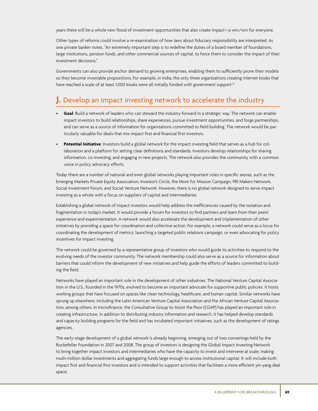years there will be a whole new flood of investment opportunities that also create impact—a win/win for everyone.

Other types of reforms could involve a re-examination of how laws about fiduciary responsibility are interpreted. As one private banker notes, "An extremely important step is to redefine the duties of a board member of foundations, large institutions, pension funds, and other commercial sources of capital, to force them to consider the impact of their investment decisions."

Governments can also provide anchor demand to growing enterprises, enabling them to sufficiently prove their models so they become investable propositions. For example, in India, the only three organizations creating internet kiosks that have reached a scale of at least 1,000 kiosks were all initially funded with government support.<sup>31</sup>

### **J.** Develop an impact investing network to accelerate the industry

- **Goal**: Build a network of leaders who can steward the industry forward in a strategic way. The network can enable impact investors to build relationships, share experiences, pursue investment opportunities, and forge partnerships, and can serve as a source of information for organizations committed to field building. The network would be particularly valuable for deals that mix impact first and financial first investors.
- **Potential Initiative**: Investors build a global network for the impact investing field that serves as a hub for collaboration and a platform for setting clear definitions and standards. Investors develop relationships for sharing information, co-investing, and engaging in new projects. The network also provides the community with a common voice in policy advocacy efforts.

Today there are a number of national and even global networks playing important roles in specific arenas, such as the Emerging Markets Private Equity Association, Investor's Circle, the More for Mission Campaign, PRI Makers Network, Social Investment Forum, and Social Venture Network. However, there is no global network designed to serve impact investing as a whole with a focus on suppliers of capital and intermediaries.

Establishing a global network of impact investors would help address the inefficiencies caused by the isolation and fragmentation in today's market. It would provide a forum for investors to find partners and learn from their peers' experience and experimentation. A network would also accelerate the development and implementation of other initiatives by providing a space for coordination and collective action. For example, a network could serve as a locus for coordinating the development of metrics, launching a targeted public relations campaign, or even advocating for policy incentives for impact investing.

The network could be governed by a representative group of investors who would guide its activities to respond to the evolving needs of the investor community. The network membership could also serve as a source for information about barriers that could inform the development of new initiatives and help guide the efforts of leaders committed to building the field.

Networks have played an important role in the development of other industries. The National Venture Capital Association in the U.S., founded in the 1970s, evolved to become an important advocate for supportive public policies. It hosts working groups that have focused on spaces like clean technology, healthcare, and human capital. Similar networks have sprung up elsewhere, including the Latin American Venture Capital Association and the African Venture Capital Association, among others. In microfinance, the Consultative Group to Assist the Poor (CGAP) has played an important role in creating infrastructure. In addition to distributing industry information and research, it has helped develop standards and capacity building programs for the field and has incubated important initiatives, such as the development of ratings agencies.

The early-stage development of a global network is already beginning, emerging out of two convenings held by the Rockefeller Foundation in 2007 and 2008. The group of investors is designing the Global Impact Investing Network to bring together impact investors and intermediaries who have the capacity to invest and intervene at scale, making multi-million dollar investments and aggregating funds large enough to access institutional capital. It will include both impact first and financial first investors and is intended to support activities that facilitate a more efficient yin-yang deal space.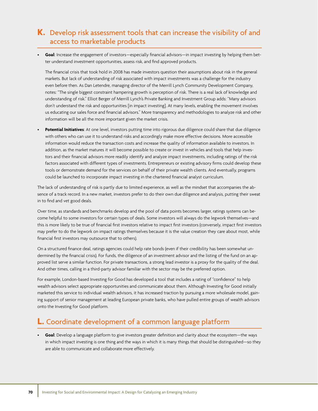### **K.** Develop risk assessment tools that can increase the visibility of and access to marketable products

 **Goal**: Increase the engagement of investors—especially financial advisors—in impact investing by helping them better understand investment opportunities, assess risk, and find approved products.

The financial crisis that took hold in 2008 has made investors question their assumptions about risk in the general markets. But lack of understanding of risk associated with impact investments was a challenge for the industry even before then. As Dan Letendre, managing director of the Merrill Lynch Community Development Company, notes: "The single biggest constraint hampering growth is perception of risk. There is a real lack of knowledge and understanding of risk." Elliot Berger of Merrill Lynch's Private Banking and Investment Group adds: "Many advisors don't understand the risk and opportunities [in impact investing]. At many levels, enabling the movement involves us educating our sales force and financial advisors." More transparency and methodologies to analyze risk and other information will be all the more important given the market crisis.

 **Potential Initiatives**: At one level, investors putting time into rigorous due diligence could share that due diligence with others who can use it to understand risks and accordingly make more effective decisions. More accessible information would reduce the transaction costs and increase the quality of information available to investors. In addition, as the market matures it will become possible to create or invest in vehicles and tools that help investors and their financial advisors more readily identify and analyze impact investments, including ratings of the risk factors associated with different types of investments. Entrepreneurs or existing advisory firms could develop these tools or demonstrate demand for the services on behalf of their private wealth clients. And eventually, programs could be launched to incorporate impact investing in the chartered financial analyst curriculum.

The lack of understanding of risk is partly due to limited experience, as well as the mindset that accompanies the absence of a track record. In a new market, investors prefer to do their own due diligence and analysis, putting their sweat in to find and vet good deals.

Over time, as standards and benchmarks develop and the pool of data points becomes larger, ratings systems can become helpful to some investors for certain types of deals. Some investors will always do the legwork themselves—and this is more likely to be true of financial first investors relative to impact first investors (conversely, impact first investors may prefer to do the legwork on impact ratings themselves because it is the value creation they care about most, while financial first investors may outsource that to others).

On a structured finance deal, ratings agencies could help rate bonds (even if their credibility has been somewhat undermined by the financial crisis). For funds, the diligence of an investment advisor and the listing of the fund on an approved list serve a similar function. For private transactions, a strong lead investor is a proxy for the quality of the deal. And other times, calling in a third-party advisor familiar with the sector may be the preferred option.

For example, London-based Investing for Good has developed a tool that includes a rating of "confidence" to help wealth advisors select appropriate opportunities and communicate about them. Although Investing for Good initially marketed this service to individual wealth advisors, it has increased traction by pursuing a more wholesale model, gaining support of senior management at leading European private banks, who have pulled entire groups of wealth advisors onto the Investing for Good platform.

### **L.** Coordinate development of a common language platform

 **Goal**: Develop a language platform to give investors greater definition and clarity about the ecosystem—the ways in which impact investing is one thing and the ways in which it is many things that should be distinguished—so they are able to communicate and collaborate more effectively.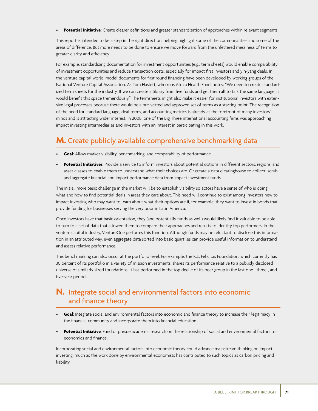**Potential Initiative**: Create clearer definitions and greater standardization of approaches within relevant segments.

This report is intended to be a step in the right direction, helping highlight some of the commonalities and some of the areas of difference. But more needs to be done to ensure we move forward from the unfettered messiness of terms to greater clarity and efficiency.

For example, standardizing documentation for investment opportunities (e.g., term sheets) would enable comparability of investment opportunities and reduce transaction costs, especially for impact first investors and yin-yang deals. In the venture capital world, model documents for first round financing have been developed by working groups of the National Venture Capital Association. As Tom Haslett, who runs Africa Health Fund, notes: "We need to create standardized term sheets for the industry. If we can create a library from five funds and get them all to talk the same language, it would benefit this space tremendously." The termsheets might also make it easier for institutional investors with extensive legal processes because there would be a pre-vetted and approved set of terms as a starting point. The recognition of the need for standard language, deal terms, and accounting metrics is already at the forefront of many investors' minds and is attracting wider interest. In 2008, one of the Big Three international accounting firms was approaching impact investing intermediaries and investors with an interest in participating in this work.

# **M.** Create publicly available comprehensive benchmarking data

- **Goal:** Allow market visibility, benchmarking, and comparability of performance.
- **Potential Initiatives**: Provide a service to inform investors about potential options in different sectors, regions, and asset classes to enable them to understand what their choices are. Or create a data clearinghouse to collect, scrub, and aggregate financial and impact performance data from impact investment funds.

The initial, more basic challenge in the market will be to establish visibility so actors have a sense of who is doing what and how to find potential deals in areas they care about. This need will continue to exist among investors new to impact investing who may want to learn about what their options are if, for example, they want to invest in bonds that provide funding for businesses serving the very poor in Latin America.

Once investors have that basic orientation, they (and potentially funds as well) would likely find it valuable to be able to turn to a set of data that allowed them to compare their approaches and results to identify top performers. In the venture capital industry, VentureOne performs this function. Although funds may be reluctant to disclose this information in an attributed way, even aggregate data sorted into basic quartiles can provide useful information to understand and assess relative performance.

This benchmarking can also occur at the portfolio level. For example, the K.L. Felicitas Foundation, which currently has 30 percent of its portfolio in a variety of mission investments, shares its performance relative to a publicly disclosed universe of similarly sized foundations. It has performed in the top decile of its peer group in the last one-, three-, and five-year periods.

## **N.** Integrate social and environmental factors into economic and finance theory

- **Goal**: Integrate social and environmental factors into economic and finance theory to increase their legitimacy in the financial community and incorporate them into financial education.
- **Potential Initiative**: Fund or pursue academic research on the relationship of social and environmental factors to economics and finance.

Incorporating social and environmental factors into economic theory could advance mainstream thinking on impact investing, much as the work done by environmental economists has contributed to such topics as carbon pricing and liability.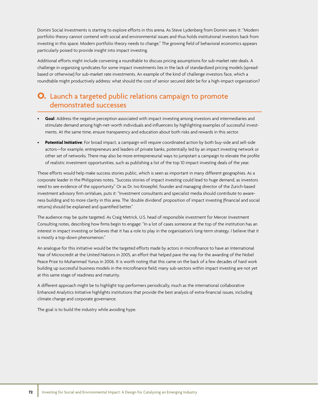Domini Social Investments is starting to explore efforts in this arena. As Steve Lydenberg from Domini sees it: "Modern portfolio theory cannot contend with social and environmental issues and thus holds institutional investors back from investing in this space. Modern portfolio theory needs to change." The growing field of behavioral economics appears particularly poised to provide insight into impact investing.

Additional efforts might include convening a roundtable to discuss pricing assumptions for sub-market rate deals. A challenge in organizing syndicates for some impact investments lies in the lack of standardized pricing models (spreadbased or otherwise) for sub-market rate investments. An example of the kind of challenge investors face, which a roundtable might productively address: what should the cost of senior secured debt be for a high-impact organization?

# **O.** Launch a targeted public relations campaign to promote demonstrated successes

- **Goal**: Address the negative perception associated with impact investing among investors and intermediaries and stimulate demand among high-net-worth individuals and influencers by highlighting examples of successful investments. At the same time, ensure transparency and education about both risks and rewards in this sector.
- **Potential Initiative**: For broad impact, a campaign will require coordinated action by both buy-side and sell-side actors—for example, entrepreneurs and leaders of private banks, potentially led by an impact investing network or other set of networks. There may also be more entrepreneurial ways to jumpstart a campaign to elevate the profile of realistic investment opportunities, such as publishing a list of the top 10 impact investing deals of the year.

These efforts would help make success stories public, which is seen as important in many different geographies. As a corporate leader in the Philippines notes, "Success stories of impact investing could lead to huge demand, as investors need to see evidence of the opportunity." Or as Dr. Ivo Knoepfel, founder and managing director of the Zurich-based investment advisory firm onValues, puts it: "Investment consultants and specialist media should contribute to awareness building and to more clarity in this area. The 'double dividend' proposition of impact investing (financial and social returns) should be explained and quantified better."

The audience may be quite targeted. As Craig Metrick, U.S. head of responsible investment for Mercer Investment Consulting notes, describing how firms begin to engage: "In a lot of cases someone at the top of the institution has an interest in impact investing or believes that it has a role to play in the organization's long-term strategy. I believe that it is mostly a top-down phenomenon."

An analogue for this initiative would be the targeted efforts made by actors in microfinance to have an International Year of Microcredit at the United Nations in 2005, an effort that helped pave the way for the awarding of the Nobel Peace Prize to Muhammad Yunus in 2006. It is worth noting that this came on the back of a few decades of hard work building up successful business models in the microfinance field; many sub-sectors within impact investing are not yet at this same stage of readiness and maturity.

A different approach might be to highlight top performers periodically, much as the international collaborative Enhanced Analytics Initiative highlights institutions that provide the best analysis of extra-financial issues, including climate change and corporate governance.

The goal is to build the industry while avoiding hype.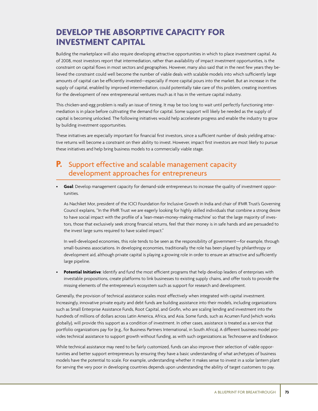# **DEVELOP THE ABSORPTIVE CAPACITY FOR INVESTMENT CAPITAL**

Building the marketplace will also require developing attractive opportunities in which to place investment capital. As of 2008, most investors report that intermediation, rather than availability of impact investment opportunities, is the constraint on capital flows in most sectors and geographies. However, many also said that in the next few years they believed the constraint could well become the number of viable deals with scalable models into which sufficiently large amounts of capital can be efficiently invested—especially if more capital pours into the market. But an increase in the supply of capital, enabled by improved intermediation, could potentially take care of this problem, creating incentives for the development of new entrepreneurial ventures much as it has in the venture capital industry.

This chicken-and-egg problem is really an issue of timing. It may be too long to wait until perfectly functioning intermediation is in place before cultivating the demand for capital. Some support will likely be needed as the supply of capital is becoming unlocked. The following initiatives would help accelerate progress and enable the industry to grow by building investment opportunities.

These initiatives are especially important for financial first investors, since a sufficient number of deals yielding attractive returns will become a constraint on their ability to invest. However, impact first investors are most likely to pursue these initiatives and help bring business models to a commercially viable stage.

# **P.** Support effective and scalable management capacity development approaches for entrepreneurs

**Goal**: Develop management capacity for demand-side entrepreneurs to increase the quality of investment opportunities.

As Nachiket Mor, president of the ICICI Foundation for Inclusive Growth in India and chair of IFMR Trust's Governing Council explains, "In the IFMR Trust we are eagerly looking for highly skilled individuals that combine a strong desire to have social impact with the profile of a 'lean-mean-money-making-machine' so that the large majority of investors, those that exclusively seek strong financial returns, feel that their money is in safe hands and are persuaded to the invest large sums required to have scaled impact."

In well-developed economies, this role tends to be seen as the responsibility of government—for example, through small-business associations. In developing economies, traditionally the role has been played by philanthropy or development aid, although private capital is playing a growing role in order to ensure an attractive and sufficiently large pipeline.

 **Potential Initiative**: Identify and fund the most efficient programs that help develop leaders of enterprises with investable propositions, create platforms to link businesses to existing supply chains, and offer tools to provide the missing elements of the entrepreneur's ecosystem such as support for research and development.

Generally, the provision of technical assistance scales most effectively when integrated with capital investment. Increasingly, innovative private equity and debt funds are building assistance into their models, including organizations such as Small Enterprise Assistance Funds, Root Capital, and Grofin, who are scaling lending and investment into the hundreds of millions of dollars across Latin America, Africa, and Asia. Some funds, such as Acumen Fund (which works globally), will provide this support as a condition of investment. In other cases, assistance is treated as a service that portfolio organizations pay for (e.g., for Business Partners International, in South Africa). A different business model provides technical assistance to support growth without funding, as with such organizations as Technoserve and Endeavor.

While technical assistance may need to be fairly customized, funds can also improve their selection of viable opportunities and better support entrepreneurs by ensuring they have a basic understanding of what archetypes of business models have the potential to scale. For example, understanding whether it makes sense to invest in a solar lantern plant for serving the very poor in developing countries depends upon understanding the ability of target customers to pay.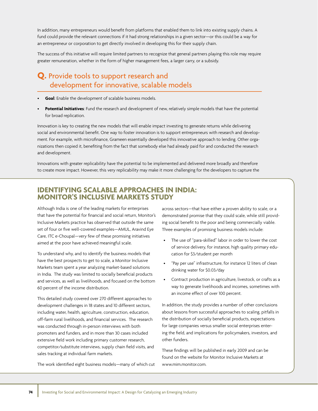In addition, many entrepreneurs would benefit from platforms that enabled them to link into existing supply chains. A fund could provide the relevant connections if it had strong relationships in a given sector—or this could be a way for an entrepreneur or corporation to get directly involved in developing this for their supply chain.

The success of this initiative will require limited partners to recognize that general partners playing this role may require greater remuneration, whether in the form of higher management fees, a larger carry, or a subsidy.

# **Q.** Provide tools to support research and development for innovative, scalable models

- **Goal**: Enable the development of scalable business models.
- **Potential Initiatives**: Fund the research and development of new, relatively simple models that have the potential for broad replication.

Innovation is key to creating the new models that will enable impact investing to generate returns while delivering social and environmental benefit. One way to foster innovation is to support entrepreneurs with research and development. For example, with microfinance, Grameen essentially developed this innovative approach to lending. Other organizations then copied it, benefiting from the fact that somebody else had already paid for and conducted the research and development.

Innovations with greater replicability have the potential to be implemented and delivered more broadly and therefore to create more impact. However, this very replicability may make it more challenging for the developers to capture the

### **IDENTIFYING SCALABLE APPROACHES IN INDIA: MONITOR'S INCLUSIVE MARKETS STUDY**

Although India is one of the leading markets for enterprises that have the potential for financial and social return, Monitor's Inclusive Markets practice has observed that outside the same set of four or five well-covered examples—AMUL, Aravind Eye Care, ITC e-Choupal—very few of these promising initiatives aimed at the poor have achieved meaningful scale.

To understand why, and to identify the business models that have the best prospects to get to scale, a Monitor Inclusive Markets team spent a year analyzing market-based solutions in India. The study was limited to socially beneficial products and services, as well as livelihoods, and focused on the bottom 60 percent of the income distribution.

This detailed study covered over 270 different approaches to development challenges in 18 states and 10 different sectors, including water, health, agriculture, construction, education, off-farm rural livelihoods, and financial services. The research was conducted through in-person interviews with both promoters and funders, and in more than 30 cases included extensive field work including primary customer research, competitor/substitute interviews, supply chain field visits, and sales tracking at individual farm markets.

The work identified eight business models—many of which cut

across sectors—that have either a proven ability to scale, or a demonstrated promise that they could scale, while still providing social benefit to the poor and being commercially viable. Three examples of promising business models include:

- The use of "para-skilled" labor in order to lower the cost of service delivery, for instance, high quality primary education for \$3/student per month
- "Pay per use" infrastructure, for instance 12 liters of clean drinking water for \$0.03/day
- Contract production in agriculture, livestock, or crafts as a way to generate livelihoods and incomes, sometimes with an income effect of over 100 percent.

In addition, the study provides a number of other conclusions about lessons from successful approaches to scaling, pitfalls in the distribution of socially beneficial products, expectations for large companies versus smaller social enterprises entering the field, and implications for policymakers, investors, and other funders.

These findings will be published in early 2009 and can be found on the website for Monitor Inclusive Markets at www.mim.monitor.com.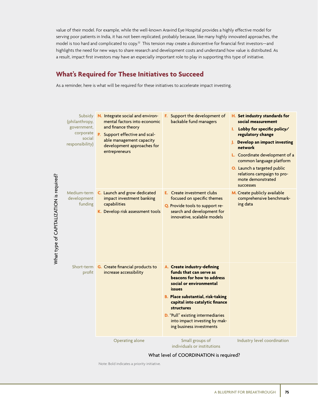value of their model. For example, while the well-known Aravind Eye Hospital provides a highly effective model for serving poor patients in India, it has not been replicated, probably because, like many highly innovated approaches, the model is too hard and complicated to copy.<sup>32</sup> This tension may create a disincentive for financial first investors—and highlights the need for new ways to share research and development costs and understand how value is distributed. As a result, impact first investors may have an especially important role to play in supporting this type of initiative.

### **What's Required for These Initiatives to Succeed**

As a reminder, here is what will be required for these initiatives to accelerate impact investing.

| Subsidy<br>(philanthropy,<br>government,<br>corporate<br>social<br>responsibility) | N. Integrate social and environ-<br>mental factors into economic<br>and finance theory<br>P.<br>Support effective and scal-<br>able management capacity<br>development approaches for<br>entrepreneurs | <b>F.</b> Support the development of<br>backable fund managers                                                                                                                                                                                                                                                                        | H. Set industry standards for<br>social measurement<br>I. Lobby for specific policy/<br>regulatory change<br>J. Develop an impact investing<br>network<br>L. Coordinate development of a<br>common language platform<br><b>O.</b> Launch a targeted public<br>relations campaign to pro-<br>mote demonstrated<br>successes |
|------------------------------------------------------------------------------------|--------------------------------------------------------------------------------------------------------------------------------------------------------------------------------------------------------|---------------------------------------------------------------------------------------------------------------------------------------------------------------------------------------------------------------------------------------------------------------------------------------------------------------------------------------|----------------------------------------------------------------------------------------------------------------------------------------------------------------------------------------------------------------------------------------------------------------------------------------------------------------------------|
| Medium-term<br>development<br>funding                                              | C. Launch and grow dedicated<br>impact investment banking<br>capabilities<br>K. Develop risk assessment tools                                                                                          | <b>E.</b> Create investment clubs<br>focused on specific themes<br><b>Q.</b> Provide tools to support re-<br>search and development for<br>innovative, scalable models                                                                                                                                                                | M. Create publicly available<br>comprehensive benchmark-<br>ing data                                                                                                                                                                                                                                                       |
| profit                                                                             | Short-term G. Create financial products to<br>increase accessibility                                                                                                                                   | A. Create industry-defining<br>funds that can serve as<br>beacons for how to address<br>social or environmental<br><b>issues</b><br><b>B. Place substantial, risk-taking</b><br>capital into catalytic finance<br><b>structures</b><br>D. "Pull" existing intermediaries<br>into impact investing by mak-<br>ing business investments |                                                                                                                                                                                                                                                                                                                            |
|                                                                                    | Operating alone                                                                                                                                                                                        | Small groups of<br>individuals or institutions                                                                                                                                                                                                                                                                                        | Industry level coordination                                                                                                                                                                                                                                                                                                |

What level of COORDINATION is required?

Note: Bold indicates a priority initiative.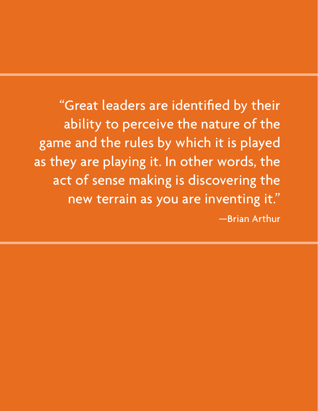"Great leaders are identified by their ability to perceive the nature of the game and the rules by which it is played as they are playing it. In other words, the act of sense making is discovering the new terrain as you are inventing it." —Brian Arthur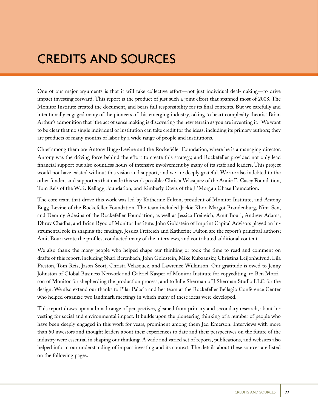# CREDITS AND SOURCES

One of our major arguments is that it will take collective effort—not just individual deal-making—to drive impact investing forward. This report is the product of just such a joint effort that spanned most of 2008. The Monitor Institute created the document, and bears full responsibility for its final contents. But we carefully and intentionally engaged many of the pioneers of this emerging industry, taking to heart complexity theorist Brian Arthur's admonition that "the act of sense making is discovering the new terrain as you are inventing it." We want to be clear that no single individual or institution can take credit for the ideas, including its primary authors; they are products of many months of labor by a wide range of people and institutions.

Chief among them are Antony Bugg-Levine and the Rockefeller Foundation, where he is a managing director. Antony was the driving force behind the effort to create this strategy, and Rockefeller provided not only lead financial support but also countless hours of intensive involvement by many of its staff and leaders. This project would not have existed without this vision and support, and we are deeply grateful. We are also indebted to the other funders and supporters that made this work possible: Christa Velasquez of the Annie E. Casey Foundation, Tom Reis of the W.K. Kellogg Foundation, and Kimberly Davis of the JPMorgan Chase Foundation.

The core team that drove this work was led by Katherine Fulton, president of Monitor Institute, and Antony Bugg-Levine of the Rockefeller Foundation. The team included Jackie Khor, Margot Brandenburg, Nina Sen, and Demmy Adesina of the Rockefeller Foundation, as well as Jessica Freireich, Amit Bouri, Andrew Adams, Dhruv Chadha, and Brian Ryoo of Monitor Institute. John Goldstein of Imprint Capital Advisors played an instrumental role in shaping the findings. Jessica Freireich and Katherine Fulton are the report's principal authors; Amit Bouri wrote the profiles, conducted many of the interviews, and contributed additional content.

We also thank the many people who helped shape our thinking or took the time to read and comment on drafts of this report, including Shari Berenbach, John Goldstein, Mike Kubzansky, Christina Leijonhufvud, Lila Preston, Tom Reis, Jason Scott, Christa Velasquez, and Lawrence Wilkinson. Our gratitude is owed to Jenny Johnston of Global Business Network and Gabriel Kasper of Monitor Institute for copyediting, to Ben Morrison of Monitor for shepherding the production process, and to Julie Sherman of J Sherman Studio LLC for the design. We also extend our thanks to Pilar Palacia and her team at the Rockefeller Bellagio Conference Center who helped organize two landmark meetings in which many of these ideas were developed.

This report draws upon a broad range of perspectives, gleaned from primary and secondary research, about investing for social and environmental impact. It builds upon the pioneering thinking of a number of people who have been deeply engaged in this work for years, prominent among them Jed Emerson. Interviews with more than 50 investors and thought leaders about their experiences to date and their perspectives on the future of the industry were essential in shaping our thinking. A wide and varied set of reports, publications, and websites also helped inform our understanding of impact investing and its context. The details about these sources are listed on the following pages.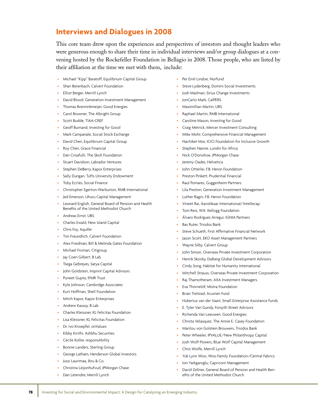### **Interviews and Dialogues in 2008**

This core team drew upon the experiences and perspectives of investors and thought leaders who were generous enough to share their time in individual interviews and/or group dialogues at a convening hosted by the Rockefeller Foundation in Bellagio in 2008. Those people, who are listed by their affiliation at the time we met with them, include:

- Michael "Kipp" Baratoff, Equilibrium Capital Group
- Shari Berenbach, Calvert Foundation
- Elliot Berger, Merrill Lynch
- David Blood, Generation Investment Management
- Thomas Brenninkmeijer, Good Energies
- Carol Browner, The Albright Group
- Scott Budde, TIAA-CREF
- Geoff Burnand, Investing for Good
- Mark Campanale, Social Stock Exchange
- David Chen, Equilibrium Capital Group
- Roy Chen, Grace Financial
- Dan Crisafulli, The Skoll Foundation
- Stuart Davidson, Labrador Ventures
- Stephen DeBerry, Kapor Enterprises
- Sally Dungan, Tufts University Endowment
- Toby Eccles, Social Finance
- Christopher Egerton-Warburton, RMB International
- Jed Emerson, Uhuru Capital Management
- Leonard English, General Board of Pension and Health Benefits of the United Methodist Church
- Andreas Ernst, UBS
- Charles Ewald, New Island Capital
- Chris Foy, Aquifer
- Tim Freundlich, Calvert Foundation
- Alex Friedman, Bill & Melinda Gates Foundation
- Michael Froman, Citigroup
- Jay Coen Gilbert, B Lab
- Tsega Gebreyes, Satya Capital
- John Goldstein, Imprint Capital Advisors
- Puneet Gupta, IFMR Trust
- Kyle Johnson, Cambridge Associates
- Kurt Hoffman, Shell Foundation
- Mitch Kapor, Kapor Enterprises
- Andrew Kassoy, B Lab
- Charles Kleissner, KL Felicitas Foundation
- Lisa Kleissner, KL Felicitas Foundation
- Dr. Ivo Knoepfel, onValues
- Kibby Kirithi, Ashbhu Securities
- Cécile Koller, responsAbility
- Bonnie Landers, Sterling Group
- George Latham, Henderson Global Investors
- Jussi Laurimaa, Ibru & Co.
- Christina Leijonhufvud, JPMorgan Chase
- Dan Letendre, Merrill Lynch
- Per Emil Lindoe, Norfund
- Steve Lydenberg, Domini Social Investments
- Josh Mailman, Sirius Change Investments
- JonCarlo Mark, CalPERS
- Maximillian Martin, UBS
- Raphael Martin, RMB International
- Caroline Mason, Investing for Good
- Craig Metrick, Mercer Investment Consulting
- Mike Mohr, Comprehensive Financial Management
- Nachiket Mor, ICICI Foundation for Inclusive Growth
- Stephen Nairne, Lundin for Africa
- Nick O'Donohoe, JPMorgan Chase
- Jeremy Oades, Helvetica
- John Otterlei, F.B. Heron Foundation
- Preston Pinkett, Prudential Financial
- Raul Pomares, Guggenheim Partners
- Lila Preston, Generation Investment Management
- Luther Ragin, F.B. Heron Foundation
- Vineet Rai, Aavishkaar International/Intellecap
- Tom Reis, W.K. Kellogg Foundation
- Álvaro Rodríguez Arregui, IGNIA Partners
- Bas Ruter, Triodos Bank
- Steve Schueth, First Affirmative Financial Network
- Jason Scott, EKO Asset Management Partners
- Wayne Silby, Calvert Group
- John Simon, Overseas Private Investment Corporation
- Henrik Skovby, Dalberg Global Development Advisors
- Cindy Song, Habitat for Humanity International
- Mitchell Strauss, Overseas Private Investment Corporation
- Raj Thamotheram, AXA Investment Managers
- Eva Thörnelöf, Mistra Foundation
- Brian Trelstad, Acumen Fund
- Hubertus van der Vaart, Small Enterprise Assistance Funds
- E. Tyler Van Gundy, Forsyth Street Advisors
- Richenda Van Leeuwen, Good Energies
- Christa Velasquez, The Annie E. Casey Foundation
- Marilou von Golstein Brouwers, Triodos Bank
- Peter Wheeler, IPVALUE/New Philanthropy Capital
- Josh Wolf-Powers, Blue Wolf Capital Management
- Chris Wolfe, Merrill Lynch
- Yuk Lynn Woo, Woo Family Foundation/Central Fabrics
- Ion Yadigaroglu, Capricorn Management
- David Zellner, General Board of Pension and Health Benefits of the United Methodist Church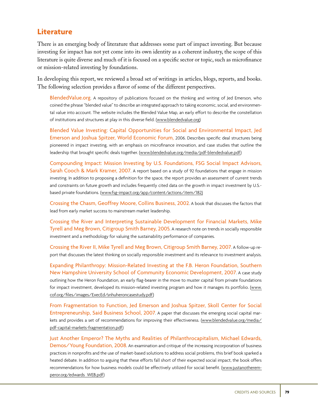### **Literature**

There is an emerging body of literature that addresses some part of impact investing. But because investing for impact has not yet come into its own identity as a coherent industry, the scope of this literature is quite diverse and much of it is focused on a specific sector or topic, such as microfinance or mission-related investing by foundations.

In developing this report, we reviewed a broad set of writings in articles, blogs, reports, and books. The following selection provides a flavor of some of the different perspectives.

BlendedValue.org. A repository of publications focused on the thinking and writing of Jed Emerson, who coined the phrase "blended value" to describe an integrated approach to taking economic, social, and environmental value into account. The website includes the Blended Value Map, an early effort to describe the constellation of institutions and structures at play in this diverse field. (www.blendedvalue.org)

Blended Value Investing: Capital Opportunities for Social and Environmental Impact, Jed Emerson and Joshua Spitzer, World Economic Forum, 2006. Describes specific deal structures being pioneered in impact investing, with an emphasis on microfinance innovation, and case studies that outline the leadership that brought specific deals together. (www.blendedvalue.org/media/pdf-blendedvalue.pdf)

Compounding Impact: Mission Investing by U.S. Foundations, FSG Social Impact Advisors, Sarah Cooch & Mark Kramer, 2007. A report based on a study of 92 foundations that engage in mission investing. In addition to proposing a definition for the space, the report provides an assessment of current trends and constraints on future growth and includes frequently cited data on the growth in impact investment by U.S. based private foundations. (www.fsg-impact.org/app/content/actions/item/182)

Crossing the Chasm, Geoffrey Moore, Collins Business, 2002. A book that discusses the factors that lead from early market success to mainstream market leadership.

Crossing the River and Interpreting Sustainable Development for Financial Markets, Mike Tyrell and Meg Brown, Citigroup Smith Barney, 2005. A research note on trends in socially responsible investment and a methodology for valuing the sustainability performance of companies.

Crossing the River II, Mike Tyrell and Meg Brown, Citigroup Smith Barney, 2007. A follow-up report that discusses the latest thinking on socially responsible investment and its relevance to investment analysis.

Expanding Philanthropy: Mission-Related Investing at the F.B. Heron Foundation, Southern New Hampshire University School of Community Economic Development, 2007. A case study outlining how the Heron Foundation, an early flag-bearer in the move to muster capital from private foundations for impact investment, developed its mission-related investing program and how it manages its portfolio. (www. cof.org/files/images/ExecEd/snhuheroncasestudy.pdf)

From Fragmentation to Function, Jed Emerson and Joshua Spitzer, Skoll Center for Social Entrepreneurship, Said Business School, 2007. A paper that discusses the emerging social capital markets and provides a set of recommendations for improving their effectiveness. (www.blendedvalue.org/media/ pdf-capital-markets-fragmentation.pdf)

Just Another Emperor? The Myths and Realities of Philanthrocapitalism, Michael Edwards, Demos/Young Foundation, 2008. An examination and critique of the increasing incorporation of business practices in nonprofits and the use of market-based solutions to address social problems, this brief book sparked a heated debate. In addition to arguing that these efforts fall short of their expected social impact, the book offers recommendations for how business models could be effectively utilized for social benefit. [\(www.justanotherem](http://www.justanotheremperor.org/edwards_WEB.pdf)peror.org/edwards\_WEB.pdf)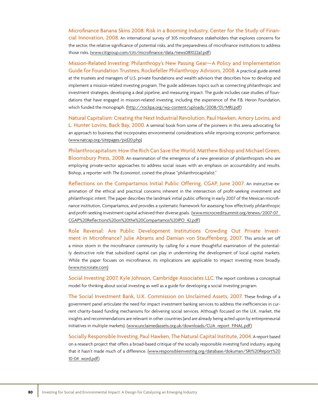Microfinance Banana Skins 2008: Risk in a Booming Industry, Center for the Study of Financial Innovation, 2008. An international survey of 305 microfinance stakeholders that explores concerns for the sector, the relative significance of potential risks, and the preparedness of microfinance institutions to address those risks. (www.citigroup.com/citi/microfinance/data/news081022a1.pdf)

Mission-Related Investing: Philanthropy's New Passing Gear—A Policy and Implementation Guide for Foundation Trustees, Rockefeller Philanthropy Advisors, 2008. A practical guide aimed at the trustees and managers of U.S. private foundations and wealth advisors that describes how to develop and implement a mission-related investing program. The guide addresses topics such as connecting philanthropic and investment strategies, developing a deal pipeline, and measuring impact. The guide includes case studies of foundations that have engaged in mission-related investing, including the experience of the F.B. Heron Foundation, which funded the monograph. (http://rockpa.org/wp-content/uploads/2008/01/MRI.pdf)

Natural Capitalism: Creating the Next Industrial Revolution, Paul Hawken, Amory Lovins, and L. Hunter Lovins, Back Bay, 2000. A seminal book from some of the pioneers in this arena advocating for an approach to business that incorporates environmental considerations while improving economic performance. (www.natcap.org/sitepages/pid20.php)

Philanthrocapitalism: How the Rich Can Save the World, Matthew Bishop and Michael Green, Bloomsbury Press, 2008. An examination of the emergence of a new generation of philanthropists who are employing private-sector approaches to address social issues with an emphasis on accountability and results. Bishop, a reporter with *The Economist*, coined the phrase "philanthrocapitalist."

Reflections on the Compartamos Initial Public Offering, CGAP, June 2007. An instructive examination of the ethical and practical concerns inherent in the intersection of profit-seeking investment and philanthropic intent. The paper describes the landmark initial public offering in early 2007 of the Mexican microfinance institution, Compartamos, and provides a systematic framework for assessing how effectively philanthropic and profit-seeking investment capital achieved their diverse goals. [\(www.microcreditsummit.org/enews/2007-07\\_](www.microcreditsummit.org/enews/2007-07%20CGAP%20Re%E1%B8%80ections%20on%20the%20Compartamos%20IPO_42.pdf) CGAP%20Reflections%20on%20the%20Compartamos%20IPO\_42.pdf)

Role Reversal: Are Public Development Institutions Crowding Out Private Investment in Microfinance? Julie Abrams and Damian von Stauffenberg, 2007. This article set off a minor storm in the microfinance community by calling for a more thoughtful examination of the potentially destructive role that subsidized capital can play in undermining the development of local capital markets. While the paper focuses on microfinance, its implications are applicable to impact investing more broadly. (www.microrate.com)

Social Investing 2007, Kyle Johnson, Cambridge Associates LLC. The report combines a conceptual model for thinking about social investing as well as a guide for developing a social investing program.

The Social Investment Bank, U.K. Commission on Unclaimed Assets, 2007. These findings of a government panel articulate the need for impact investment banking services to address the inefficiencies in current charity-based funding mechanisms for delivering social services. Although focused on the U.K. market, the insights and recommendations are relevant in other countries (and are already being acted upon by entrepreneurial initiatives in multiple markets). (www.unclaimedassets.org.uk/downloads/CUA\_report\_FINAL.pdf)

Socially Responsible Investing, Paul Hawken, The Natural Capital Institute, 2004. A report based on a research project that offers a broad-based critique of the socially responsible investing fund industry, arguing that it hasn't made much of a difference. (www.responsibleinvesting.org/database/dokuman/SRI%20Report%20 10-04\_word.pdf)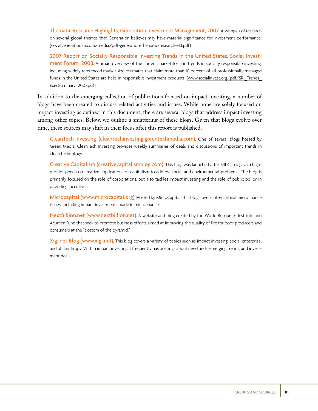Thematic Research Highlights, Generation Investment Management, 2007. A synopsis of research on several global themes that Generation believes may have material significance for investment performance. (www.generationim.com/media/pdf-generation-thematic-research-v13.pdf)

2007 Report on Socially Responsible Investing Trends in the United States, Social Investment Forum, 2008. A broad overview of the current market for and trends in socially responsible investing, including widely referenced market size estimates that claim more than 10 percent of all professionally managed funds in the United States are held in responsible investment products. (www.socialinvest.org/pdf/SRI\_Trends\_ ExecSummary\_2007.pdf)

In addition to the emerging collection of publications focused on impact investing, a number of blogs have been created to discuss related activities and issues. While none are solely focused on impact investing as defined in this document, there are several blogs that address impact investing among other topics. Below, we outline a smattering of these blogs. Given that blogs evolve over time, these sources may shift in their focus after this report is published.

CleanTech Investing (cleantechinvesting.greentechmedia.com). One of several blogs hosted by Green Media, CleanTech Investing provides weekly summaries of deals and discussions of important trends in clean technology.

Creative Capitalism (creativecapitalismblog.com). This blog was launched after Bill Gates gave a highprofile speech on creative applications of capitalism to address social and environmental problems. The blog is primarily focused on the role of corporations, but also tackles impact investing and the role of public policy in providing incentives.

Microcapital (www.microcapital.org). Hosted by MicroCapital, this blog covers international microfinance issues, including impact investments made in microfinance.

NextBillion.net (www.nextbillion.net). A website and blog created by the World Resources Institute and Acumen Fund that seek to promote business efforts aimed at improving the quality of life for poor producers and consumers at the "bottom of the pyramid."

Xigi.net Blog (www.xigi.net). This blog covers a variety of topics such as impact investing, social enterprise, and philanthropy. Within impact investing it frequently has postings about new funds, emerging trends, and investment deals.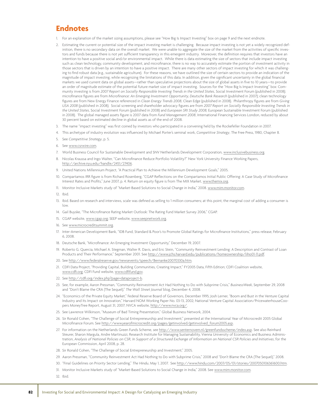### **Endnotes**

- 1. For an explanation of the market sizing assumptions, please see "How Big Is Impact Investing" box on page 9 and the next endnote.
- 2. Estimating the current or potential size of the impact investing market is challenging. Because impact investing is not yet a widely recognized definition, there is no secondary data on the overall market. We were unable to aggregate the size of the market from the activities of specific investors and funds because there is not yet sufficient transparency in this emergent industry. Moreover, the definition requires that investors have an intention to have a positive social and/or environmental impact. While there is data estimating the size of sectors that include impact investing such as clean technology, community development, and microfinance, there is no way to accurately estimate the portion of investment activity in those sectors that is driven by an intention to have a positive impact. There are many other sectors of impact investing for which it was challenging to find robust data (e.g., sustainable agriculture). For these reasons, we have outlined the size of certain sectors to provide an indication of the magnitude of impact investing, while recognizing the limitations of this data. In addition, given the significant uncertainty in the global financial markets we used current data on global assets—rather than speculative projections about the size of global assets in five to 10 years—to provide an order of magnitude estimate of the potential future market size of impact investing. Sources for the "How Big Is Impact Investing" box: Community investing is from *2007 Report on Socially Responsible Investing Trends in the United States*, Social Investment Forum (published in 2008); microfinance figures are from *Microfinance: An Emerging Investment Opportunity, Deutsche Bank Research* (published in 2007); clean technology figures are from New Energy Finance referenced in *Clean Energy Trends 2008*, Clean Edge (published in 2008). Philanthropy figures are from *Giving USA 2008* (published in 2008). Social screening and shareholder advocacy figures are from *2007 Report on Socially Responsible Investing Trends in the United States*, Social Investment Forum (published in 2008) and *European SRI Study 2008,* European Sustainable Investment Forum (published in 2008). The global managed assets figure is 2007 data from *Fund Management 2008*, International Financing Services London, reduced by about 30 percent based on estimated decline in global assets as of the end of 2008.
- 3. The name "impact investing" was first coined by investors who participated in a convening held by the Rockefeller Foundation in 2007.
- 4. This archetype of industry evolution was influenced by Michael Porter's seminal work, *Competitive Strategy*, The Free Press, 1980, Chapter 8.
- 5. See *Competitive Strategy*, p. 5.
- 6. See www.csrwire.com.
- 7. World Business Council for Sustainable Development and SNV Netherlands Development Corporation, www.inclusivebusiness.org.
- 8. Nicolas Kraussa and Ingo Walter, "Can Microfinance Reduce Portfolio Volatility?" New York University Finance Working Papers, http://archive.nyu.edu/handle/2451/27406.
- 9. United Nations Millennium Project, "A Practical Plan to Achieve the Millennium Development Goals," 2005.
- 10. Compartamos IRR figure is from Richard Rosenberg, "CGAP Reflections on the Compartamos Initial Public Offering: A Case Study of Microfinance Interest Rates and Profits," June 2007, p. 4. Return on equity figure is from The MIX Market, www.themix.org.
- 11. Monitor Inclusive Markets study of "Market-Based Solutions to Social Change in India," 2008. www.mim.monitor.com.
- 12. Ibid.
- 13. Ibid. Based on research and interviews, scale was defined as selling to 1 million consumers; at this point, the marginal cost of adding a consumer is low.
- 14. Gail Buyske, "The Microfinance Rating Market Outlook: The Rating Fund Market Survey 2006," CGAP.
- 15. CGAP website, www.cgap.org; SEEP website, www.seepnetwork.org.
- 16. See www.microcreditsummit.org.
- 17. Inter-American Development Bank, "IDB Fund, Standard & Poor's to Promote Global Ratings for Microfinance Institutions," press release, February 6, 2008.
- 18. Deutsche Bank, "Microfinance: An Emerging Investment Opportunity," December 19, 2007.
- 19. Roberto G. Quercia, Michael A. Stegman, Walter R. Davis, and Eric Stein, "Community Reinvestment Lending: A Description and Contrast of Loan Products and Their Performance," September 2001. See http://www.jchs.harvard.edu/publications/homeownership/liho01-11.pdf.
- 20. See http://www.federalreserve.gov/newsevents/speech/Bernanke20070330a.htm.
- 21. CDFI Data Project, "Providing Capital, Building Communities, Creating Impact," FY2005 Data, Fifth Edition; CDFI Coalition website, www.cdfi.org; CDFI Fund website, www.cdfifund.gov.
- 22. See http://cdfi.org/index.php?page=dataproject-b.
- 23. See, for example, Aaron Pressman, "Community Reinvestment Act Had Nothing to Do with Subprime Crisis," *BusinessWeek*, September 29, 2008 and "Don't Blame the CRA (The Sequel)," *The Wall Street Journal* blog, December 4, 2008.
- 24. "Economics of the Private Equity Market," Federal Reserve Board of Governors, December 1995; Josh Lerner, "Boom and Bust in the Venture Capital Industry and Its Impact on Innovation," Harvard NOM Working Paper No. 03-13, 2002; National Venture Capital Association/PricewaterhouseCoopers MoneyTree Report, August 31, 2007; NVCA website, http://www.nvca.org/.
- 25. See Lawrence Wilkinson, "Museum of Bad Timing Presentation," Global Business Network, 2004.
- 26. Sir Ronald Cohen, "The Challenge of Social Entrepreneurship and Investment," presented at the International Year of Microcredit 2005 Global Microfinance Forum. See http://www.yearofmicrocredit.org/pages/getinvolved/getinvolved\_forum2005.asp.
- 27. For information on the Netherlands Green Funds Scheme, see http://www.senternovem.nl/greenfundsscheme/index.asp. See also Reinhard Steurer, Sharon Margula, Andre Martinuzzi, Research Institute for Managing Sustainability, Vienna University of Economics and Business Administration, *Analysis of National Policies on CSR, In Support of a Structured Exchange of Information on National CSR Policies and Initiatives*, for the European Commission, April 2008, p. 28.
- 28. Sir Ronald Cohen, "The Challenge of Social Entrepreneurship and Investment," 2005.
- 29. Aaron Pressman, "Community Reinvestment Act Had Nothing to Do with Subprime Crisis," 2008 and "Don't Blame the CRA (The Sequel)," 2008.
- 30. "Final Guidelines on Priority Sector Lending," *The Hindu*, May 1, 2007. See http://www.hindu.com/2007/05/01/stories/2007050106361600.htm.
- 31. Monitor Inclusive Markets study of "Market-Based Solutions to Social Change in India," 2008. See www.mim.monitor.com.
- 32. Ibid.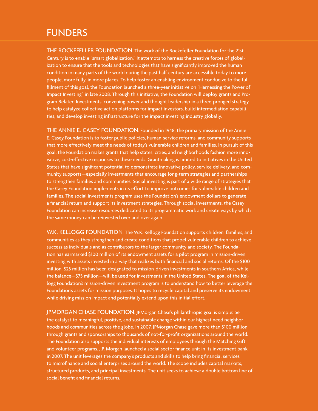# FUNDERS

THE ROCKEFELLER FOUNDATION. The work of the Rockefeller Foundation for the 21st Century is to enable "smart globalization." It attempts to harness the creative forces of globalization to ensure that the tools and technologies that have significantly improved the human condition in many parts of the world during the past half century are accessible today to more people, more fully, in more places. To help foster an enabling environment conducive to the fulfillment of this goal, the Foundation launched a three-year initiative on "Harnessing the Power of Impact Investing" in late 2008. Through this initiative, the Foundation will deploy grants and Program Related Investments, convening power and thought leadership in a three-pronged strategy to help catalyze collective action platforms for impact investors, build intermediation capabilities, and develop investing infrastructure for the impact investing industry globally.

THE ANNIE E. CASEY FOUNDATION. Founded in 1948, the primary mission of the Annie E. Casey Foundation is to foster public policies, human-service reforms, and community supports that more effectively meet the needs of today's vulnerable children and families. In pursuit of this goal, the Foundation makes grants that help states, cities, and neighborhoods fashion more innovative, cost-effective responses to these needs. Grantmaking is limited to initiatives in the United States that have significant potential to demonstrate innovative policy, service delivery, and community supports—especially investments that encourage long-term strategies and partnerships to strengthen families and communities. Social investing is part of a wide range of strategies that the Casey Foundation implements in its effort to improve outcomes for vulnerable children and families. The social investments program uses the Foundation's endowment dollars to generate a financial return and support its investment strategies. Through social investments, the Casey Foundation can increase resources dedicated to its programmatic work and create ways by which the same money can be reinvested over and over again.

W.K. KELLOGG FOUNDATION. The W.K. Kellogg Foundation supports children, families, and communities as they strengthen and create conditions that propel vulnerable children to achieve success as individuals and as contributors to the larger community and society. The Foundation has earmarked \$100 million of its endowment assets for a pilot program in mission-driven investing with assets invested in a way that realizes both financial and social returns. Of the \$100 million, \$25 million has been designated to mission-driven investments in southern Africa, while the balance—\$75 million—will be used for investments in the United States. The goal of the Kellogg Foundation's mission-driven investment program is to understand how to better leverage the Foundation's assets for mission purposes. It hopes to recycle capital and preserve its endowment while driving mission impact and potentially extend upon this initial effort.

JPMORGAN CHASE FOUNDATION. JPMorgan Chase's philanthropic goal is simple: be the catalyst to meaningful, positive, and sustainable change within our highest need neighborhoods and communities across the globe. In 2007, JPMorgan Chase gave more than \$100 million through grants and sponsorships to thousands of not-for-profit organizations around the world. The Foundation also supports the individual interests of employees through the Matching Gift and volunteer programs. J.P. Morgan launched a social sector finance unit in its investment bank in 2007. The unit leverages the company's products and skills to help bring financial services to microfinance and social enterprises around the world. The scope includes capital markets, structured products, and principal investments. The unit seeks to achieve a double bottom line of social benefit and financial returns.